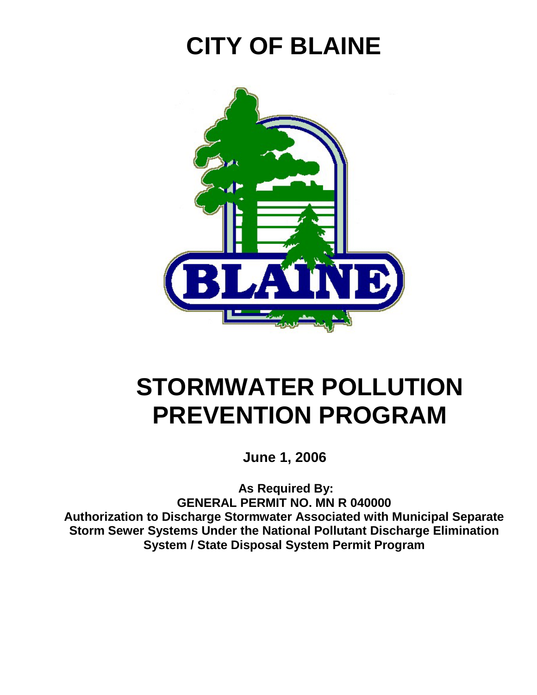# **CITY OF BLAINE**



# **STORMWATER POLLUTION PREVENTION PROGRAM**

 **June 1, 2006** 

 **As Required By: GENERAL PERMIT NO. MN R 040000 Authorization to Discharge Stormwater Associated with Municipal Separate Storm Sewer Systems Under the National Pollutant Discharge Elimination System / State Disposal System Permit Program**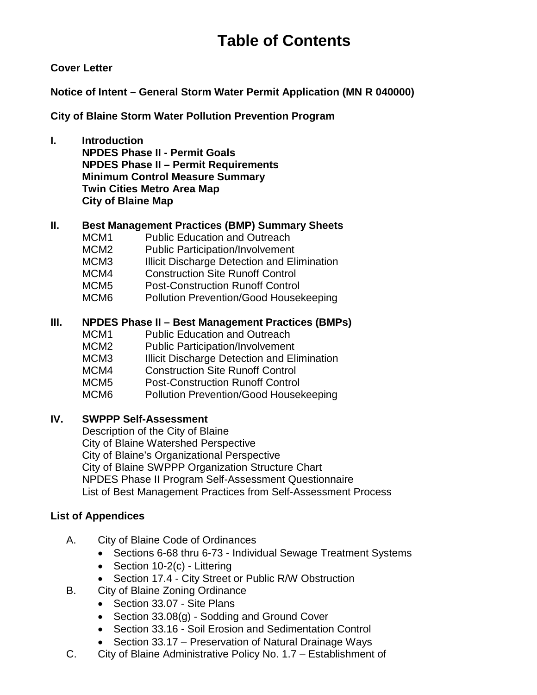## **Table of Contents**

#### **Cover Letter**

**Notice of Intent – General Storm Water Permit Application (MN R 040000)** 

**City of Blaine Storm Water Pollution Prevention Program**

**I. Introduction NPDES Phase II - Permit Goals NPDES Phase II – Permit Requirements Minimum Control Measure Summary Twin Cities Metro Area Map City of Blaine Map** 

#### **II. Best Management Practices (BMP) Summary Sheets**

- MCM1 Public Education and Outreach
- MCM2 Public Participation/Involvement
- MCM3 **Illicit Discharge Detection and Elimination**
- MCM4 Construction Site Runoff Control
- MCM5 Post-Construction Runoff Control
- MCM6 Pollution Prevention/Good Housekeeping

#### **III. NPDES Phase II – Best Management Practices (BMPs)**

- MCM1 Public Education and Outreach
- MCM2 Public Participation/Involvement
- MCM3 **Illicit Discharge Detection and Elimination**
- MCM4 Construction Site Runoff Control
- MCM5 Post-Construction Runoff Control
- MCM6 Pollution Prevention/Good Housekeeping

#### **IV. SWPPP Self-Assessment**

 Description of the City of Blaine City of Blaine Watershed Perspective City of Blaine's Organizational Perspective City of Blaine SWPPP Organization Structure Chart NPDES Phase II Program Self-Assessment Questionnaire List of Best Management Practices from Self-Assessment Process

#### **List of Appendices**

- A. City of Blaine Code of Ordinances
	- Sections 6-68 thru 6-73 Individual Sewage Treatment Systems
	- Section 10-2(c) Littering
	- Section 17.4 City Street or Public R/W Obstruction
- B. City of Blaine Zoning Ordinance
	- Section 33.07 Site Plans
	- Section 33.08(g) Sodding and Ground Cover
	- Section 33.16 Soil Erosion and Sedimentation Control
	- Section 33.17 Preservation of Natural Drainage Ways
- C. City of Blaine Administrative Policy No. 1.7 Establishment of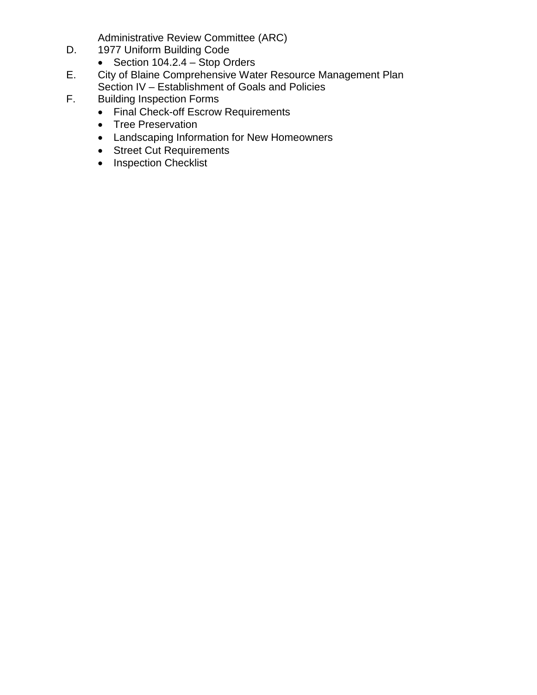Administrative Review Committee (ARC)

- D. 1977 Uniform Building Code
	- Section 104.2.4 Stop Orders
- E. City of Blaine Comprehensive Water Resource Management Plan Section IV – Establishment of Goals and Policies
- F. Building Inspection Forms
	- Final Check-off Escrow Requirements
	- Tree Preservation
	- Landscaping Information for New Homeowners
	- Street Cut Requirements
	- Inspection Checklist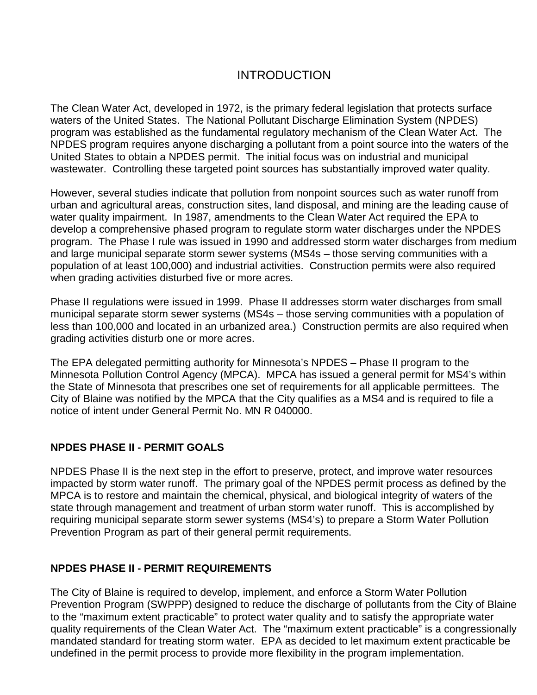### INTRODUCTION

The Clean Water Act, developed in 1972, is the primary federal legislation that protects surface waters of the United States. The National Pollutant Discharge Elimination System (NPDES) program was established as the fundamental regulatory mechanism of the Clean Water Act. The NPDES program requires anyone discharging a pollutant from a point source into the waters of the United States to obtain a NPDES permit. The initial focus was on industrial and municipal wastewater. Controlling these targeted point sources has substantially improved water quality.

However, several studies indicate that pollution from nonpoint sources such as water runoff from urban and agricultural areas, construction sites, land disposal, and mining are the leading cause of water quality impairment. In 1987, amendments to the Clean Water Act required the EPA to develop a comprehensive phased program to regulate storm water discharges under the NPDES program. The Phase I rule was issued in 1990 and addressed storm water discharges from medium and large municipal separate storm sewer systems (MS4s – those serving communities with a population of at least 100,000) and industrial activities. Construction permits were also required when grading activities disturbed five or more acres.

Phase II regulations were issued in 1999. Phase II addresses storm water discharges from small municipal separate storm sewer systems (MS4s – those serving communities with a population of less than 100,000 and located in an urbanized area.) Construction permits are also required when grading activities disturb one or more acres.

The EPA delegated permitting authority for Minnesota's NPDES – Phase II program to the Minnesota Pollution Control Agency (MPCA). MPCA has issued a general permit for MS4's within the State of Minnesota that prescribes one set of requirements for all applicable permittees. The City of Blaine was notified by the MPCA that the City qualifies as a MS4 and is required to file a notice of intent under General Permit No. MN R 040000.

#### **NPDES PHASE II - PERMIT GOALS**

NPDES Phase II is the next step in the effort to preserve, protect, and improve water resources impacted by storm water runoff. The primary goal of the NPDES permit process as defined by the MPCA is to restore and maintain the chemical, physical, and biological integrity of waters of the state through management and treatment of urban storm water runoff. This is accomplished by requiring municipal separate storm sewer systems (MS4's) to prepare a Storm Water Pollution Prevention Program as part of their general permit requirements.

#### **NPDES PHASE II - PERMIT REQUIREMENTS**

The City of Blaine is required to develop, implement, and enforce a Storm Water Pollution Prevention Program (SWPPP) designed to reduce the discharge of pollutants from the City of Blaine to the "maximum extent practicable" to protect water quality and to satisfy the appropriate water quality requirements of the Clean Water Act. The "maximum extent practicable" is a congressionally mandated standard for treating storm water. EPA as decided to let maximum extent practicable be undefined in the permit process to provide more flexibility in the program implementation.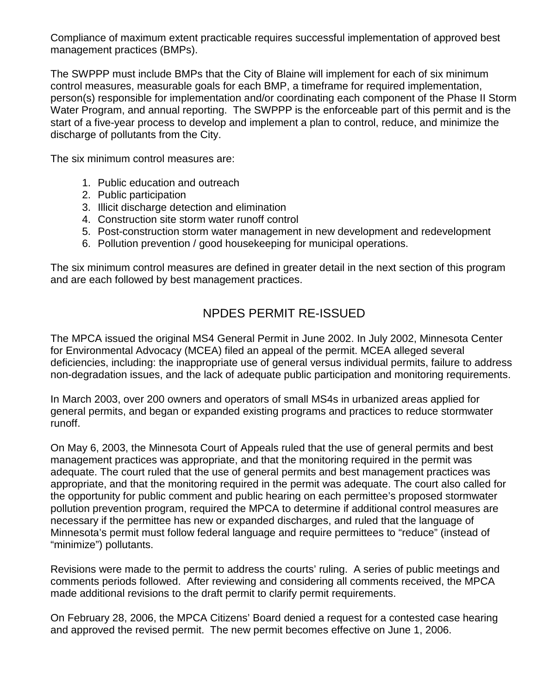Compliance of maximum extent practicable requires successful implementation of approved best management practices (BMPs).

The SWPPP must include BMPs that the City of Blaine will implement for each of six minimum control measures, measurable goals for each BMP, a timeframe for required implementation, person(s) responsible for implementation and/or coordinating each component of the Phase II Storm Water Program, and annual reporting. The SWPPP is the enforceable part of this permit and is the start of a five-year process to develop and implement a plan to control, reduce, and minimize the discharge of pollutants from the City.

The six minimum control measures are:

- 1. Public education and outreach
- 2. Public participation
- 3. Illicit discharge detection and elimination
- 4. Construction site storm water runoff control
- 5. Post-construction storm water management in new development and redevelopment
- 6. Pollution prevention / good housekeeping for municipal operations.

The six minimum control measures are defined in greater detail in the next section of this program and are each followed by best management practices.

### NPDES PERMIT RE-ISSUED

The MPCA issued the original MS4 General Permit in June 2002. In July 2002, Minnesota Center for Environmental Advocacy (MCEA) filed an appeal of the permit. MCEA alleged several deficiencies, including: the inappropriate use of general versus individual permits, failure to address non-degradation issues, and the lack of adequate public participation and monitoring requirements.

In March 2003, over 200 owners and operators of small MS4s in urbanized areas applied for general permits, and began or expanded existing programs and practices to reduce stormwater runoff.

On May 6, 2003, the Minnesota Court of Appeals ruled that the use of general permits and best management practices was appropriate, and that the monitoring required in the permit was adequate. The court ruled that the use of general permits and best management practices was appropriate, and that the monitoring required in the permit was adequate. The court also called for the opportunity for public comment and public hearing on each permittee's proposed stormwater pollution prevention program, required the MPCA to determine if additional control measures are necessary if the permittee has new or expanded discharges, and ruled that the language of Minnesota's permit must follow federal language and require permittees to "reduce" (instead of "minimize") pollutants.

Revisions were made to the permit to address the courts' ruling. A series of public meetings and comments periods followed. After reviewing and considering all comments received, the MPCA made additional revisions to the draft permit to clarify permit requirements.

On February 28, 2006, the MPCA Citizens' Board denied a request for a contested case hearing and approved the revised permit. The new permit becomes effective on June 1, 2006.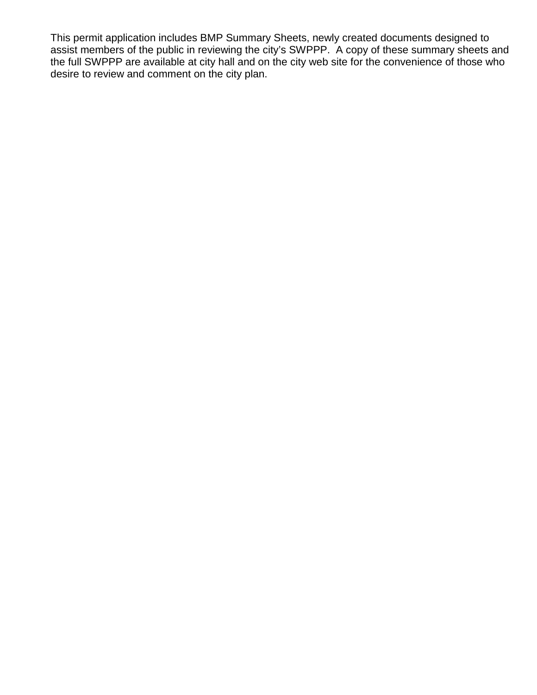This permit application includes BMP Summary Sheets, newly created documents designed to assist members of the public in reviewing the city's SWPPP. A copy of these summary sheets and the full SWPPP are available at city hall and on the city web site for the convenience of those who desire to review and comment on the city plan.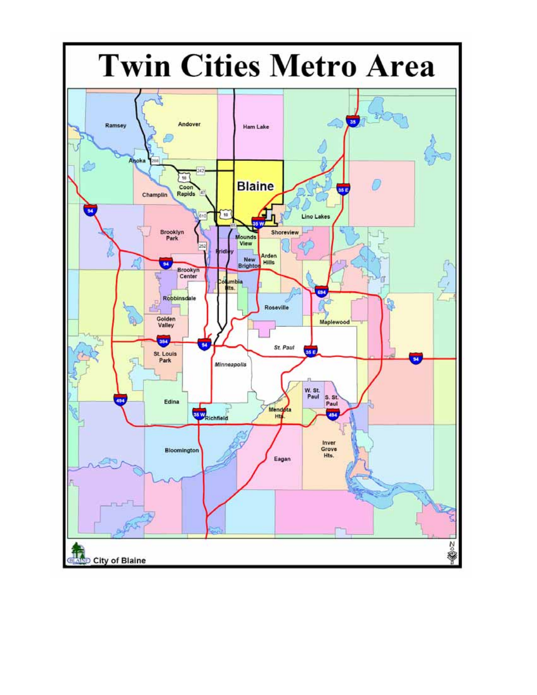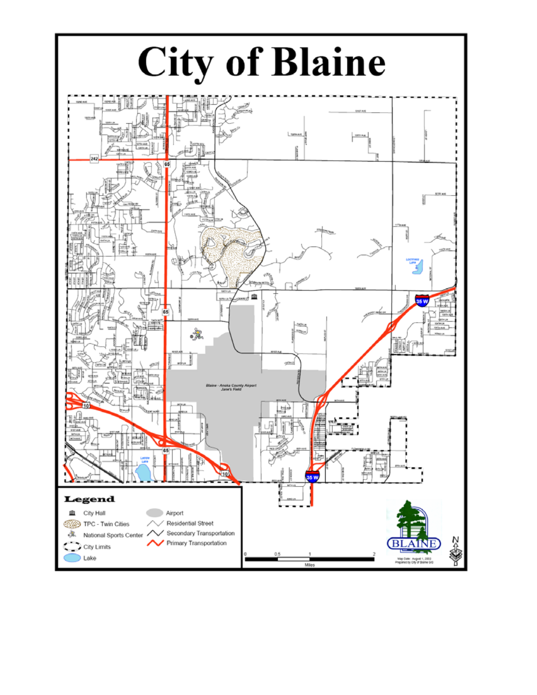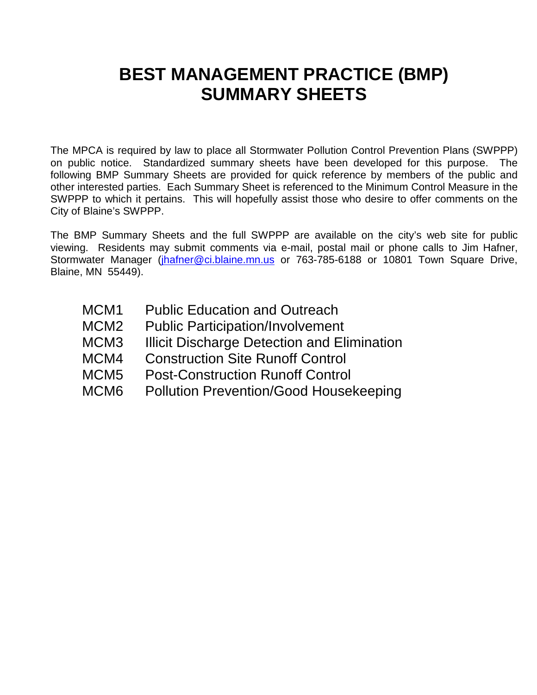## **BEST MANAGEMENT PRACTICE (BMP) SUMMARY SHEETS**

The MPCA is required by law to place all Stormwater Pollution Control Prevention Plans (SWPPP) on public notice. Standardized summary sheets have been developed for this purpose. The following BMP Summary Sheets are provided for quick reference by members of the public and other interested parties. Each Summary Sheet is referenced to the Minimum Control Measure in the SWPPP to which it pertains. This will hopefully assist those who desire to offer comments on the City of Blaine's SWPPP.

The BMP Summary Sheets and the full SWPPP are available on the city's web site for public viewing. Residents may submit comments via e-mail, postal mail or phone calls to Jim Hafner, Stormwater Manager (jhafner@ci.blaine.mn.us or 763-785-6188 or 10801 Town Square Drive, Blaine, MN 55449).

- MCM1 Public Education and Outreach
- MCM2 Public Participation/Involvement
- MCM3 Illicit Discharge Detection and Elimination
- MCM4 Construction Site Runoff Control
- MCM5 Post-Construction Runoff Control
- MCM6 Pollution Prevention/Good Housekeeping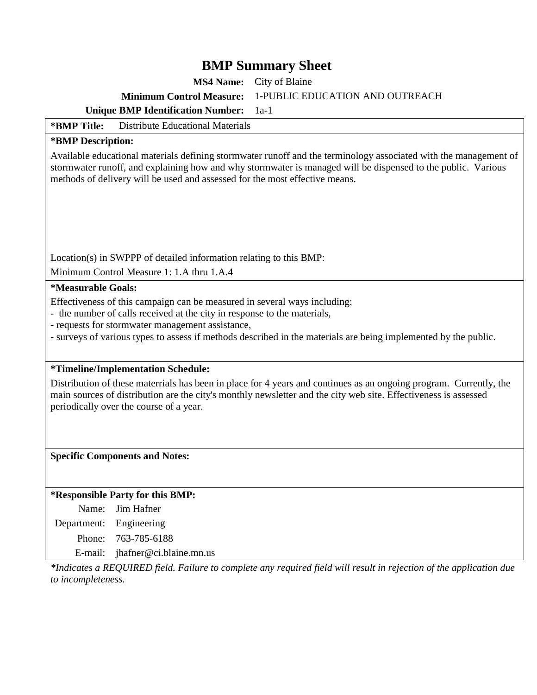**MS4 Name:** City of Blaine

**Minimum Control Measure:** 1-PUBLIC EDUCATION AND OUTREACH

**Unique BMP Identification Number:** 1a-1

#### **\*BMP Title:** Distribute Educational Materials

#### **\*BMP Description:**

Available educational materials defining stormwater runoff and the terminology associated with the management of stormwater runoff, and explaining how and why stormwater is managed will be dispensed to the public. Various methods of delivery will be used and assessed for the most effective means.

Location(s) in SWPPP of detailed information relating to this BMP:

Minimum Control Measure 1: 1.A thru 1.A.4

#### **\*Measurable Goals:**

Effectiveness of this campaign can be measured in several ways including:

- the number of calls received at the city in response to the materials,
- requests for stormwater management assistance,
- surveys of various types to assess if methods described in the materials are being implemented by the public.

#### **\*Timeline/Implementation Schedule:**

Distribution of these materrials has been in place for 4 years and continues as an ongoing program. Currently, the main sources of distribution are the city's monthly newsletter and the city web site. Effectiveness is assessed periodically over the course of a year.

#### **Specific Components and Notes:**

#### **\*Responsible Party for this BMP:**

Name: Jim Hafner Department: Engineering Phone: 763-785-6188 E-mail: jhafner@ci.blaine.mn.us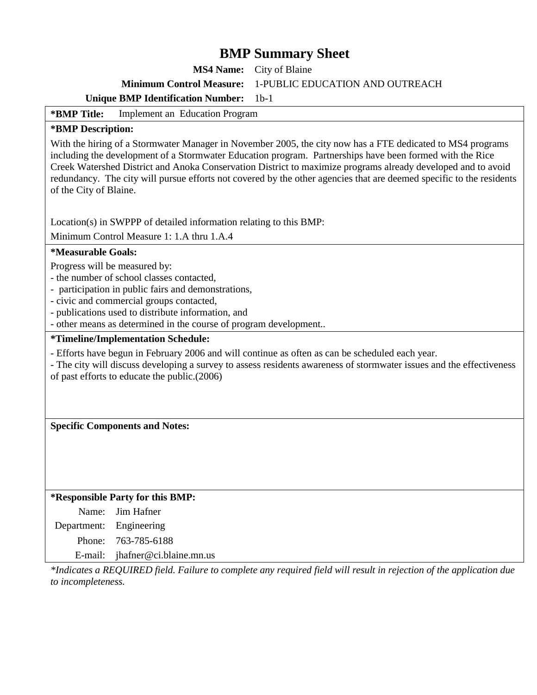**MS4 Name:** City of Blaine

**Minimum Control Measure:** 1-PUBLIC EDUCATION AND OUTREACH

**Unique BMP Identification Number:** 1b-1

**\*BMP Title:** Implement an Education Program

#### **\*BMP Description:**

With the hiring of a Stormwater Manager in November 2005, the city now has a FTE dedicated to MS4 programs including the development of a Stormwater Education program. Partnerships have been formed with the Rice Creek Watershed District and Anoka Conservation District to maximize programs already developed and to avoid redundancy. The city will pursue efforts not covered by the other agencies that are deemed specific to the residents of the City of Blaine.

Location(s) in SWPPP of detailed information relating to this BMP:

Minimum Control Measure 1: 1.A thru 1.A.4

#### **\*Measurable Goals:**

Progress will be measured by:

- the number of school classes contacted,
- participation in public fairs and demonstrations,
- civic and commercial groups contacted,
- publications used to distribute information, and
- other means as determined in the course of program development..

#### **\*Timeline/Implementation Schedule:**

- Efforts have begun in February 2006 and will continue as often as can be scheduled each year.
- The city will discuss developing a survey to assess residents awareness of stormwater issues and the effectiveness of past efforts to educate the public.(2006)

**Specific Components and Notes:** 

#### **\*Responsible Party for this BMP:**

Name: Jim Hafner

Department: Engineering

Phone: 763-785-6188

E-mail: jhafner@ci.blaine.mn.us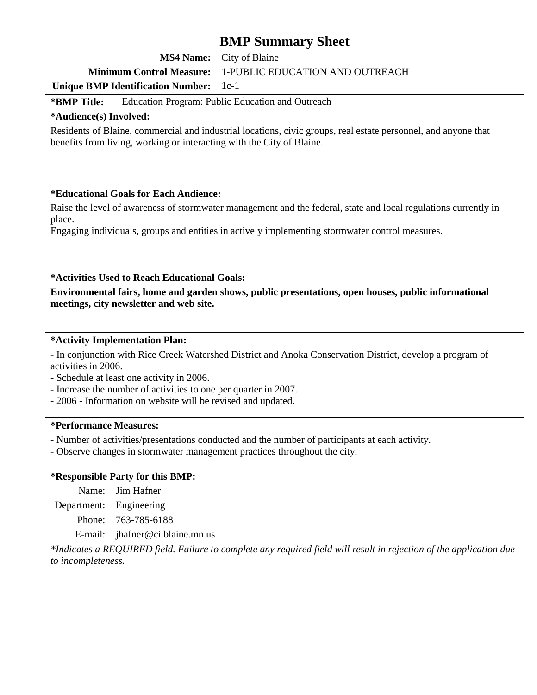**MS4 Name:** City of Blaine

#### **Minimum Control Measure:** 1-PUBLIC EDUCATION AND OUTREACH

#### **Unique BMP Identification Number:** 1c-1

**\*BMP Title:** Education Program: Public Education and Outreach

#### **\*Audience(s) Involved:**

Residents of Blaine, commercial and industrial locations, civic groups, real estate personnel, and anyone that benefits from living, working or interacting with the City of Blaine.

#### **\*Educational Goals for Each Audience:**

Raise the level of awareness of stormwater management and the federal, state and local regulations currently in place.

Engaging individuals, groups and entities in actively implementing stormwater control measures.

**\*Activities Used to Reach Educational Goals:** 

**Environmental fairs, home and garden shows, public presentations, open houses, public informational meetings, city newsletter and web site.** 

#### **\*Activity Implementation Plan:**

- In conjunction with Rice Creek Watershed District and Anoka Conservation District, develop a program of activities in 2006.

- Schedule at least one activity in 2006.
- Increase the number of activities to one per quarter in 2007.
- 2006 Information on website will be revised and updated.

#### **\*Performance Measures:**

- Number of activities/presentations conducted and the number of participants at each activity.
- Observe changes in stormwater management practices throughout the city.

#### **\*Responsible Party for this BMP:**

Name: Jim Hafner

Department: Engineering

Phone: 763-785-6188

E-mail: jhafner@ci.blaine.mn.us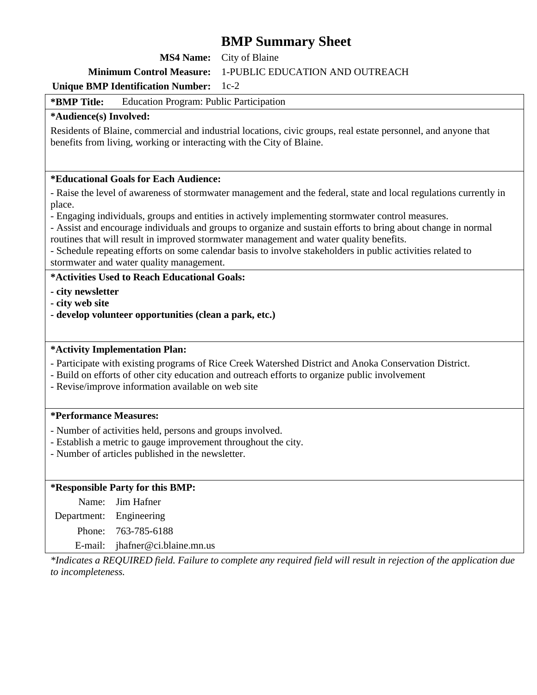**MS4 Name:** City of Blaine

#### **Minimum Control Measure:** 1-PUBLIC EDUCATION AND OUTREACH

#### **Unique BMP Identification Number:** 1c-2

**\*BMP Title:** Education Program: Public Participation

#### **\*Audience(s) Involved:**

Residents of Blaine, commercial and industrial locations, civic groups, real estate personnel, and anyone that benefits from living, working or interacting with the City of Blaine.

#### **\*Educational Goals for Each Audience:**

- Raise the level of awareness of stormwater management and the federal, state and local regulations currently in place.

- Engaging individuals, groups and entities in actively implementing stormwater control measures.

- Assist and encourage individuals and groups to organize and sustain efforts to bring about change in normal routines that will result in improved stormwater management and water quality benefits.

- Schedule repeating efforts on some calendar basis to involve stakeholders in public activities related to stormwater and water quality management.

#### **\*Activities Used to Reach Educational Goals:**

- **city newsletter**
- **city web site**
- **develop volunteer opportunities (clean a park, etc.)**

#### **\*Activity Implementation Plan:**

- Participate with existing programs of Rice Creek Watershed District and Anoka Conservation District.

- Build on efforts of other city education and outreach efforts to organize public involvement
- Revise/improve information available on web site

#### **\*Performance Measures:**

- Number of activities held, persons and groups involved.
- Establish a metric to gauge improvement throughout the city.
- Number of articles published in the newsletter.

#### **\*Responsible Party for this BMP:**

Name: Jim Hafner

Department: Engineering

Phone: 763-785-6188

E-mail: jhafner@ci.blaine.mn.us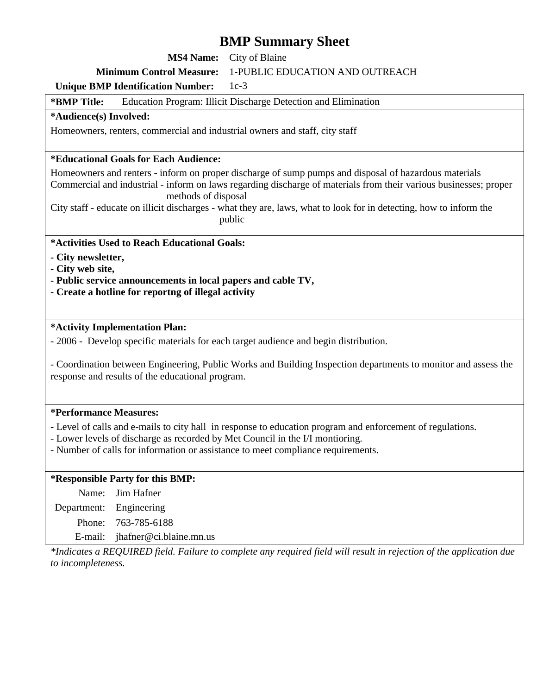**MS4 Name:** City of Blaine

#### **Minimum Control Measure:** 1-PUBLIC EDUCATION AND OUTREACH

#### **Unique BMP Identification Number:** 1c-3

#### **\*BMP Title:** Education Program: Illicit Discharge Detection and Elimination

#### **\*Audience(s) Involved:**

Homeowners, renters, commercial and industrial owners and staff, city staff

#### **\*Educational Goals for Each Audience:**

Homeowners and renters - inform on proper discharge of sump pumps and disposal of hazardous materials Commercial and industrial - inform on laws regarding discharge of materials from their various businesses; proper methods of disposal

City staff - educate on illicit discharges - what they are, laws, what to look for in detecting, how to inform the public

#### **\*Activities Used to Reach Educational Goals:**

- **City newsletter,**
- **City web site,**
- **Public service announcements in local papers and cable TV,**
- **Create a hotline for reportng of illegal activity**

#### **\*Activity Implementation Plan:**

- 2006 - Develop specific materials for each target audience and begin distribution.

- Coordination between Engineering, Public Works and Building Inspection departments to monitor and assess the response and results of the educational program.

#### **\*Performance Measures:**

- Level of calls and e-mails to city hall in response to education program and enforcement of regulations.

- Lower levels of discharge as recorded by Met Council in the I/I montioring.

- Number of calls for information or assistance to meet compliance requirements.

#### **\*Responsible Party for this BMP:**

Name: Jim Hafner Department: Engineering Phone: 763-785-6188 E-mail: jhafner@ci.blaine.mn.us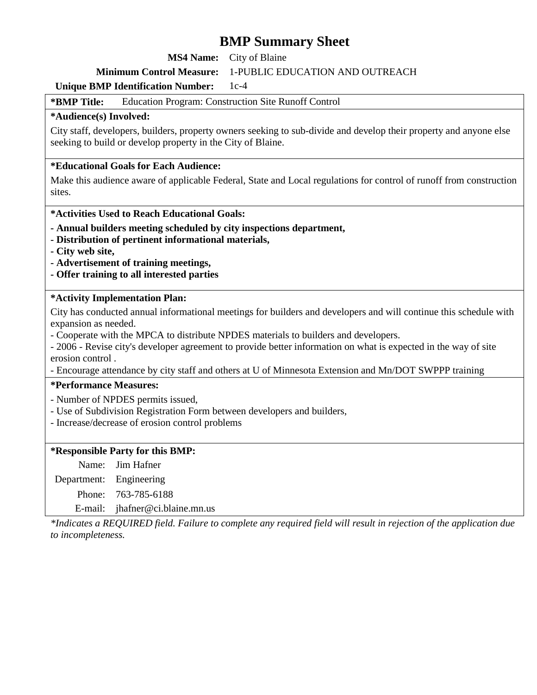**MS4 Name:** City of Blaine

#### **Minimum Control Measure:** 1-PUBLIC EDUCATION AND OUTREACH

#### **Unique BMP Identification Number:** 1c-4

**\*BMP Title:** Education Program: Construction Site Runoff Control

#### **\*Audience(s) Involved:**

City staff, developers, builders, property owners seeking to sub-divide and develop their property and anyone else seeking to build or develop property in the City of Blaine.

#### **\*Educational Goals for Each Audience:**

Make this audience aware of applicable Federal, State and Local regulations for control of runoff from construction sites.

#### **\*Activities Used to Reach Educational Goals:**

- **Annual builders meeting scheduled by city inspections department,**
- **Distribution of pertinent informational materials,**
- **City web site,**
- **Advertisement of training meetings,**
- **Offer training to all interested parties**

#### **\*Activity Implementation Plan:**

City has conducted annual informational meetings for builders and developers and will continue this schedule with expansion as needed.

- Cooperate with the MPCA to distribute NPDES materials to builders and developers.

- 2006 - Revise city's developer agreement to provide better information on what is expected in the way of site erosion control .

- Encourage attendance by city staff and others at U of Minnesota Extension and Mn/DOT SWPPP training

#### **\*Performance Measures:**

- Number of NPDES permits issued,

- Use of Subdivision Registration Form between developers and builders,
- Increase/decrease of erosion control problems

#### **\*Responsible Party for this BMP:**

|                         | Name: Jim Hafner                |
|-------------------------|---------------------------------|
| Department: Engineering |                                 |
|                         | Phone: 763-785-6188             |
|                         | E-mail: jhafner@ci.blaine.mn.us |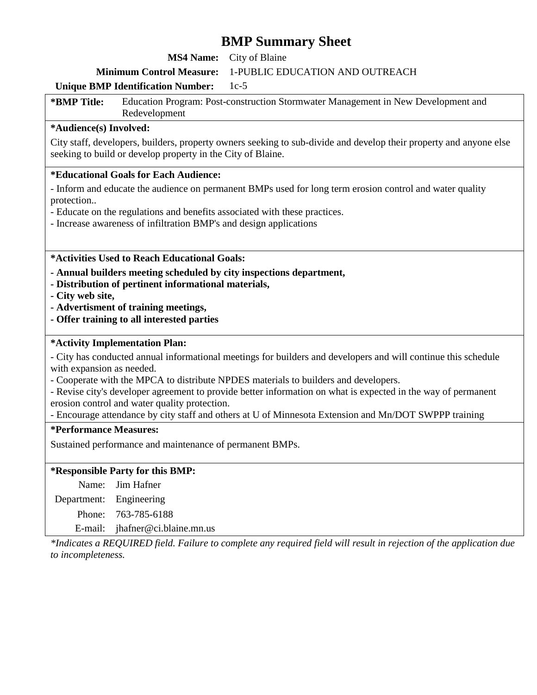**MS4 Name:** City of Blaine

**Minimum Control Measure:** 1-PUBLIC EDUCATION AND OUTREACH

#### **Unique BMP Identification Number:** 1c-5

**\*BMP Title:** Education Program: Post-construction Stormwater Management in New Development and Redevelopment

#### **\*Audience(s) Involved:**

City staff, developers, builders, property owners seeking to sub-divide and develop their property and anyone else seeking to build or develop property in the City of Blaine.

#### **\*Educational Goals for Each Audience:**

- Inform and educate the audience on permanent BMPs used for long term erosion control and water quality protection..

- Educate on the regulations and benefits associated with these practices.
- Increase awareness of infiltration BMP's and design applications

**\*Activities Used to Reach Educational Goals:** 

- **Annual builders meeting scheduled by city inspections department,**
- **Distribution of pertinent informational materials,**
- **City web site,**
- **Advertisment of training meetings,**
- **Offer training to all interested parties**

#### **\*Activity Implementation Plan:**

- City has conducted annual informational meetings for builders and developers and will continue this schedule with expansion as needed.

- Cooperate with the MPCA to distribute NPDES materials to builders and developers.

- Revise city's developer agreement to provide better information on what is expected in the way of permanent erosion control and water quality protection.

- Encourage attendance by city staff and others at U of Minnesota Extension and Mn/DOT SWPPP training

#### **\*Performance Measures:**

Sustained performance and maintenance of permanent BMPs.

#### **\*Responsible Party for this BMP:**

Name: Jim Hafner

Department: Engineering

Phone: 763-785-6188

E-mail: jhafner@ci.blaine.mn.us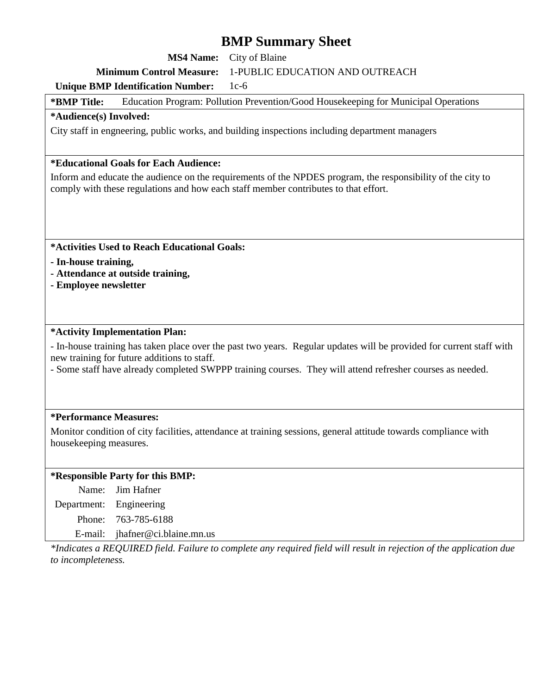**MS4 Name:** City of Blaine

#### **Minimum Control Measure:** 1-PUBLIC EDUCATION AND OUTREACH

#### **Unique BMP Identification Number:** 1c-6

**\*BMP Title:** Education Program: Pollution Prevention/Good Housekeeping for Municipal Operations

#### **\*Audience(s) Involved:**

City staff in engneering, public works, and building inspections including department managers

#### **\*Educational Goals for Each Audience:**

Inform and educate the audience on the requirements of the NPDES program, the responsibility of the city to comply with these regulations and how each staff member contributes to that effort.

**\*Activities Used to Reach Educational Goals:** 

- **In-house training,**
- **Attendance at outside training,**
- **Employee newsletter**

#### **\*Activity Implementation Plan:**

- In-house training has taken place over the past two years. Regular updates will be provided for current staff with new training for future additions to staff.

- Some staff have already completed SWPPP training courses. They will attend refresher courses as needed.

#### **\*Performance Measures:**

Monitor condition of city facilities, attendance at training sessions, general attitude towards compliance with housekeeping measures.

#### **\*Responsible Party for this BMP:**

Name: Jim Hafner Department: Engineering

Phone: 763-785-6188

E-mail: jhafner@ci.blaine.mn.us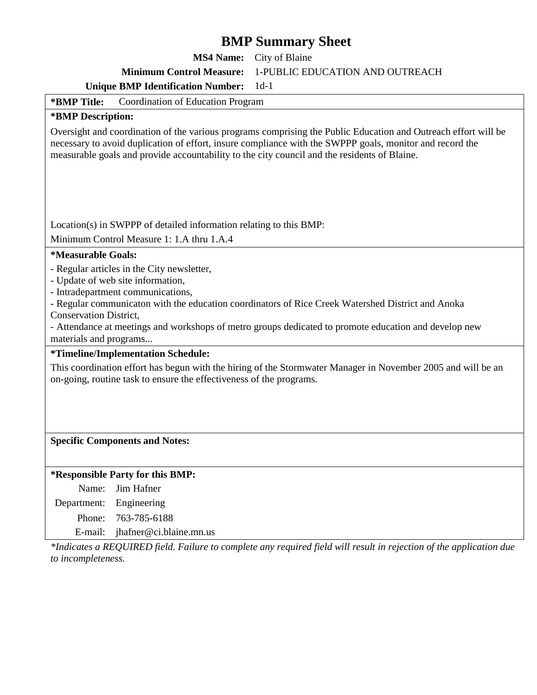**MS4 Name:** City of Blaine

**Minimum Control Measure:** 1-PUBLIC EDUCATION AND OUTREACH

**Unique BMP Identification Number:** 1d-1

**\*BMP Title:** Coordination of Education Program

#### **\*BMP Description:**

Oversight and coordination of the various programs comprising the Public Education and Outreach effort will be necessary to avoid duplication of effort, insure compliance with the SWPPP goals, monitor and record the measurable goals and provide accountability to the city council and the residents of Blaine.

Location(s) in SWPPP of detailed information relating to this BMP:

Minimum Control Measure 1: 1.A thru 1.A.4

#### **\*Measurable Goals:**

- Regular articles in the City newsletter,

- Update of web site information,
- Intradepartment communications,
- Regular communicaton with the education coordinators of Rice Creek Watershed District and Anoka

Conservation District,

- Attendance at meetings and workshops of metro groups dedicated to promote education and develop new materials and programs...

**\*Timeline/Implementation Schedule:** 

This coordination effort has begun with the hiring of the Stormwater Manager in November 2005 and will be an on-going, routine task to ensure the effectiveness of the programs.

#### **Specific Components and Notes:**

#### **\*Responsible Party for this BMP:**

Name: Jim Hafner Department: Engineering Phone: 763-785-6188 E-mail: jhafner@ci.blaine.mn.us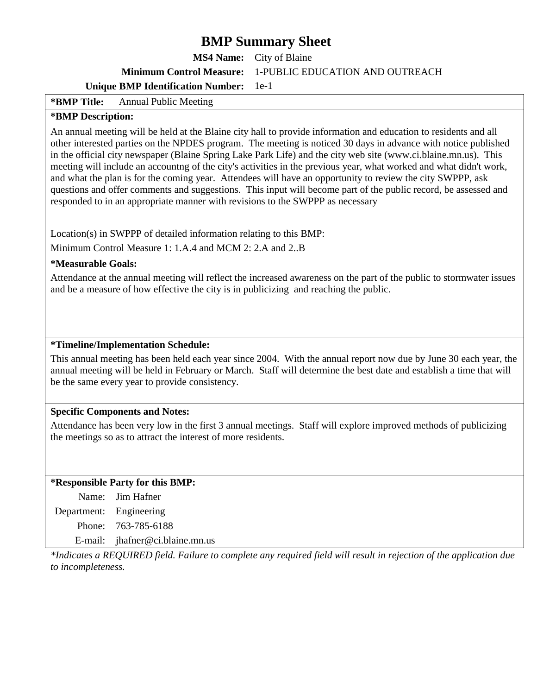**MS4 Name:** City of Blaine

**Minimum Control Measure:** 1-PUBLIC EDUCATION AND OUTREACH

**Unique BMP Identification Number:** 1e-1

**\*BMP Title:** Annual Public Meeting

#### **\*BMP Description:**

An annual meeting will be held at the Blaine city hall to provide information and education to residents and all other interested parties on the NPDES program. The meeting is noticed 30 days in advance with notice published in the official city newspaper (Blaine Spring Lake Park Life) and the city web site (www.ci.blaine.mn.us). This meeting will include an accountng of the city's activities in the previous year, what worked and what didn't work, and what the plan is for the coming year. Attendees will have an opportunity to review the city SWPPP, ask questions and offer comments and suggestions. This input will become part of the public record, be assessed and responded to in an appropriate manner with revisions to the SWPPP as necessary

Location(s) in SWPPP of detailed information relating to this BMP:

Minimum Control Measure 1: 1.A.4 and MCM 2: 2.A and 2..B

**\*Measurable Goals:** 

Attendance at the annual meeting will reflect the increased awareness on the part of the public to stormwater issues and be a measure of how effective the city is in publicizing and reaching the public.

#### **\*Timeline/Implementation Schedule:**

This annual meeting has been held each year since 2004. With the annual report now due by June 30 each year, the annual meeting will be held in February or March. Staff will determine the best date and establish a time that will be the same every year to provide consistency.

#### **Specific Components and Notes:**

Attendance has been very low in the first 3 annual meetings. Staff will explore improved methods of publicizing the meetings so as to attract the interest of more residents.

#### **\*Responsible Party for this BMP:**

Name: Jim Hafner Department: Engineering Phone: 763-785-6188 E-mail: jhafner@ci.blaine.mn.us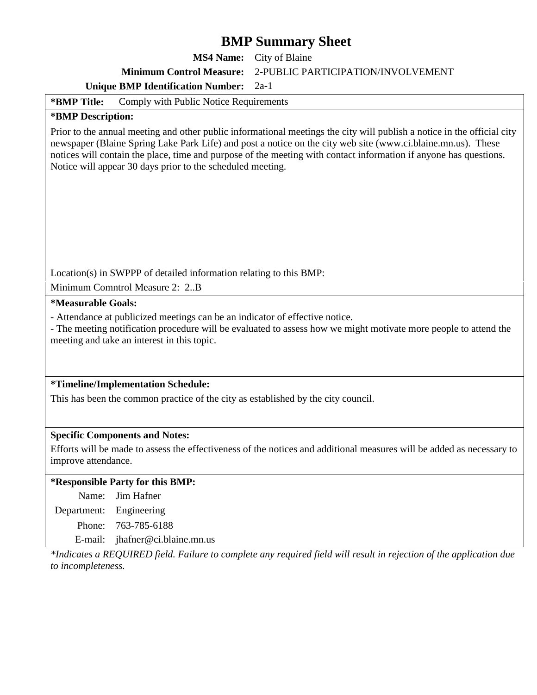**MS4 Name:** City of Blaine

**Minimum Control Measure:** 2-PUBLIC PARTICIPATION/INVOLVEMENT

#### **Unique BMP Identification Number:** 2a-1

**\*BMP Title:** Comply with Public Notice Requirements

#### **\*BMP Description:**

Prior to the annual meeting and other public informational meetings the city will publish a notice in the official city newspaper (Blaine Spring Lake Park Life) and post a notice on the city web site (www.ci.blaine.mn.us). These notices will contain the place, time and purpose of the meeting with contact information if anyone has questions. Notice will appear 30 days prior to the scheduled meeting.

Location(s) in SWPPP of detailed information relating to this BMP:

Minimum Comntrol Measure 2: 2..B

**\*Measurable Goals:** 

- Attendance at publicized meetings can be an indicator of effective notice.

- The meeting notification procedure will be evaluated to assess how we might motivate more people to attend the meeting and take an interest in this topic.

#### **\*Timeline/Implementation Schedule:**

This has been the common practice of the city as established by the city council.

#### **Specific Components and Notes:**

Efforts will be made to assess the effectiveness of the notices and additional measures will be added as necessary to improve attendance.

#### **\*Responsible Party for this BMP:**

| Name: Jim Hafner                   |
|------------------------------------|
| Department: Engineering            |
| Phone: 763-785-6188                |
| E-mail: $i$ hafner@ci.blaine.mn.us |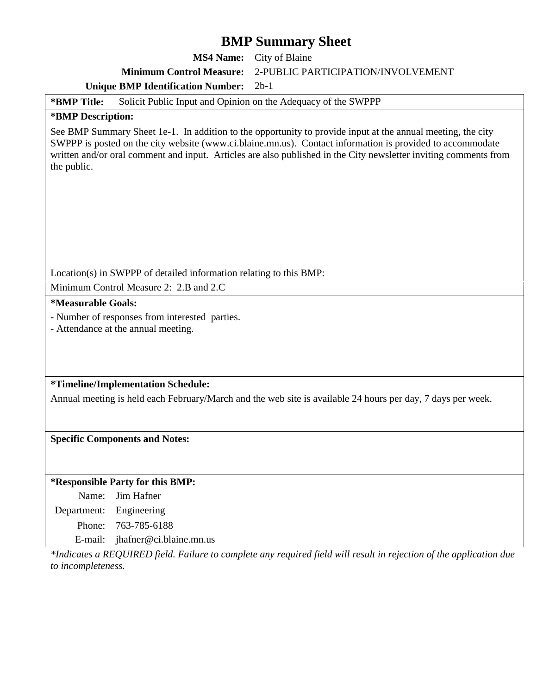**MS4 Name:** City of Blaine

**Minimum Control Measure:** 2-PUBLIC PARTICIPATION/INVOLVEMENT

#### **Unique BMP Identification Number:** 2b-1

#### **\*BMP Title:** Solicit Public Input and Opinion on the Adequacy of the SWPPP

#### **\*BMP Description:**

See BMP Summary Sheet 1e-1. In addition to the opportunity to provide input at the annual meeting, the city SWPPP is posted on the city website (www.ci.blaine.mn.us). Contact information is provided to accommodate written and/or oral comment and input. Articles are also published in the City newsletter inviting comments from the public.

Location(s) in SWPPP of detailed information relating to this BMP:

Minimum Control Measure 2: 2.B and 2.C

#### **\*Measurable Goals:**

- Number of responses from interested parties.

- Attendance at the annual meeting.

#### **\*Timeline/Implementation Schedule:**

Annual meeting is held each February/March and the web site is available 24 hours per day, 7 days per week.

#### **Specific Components and Notes:**

#### **\*Responsible Party for this BMP:**

Name: Jim Hafner Department: Engineering Phone: 763-785-6188 E-mail: jhafner@ci.blaine.mn.us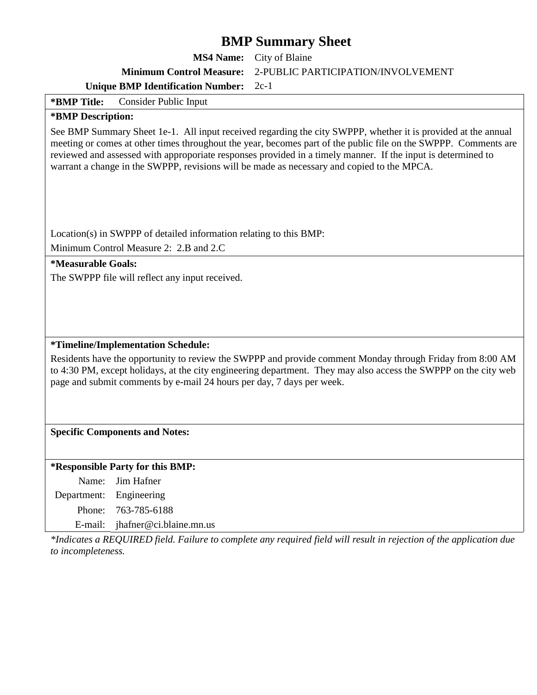**MS4 Name:** City of Blaine **Minimum Control Measure:** 2-PUBLIC PARTICIPATION/INVOLVEMENT

**Unique BMP Identification Number:** 2c-1

**\*BMP Title:** Consider Public Input

#### **\*BMP Description:**

See BMP Summary Sheet 1e-1. All input received regarding the city SWPPP, whether it is provided at the annual meeting or comes at other times throughout the year, becomes part of the public file on the SWPPP. Comments are reviewed and assessed with approporiate responses provided in a timely manner. If the input is determined to warrant a change in the SWPPP, revisions will be made as necessary and copied to the MPCA.

Location(s) in SWPPP of detailed information relating to this BMP:

Minimum Control Measure 2: 2.B and 2.C

**\*Measurable Goals:** 

The SWPPP file will reflect any input received.

#### **\*Timeline/Implementation Schedule:**

Residents have the opportunity to review the SWPPP and provide comment Monday through Friday from 8:00 AM to 4:30 PM, except holidays, at the city engineering department. They may also access the SWPPP on the city web page and submit comments by e-mail 24 hours per day, 7 days per week.

#### **Specific Components and Notes:**

#### **\*Responsible Party for this BMP:**

Name: Jim Hafner Department: Engineering Phone: 763-785-6188 E-mail: jhafner@ci.blaine.mn.us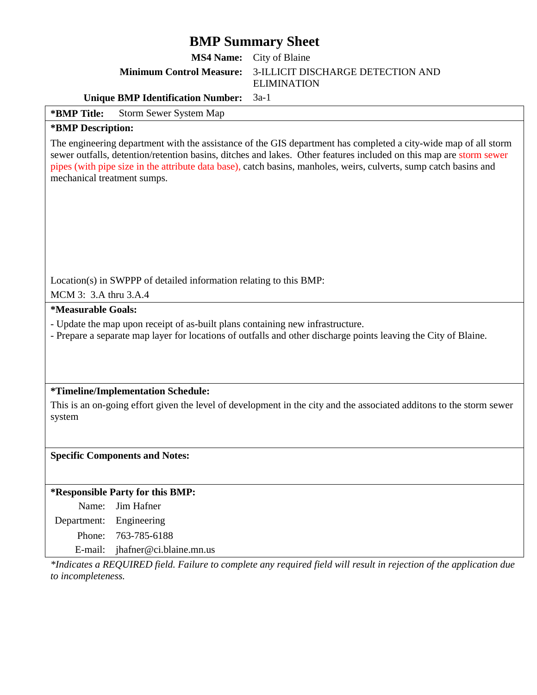**MS4 Name:** City of Blaine

**Minimum Control Measure:** 3-ILLICIT DISCHARGE DETECTION AND

ELIMINATION

**Unique BMP Identification Number:** 3a-1

**\*BMP Title:** Storm Sewer System Map

#### **\*BMP Description:**

The engineering department with the assistance of the GIS department has completed a city-wide map of all storm sewer outfalls, detention/retention basins, ditches and lakes. Other features included on this map are storm sewer pipes (with pipe size in the attribute data base), catch basins, manholes, weirs, culverts, sump catch basins and mechanical treatment sumps.

Location(s) in SWPPP of detailed information relating to this BMP:

MCM 3: 3.A thru 3.A.4

#### **\*Measurable Goals:**

- Update the map upon receipt of as-built plans containing new infrastructure.
- Prepare a separate map layer for locations of outfalls and other discharge points leaving the City of Blaine.

#### **\*Timeline/Implementation Schedule:**

This is an on-going effort given the level of development in the city and the associated additons to the storm sewer system

#### **Specific Components and Notes:**

#### **\*Responsible Party for this BMP:**

Name: Jim Hafner

Department: Engineering

Phone: 763-785-6188

E-mail: jhafner@ci.blaine.mn.us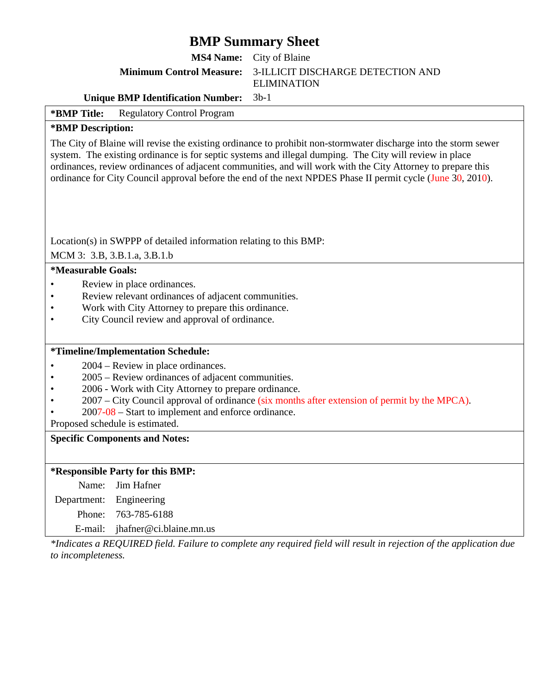**MS4 Name:** City of Blaine

#### **Minimum Control Measure:** 3-ILLICIT DISCHARGE DETECTION AND

ELIMINATION

#### **Unique BMP Identification Number:** 3b-1

#### **\*BMP Title:** Regulatory Control Program

#### **\*BMP Description:**

The City of Blaine will revise the existing ordinance to prohibit non-stormwater discharge into the storm sewer system. The existing ordinance is for septic systems and illegal dumping. The City will review in place ordinances, review ordinances of adjacent communities, and will work with the City Attorney to prepare this ordinance for City Council approval before the end of the next NPDES Phase II permit cycle (June 30, 2010).

Location(s) in SWPPP of detailed information relating to this BMP:

MCM 3: 3.B, 3.B.1.a, 3.B.1.b

#### **\*Measurable Goals:**

- Review in place ordinances.
- Review relevant ordinances of adjacent communities.
- Work with City Attorney to prepare this ordinance.
- City Council review and approval of ordinance.

#### **\*Timeline/Implementation Schedule:**

- 2004 Review in place ordinances.
- 2005 Review ordinances of adjacent communities.
- 2006 Work with City Attorney to prepare ordinance.
- 2007 City Council approval of ordinance (six months after extension of permit by the MPCA).
- 2007-08 Start to implement and enforce ordinance.

Proposed schedule is estimated.

#### **Specific Components and Notes:**

#### **\*Responsible Party for this BMP:**

Name: Jim Hafner

Department: Engineering

Phone: 763-785-6188

E-mail: jhafner@ci.blaine.mn.us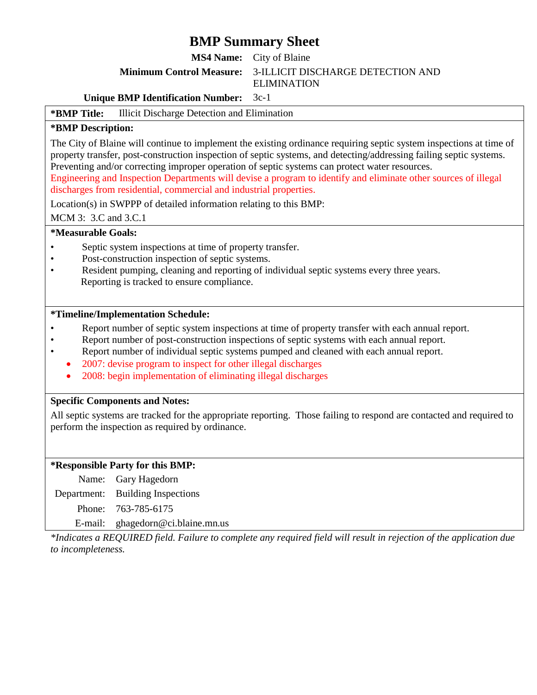**MS4 Name:** City of Blaine

#### **Minimum Control Measure:** 3-ILLICIT DISCHARGE DETECTION AND

ELIMINATION

#### **Unique BMP Identification Number:** 3c-1

#### **\*BMP Title:** Illicit Discharge Detection and Elimination

#### **\*BMP Description:**

The City of Blaine will continue to implement the existing ordinance requiring septic system inspections at time of property transfer, post-construction inspection of septic systems, and detecting/addressing failing septic systems. Preventing and/or correcting improper operation of septic systems can protect water resources.

Engineering and Inspection Departments will devise a program to identify and eliminate other sources of illegal discharges from residential, commercial and industrial properties.

Location(s) in SWPPP of detailed information relating to this BMP:

MCM 3: 3.C and 3.C.1

#### **\*Measurable Goals:**

- Septic system inspections at time of property transfer.
- Post-construction inspection of septic systems.
- Resident pumping, cleaning and reporting of individual septic systems every three years. Reporting is tracked to ensure compliance.

#### **\*Timeline/Implementation Schedule:**

- Report number of septic system inspections at time of property transfer with each annual report.
- Report number of post-construction inspections of septic systems with each annual report.
- Report number of individual septic systems pumped and cleaned with each annual report.
	- 2007: devise program to inspect for other illegal discharges
	- 2008: begin implementation of eliminating illegal discharges

#### **Specific Components and Notes:**

All septic systems are tracked for the appropriate reporting. Those failing to respond are contacted and required to perform the inspection as required by ordinance.

#### **\*Responsible Party for this BMP:**

Name: Gary Hagedorn Department: Building Inspections Phone: 763-785-6175 E-mail: ghagedorn@ci.blaine.mn.us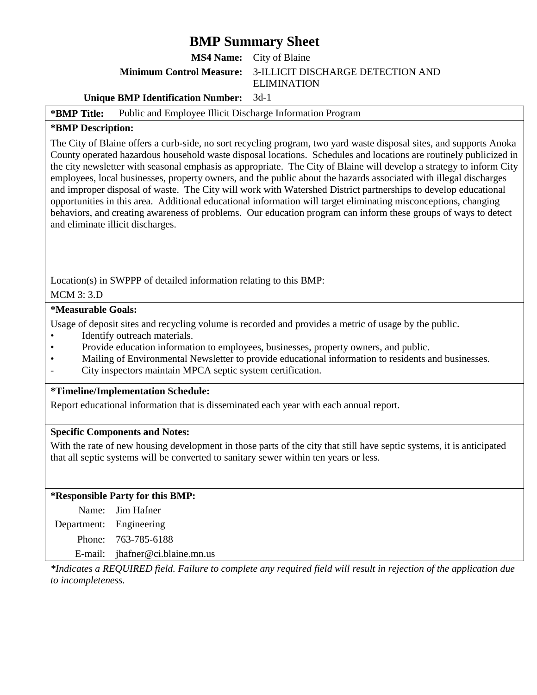**MS4 Name:** City of Blaine

**Minimum Control Measure:** 3-ILLICIT DISCHARGE DETECTION AND

ELIMINATION

#### **Unique BMP Identification Number:** 3d-1

#### **\*BMP Title:** Public and Employee Illicit Discharge Information Program

#### **\*BMP Description:**

The City of Blaine offers a curb-side, no sort recycling program, two yard waste disposal sites, and supports Anoka County operated hazardous household waste disposal locations. Schedules and locations are routinely publicized in the city newsletter with seasonal emphasis as appropriate. The City of Blaine will develop a strategy to inform City employees, local businesses, property owners, and the public about the hazards associated with illegal discharges and improper disposal of waste. The City will work with Watershed District partnerships to develop educational opportunities in this area. Additional educational information will target eliminating misconceptions, changing behaviors, and creating awareness of problems. Our education program can inform these groups of ways to detect and eliminate illicit discharges.

Location(s) in SWPPP of detailed information relating to this BMP:

#### MCM 3: 3.D

#### **\*Measurable Goals:**

Usage of deposit sites and recycling volume is recorded and provides a metric of usage by the public.

- Identify outreach materials.
- Provide education information to employees, businesses, property owners, and public.
- Mailing of Environmental Newsletter to provide educational information to residents and businesses.
- City inspectors maintain MPCA septic system certification.

#### **\*Timeline/Implementation Schedule:**

Report educational information that is disseminated each year with each annual report.

#### **Specific Components and Notes:**

With the rate of new housing development in those parts of the city that still have septic systems, it is anticipated that all septic systems will be converted to sanitary sewer within ten years or less.

#### **\*Responsible Party for this BMP:**

|                         | Name: Jim Hafner                |
|-------------------------|---------------------------------|
| Department: Engineering |                                 |
|                         | Phone: 763-785-6188             |
|                         | E-mail: jhafner@ci.blaine.mn.us |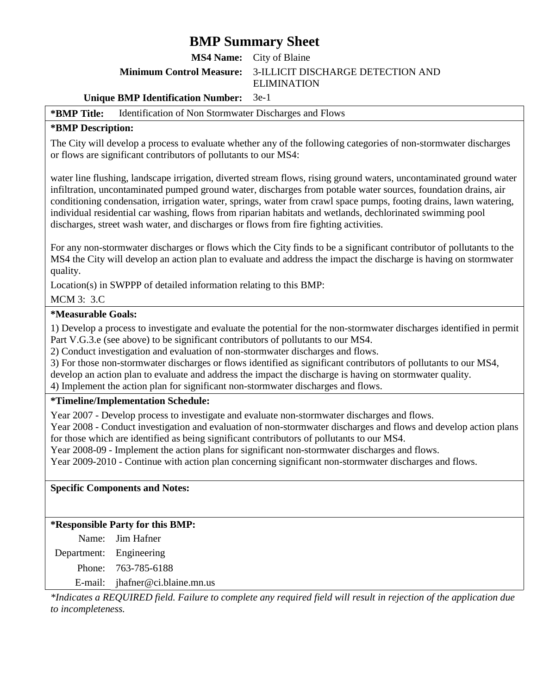**MS4 Name:** City of Blaine

**Minimum Control Measure:** 3-ILLICIT DISCHARGE DETECTION AND

ELIMINATION

#### **Unique BMP Identification Number:** 3e-1

#### **\*BMP Title:** Identification of Non Stormwater Discharges and Flows

#### **\*BMP Description:**

The City will develop a process to evaluate whether any of the following categories of non-stormwater discharges or flows are significant contributors of pollutants to our MS4:

water line flushing, landscape irrigation, diverted stream flows, rising ground waters, uncontaminated ground water infiltration, uncontaminated pumped ground water, discharges from potable water sources, foundation drains, air conditioning condensation, irrigation water, springs, water from crawl space pumps, footing drains, lawn watering, individual residential car washing, flows from riparian habitats and wetlands, dechlorinated swimming pool discharges, street wash water, and discharges or flows from fire fighting activities.

For any non-stormwater discharges or flows which the City finds to be a significant contributor of pollutants to the MS4 the City will develop an action plan to evaluate and address the impact the discharge is having on stormwater quality.

Location(s) in SWPPP of detailed information relating to this BMP:

#### MCM 3: 3.C

#### **\*Measurable Goals:**

1) Develop a process to investigate and evaluate the potential for the non-stormwater discharges identified in permit Part V.G.3.e (see above) to be significant contributors of pollutants to our MS4.

2) Conduct investigation and evaluation of non-stormwater discharges and flows.

3) For those non-stormwater discharges or flows identified as significant contributors of pollutants to our MS4,

develop an action plan to evaluate and address the impact the discharge is having on stormwater quality.

4) Implement the action plan for significant non-stormwater discharges and flows.

#### **\*Timeline/Implementation Schedule:**

Year 2007 - Develop process to investigate and evaluate non-stormwater discharges and flows.

Year 2008 - Conduct investigation and evaluation of non-stormwater discharges and flows and develop action plans for those which are identified as being significant contributors of pollutants to our MS4.

Year 2008-09 - Implement the action plans for significant non-stormwater discharges and flows.

Year 2009-2010 - Continue with action plan concerning significant non-stormwater discharges and flows.

**Specific Components and Notes:** 

#### **\*Responsible Party for this BMP:**

|                         | Name: Jim Hafner                |
|-------------------------|---------------------------------|
| Department: Engineering |                                 |
|                         | Phone: 763-785-6188             |
|                         | E-mail: jhafner@ci.blaine.mn.us |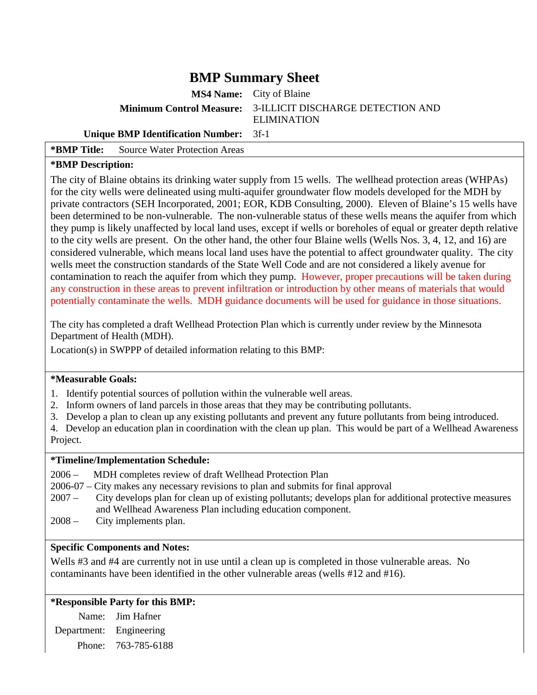**MS4 Name:** City of Blaine

**Minimum Control Measure:** 3-ILLICIT DISCHARGE DETECTION AND

ELIMINATION

#### **Unique BMP Identification Number:** 3f-1

**\*BMP Title:** Source Water Protection Areas

#### **\*BMP Description:**

The city of Blaine obtains its drinking water supply from 15 wells. The wellhead protection areas (WHPAs) for the city wells were delineated using multi-aquifer groundwater flow models developed for the MDH by private contractors (SEH Incorporated, 2001; EOR, KDB Consulting, 2000). Eleven of Blaine's 15 wells have been determined to be non-vulnerable. The non-vulnerable status of these wells means the aquifer from which they pump is likely unaffected by local land uses, except if wells or boreholes of equal or greater depth relative to the city wells are present. On the other hand, the other four Blaine wells (Wells Nos. 3, 4, 12, and 16) are considered vulnerable, which means local land uses have the potential to affect groundwater quality. The city wells meet the construction standards of the State Well Code and are not considered a likely avenue for contamination to reach the aquifer from which they pump. However, proper precautions will be taken during any construction in these areas to prevent infiltration or introduction by other means of materials that would potentially contaminate the wells. MDH guidance documents will be used for guidance in those situations.

The city has completed a draft Wellhead Protection Plan which is currently under review by the Minnesota Department of Health (MDH).

Location(s) in SWPPP of detailed information relating to this BMP:

#### **\*Measurable Goals:**

- 1. Identify potential sources of pollution within the vulnerable well areas.
- 2. Inform owners of land parcels in those areas that they may be contributing pollutants.
- 3. Develop a plan to clean up any existing pollutants and prevent any future pollutants from being introduced.

4. Develop an education plan in coordination with the clean up plan. This would be part of a Wellhead Awareness Project.

#### **\*Timeline/Implementation Schedule:**

- 2006 MDH completes review of draft Wellhead Protection Plan
- 2006-07 City makes any necessary revisions to plan and submits for final approval
- 2007 City develops plan for clean up of existing pollutants; develops plan for additional protective measures and Wellhead Awareness Plan including education component.
- 2008 City implements plan.

#### **Specific Components and Notes:**

Wells #3 and #4 are currently not in use until a clean up is completed in those vulnerable areas. No contaminants have been identified in the other vulnerable areas (wells #12 and #16).

#### **\*Responsible Party for this BMP:**

Name: Jim Hafner Department: Engineering Phone: 763-785-6188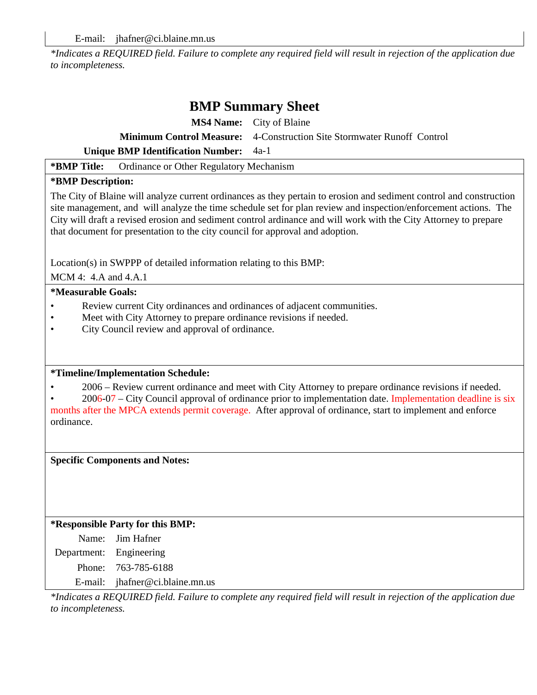*\*Indicates a REQUIRED field. Failure to complete any required field will result in rejection of the application due to incompleteness.* 

### **BMP Summary Sheet**

|                                               | <b>MS4 Name:</b> City of Blaine                                               |
|-----------------------------------------------|-------------------------------------------------------------------------------|
|                                               | <b>Minimum Control Measure:</b> 4-Construction Site Stormwater Runoff Control |
| <b>Unique BMP Identification Number:</b> 4a-1 |                                                                               |

**\*BMP Title:** Ordinance or Other Regulatory Mechanism

#### **\*BMP Description:**

The City of Blaine will analyze current ordinances as they pertain to erosion and sediment control and construction site management, and will analyze the time schedule set for plan review and inspection/enforcement actions. The City will draft a revised erosion and sediment control ardinance and will work with the City Attorney to prepare that document for presentation to the city council for approval and adoption.

Location(s) in SWPPP of detailed information relating to this BMP:

MCM 4: 4.A and 4.A.1

#### **\*Measurable Goals:**

- Review current City ordinances and ordinances of adjacent communities.
- Meet with City Attorney to prepare ordinance revisions if needed.
- City Council review and approval of ordinance.

#### **\*Timeline/Implementation Schedule:**

• 2006 – Review current ordinance and meet with City Attorney to prepare ordinance revisions if needed.

• 2006-07 – City Council approval of ordinance prior to implementation date. Implementation deadline is six months after the MPCA extends permit coverage. After approval of ordinance, start to implement and enforce ordinance.

**Specific Components and Notes:** 

#### **\*Responsible Party for this BMP:**

Name: Jim Hafner Department: Engineering Phone: 763-785-6188 E-mail: jhafner@ci.blaine.mn.us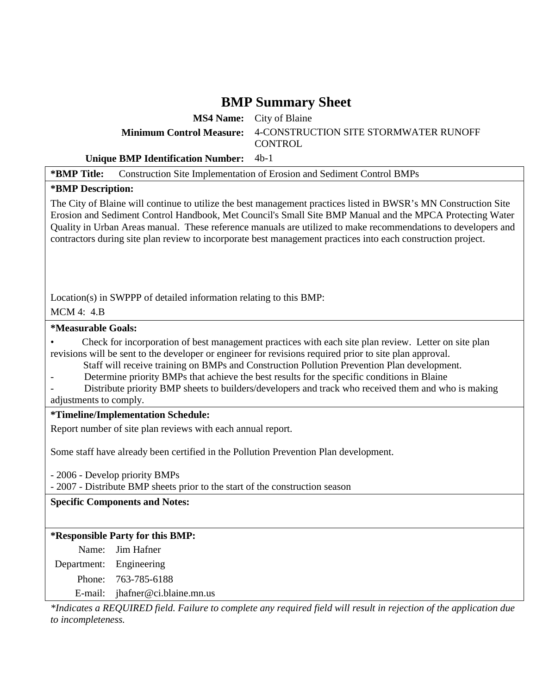**MS4 Name:** City of Blaine **Minimum Control Measure:** 4-CONSTRUCTION SITE STORMWATER RUNOFF CONTROL

#### **Unique BMP Identification Number:** 4b-1

**\*BMP Title:** Construction Site Implementation of Erosion and Sediment Control BMPs

#### **\*BMP Description:**

The City of Blaine will continue to utilize the best management practices listed in BWSR's MN Construction Site Erosion and Sediment Control Handbook, Met Council's Small Site BMP Manual and the MPCA Protecting Water Quality in Urban Areas manual. These reference manuals are utilized to make recommendations to developers and contractors during site plan review to incorporate best management practices into each construction project.

Location(s) in SWPPP of detailed information relating to this BMP:

MCM 4: 4.B

#### **\*Measurable Goals:**

• Check for incorporation of best management practices with each site plan review. Letter on site plan revisions will be sent to the developer or engineer for revisions required prior to site plan approval.

- Staff will receive training on BMPs and Construction Pollution Prevention Plan development.
- Determine priority BMPs that achieve the best results for the specific conditions in Blaine

Distribute priority BMP sheets to builders/developers and track who received them and who is making adjustments to comply.

#### **\*Timeline/Implementation Schedule:**

Report number of site plan reviews with each annual report.

Some staff have already been certified in the Pollution Prevention Plan development.

- 2006 - Develop priority BMPs

- 2007 - Distribute BMP sheets prior to the start of the construction season

**Specific Components and Notes:** 

#### **\*Responsible Party for this BMP:**

Name: Jim Hafner Department: Engineering Phone: 763-785-6188

E-mail: jhafner@ci.blaine.mn.us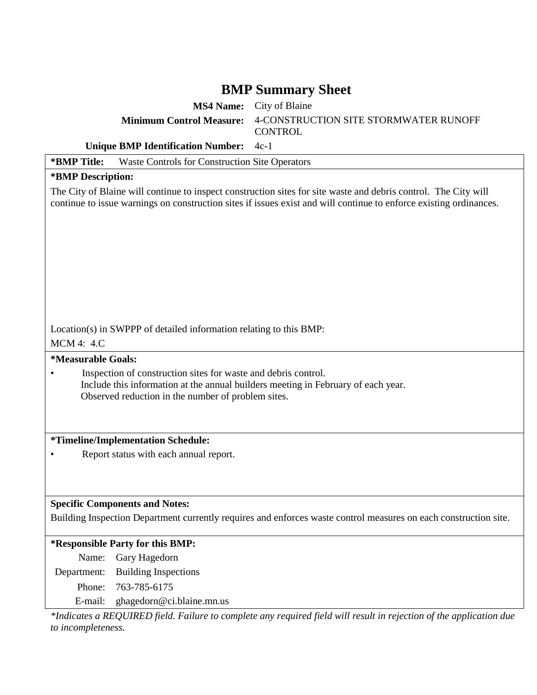**MS4 Name:** City of Blaine **Minimum Control Measure:** 4-CONSTRUCTION SITE STORMWATER RUNOFF **CONTROL** 

**Unique BMP Identification Number:** 4c-1

**\*BMP Title:** Waste Controls for Construction Site Operators **\*BMP Description:**  The City of Blaine will continue to inspect construction sites for site waste and debris control. The City will continue to issue warnings on construction sites if issues exist and will continue to enforce existing ordinances. Location(s) in SWPPP of detailed information relating to this BMP: MCM 4: 4.C **\*Measurable Goals:**  • Inspection of construction sites for waste and debris control. Include this information at the annual builders meeting in February of each year. Observed reduction in the number of problem sites. **\*Timeline/Implementation Schedule:**  • Report status with each annual report. **Specific Components and Notes:**  Building Inspection Department currently requires and enforces waste control measures on each construction site. **\*Responsible Party for this BMP:**  Name: Gary Hagedorn Department: Building Inspections Phone: 763-785-6175

E-mail: ghagedorn@ci.blaine.mn.us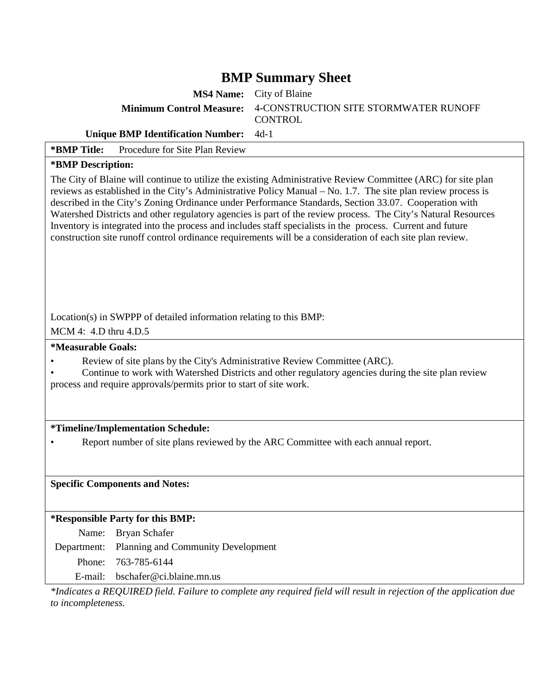**MS4 Name:** City of Blaine **Minimum Control Measure:** 4-CONSTRUCTION SITE STORMWATER RUNOFF **CONTROL** 

#### **Unique BMP Identification Number:** 4d-1

| *BMP Title: | Procedure for Site Plan Review |
|-------------|--------------------------------|
|             |                                |

#### **\*BMP Description:**

The City of Blaine will continue to utilize the existing Administrative Review Committee (ARC) for site plan reviews as established in the City's Administrative Policy Manual – No. 1.7. The site plan review process is described in the City's Zoning Ordinance under Performance Standards, Section 33.07. Cooperation with Watershed Districts and other regulatory agencies is part of the review process. The City's Natural Resources Inventory is integrated into the process and includes staff specialists in the process. Current and future construction site runoff control ordinance requirements will be a consideration of each site plan review.

Location(s) in SWPPP of detailed information relating to this BMP:

MCM 4: 4.D thru 4.D.5

**\*Measurable Goals:** 

- Review of site plans by the City's Administrative Review Committee (ARC).
- Continue to work with Watershed Districts and other regulatory agencies during the site plan review process and require approvals/permits prior to start of site work.

#### **\*Timeline/Implementation Schedule:**

• Report number of site plans reviewed by the ARC Committee with each annual report.

#### **Specific Components and Notes:**

#### **\*Responsible Party for this BMP:**

Name: Bryan Schafer

Department: Planning and Community Development

Phone: 763-785-6144

E-mail: bschafer@ci.blaine.mn.us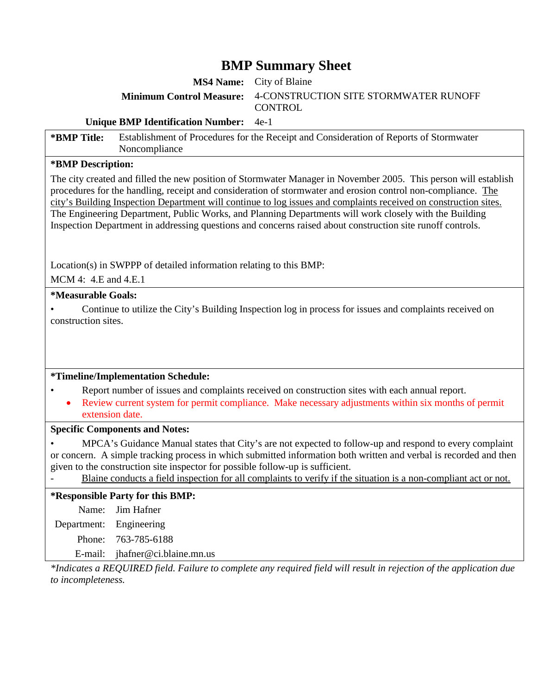**MS4 Name:** City of Blaine **Minimum Control Measure:** 4-CONSTRUCTION SITE STORMWATER RUNOFF **CONTROL** 

#### **Unique BMP Identification Number:** 4e-1

**\*BMP Title:** Establishment of Procedures for the Receipt and Consideration of Reports of Stormwater Noncompliance

#### **\*BMP Description:**

The city created and filled the new position of Stormwater Manager in November 2005. This person will establish procedures for the handling, receipt and consideration of stormwater and erosion control non-compliance. The city's Building Inspection Department will continue to log issues and complaints received on construction sites. The Engineering Department, Public Works, and Planning Departments will work closely with the Building Inspection Department in addressing questions and concerns raised about construction site runoff controls.

Location(s) in SWPPP of detailed information relating to this BMP:

MCM 4: 4.E and 4.E.1

#### **\*Measurable Goals:**

• Continue to utilize the City's Building Inspection log in process for issues and complaints received on construction sites.

#### **\*Timeline/Implementation Schedule:**

- Report number of issues and complaints received on construction sites with each annual report.
- Review current system for permit compliance. Make necessary adjustments within six months of permit extension date.

#### **Specific Components and Notes:**

• MPCA's Guidance Manual states that City's are not expected to follow-up and respond to every complaint or concern. A simple tracking process in which submitted information both written and verbal is recorded and then given to the construction site inspector for possible follow-up is sufficient.

Blaine conducts a field inspection for all complaints to verify if the situation is a non-compliant act or not.

#### **\*Responsible Party for this BMP:**

|                         | Name: Jim Hafner                |
|-------------------------|---------------------------------|
| Department: Engineering |                                 |
|                         | Phone: 763-785-6188             |
|                         | E-mail: jhafner@ci.blaine.mn.us |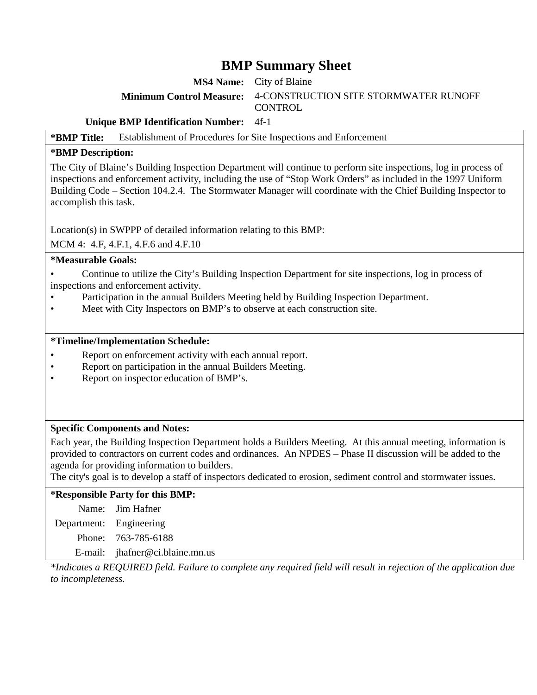**MS4 Name:** City of Blaine **Minimum Control Measure:** 4-CONSTRUCTION SITE STORMWATER RUNOFF **CONTROL** 

**Unique BMP Identification Number:** 4f-1

**\*BMP Title:** Establishment of Procedures for Site Inspections and Enforcement

#### **\*BMP Description:**

The City of Blaine's Building Inspection Department will continue to perform site inspections, log in process of inspections and enforcement activity, including the use of "Stop Work Orders" as included in the 1997 Uniform Building Code – Section 104.2.4. The Stormwater Manager will coordinate with the Chief Building Inspector to accomplish this task.

Location(s) in SWPPP of detailed information relating to this BMP:

MCM 4: 4.F, 4.F.1, 4.F.6 and 4.F.10

#### **\*Measurable Goals:**

• Continue to utilize the City's Building Inspection Department for site inspections, log in process of inspections and enforcement activity.

- Participation in the annual Builders Meeting held by Building Inspection Department.
- Meet with City Inspectors on BMP's to observe at each construction site.

#### **\*Timeline/Implementation Schedule:**

- Report on enforcement activity with each annual report.
- Report on participation in the annual Builders Meeting.
- Report on inspector education of BMP's.

#### **Specific Components and Notes:**

Each year, the Building Inspection Department holds a Builders Meeting. At this annual meeting, information is provided to contractors on current codes and ordinances. An NPDES – Phase II discussion will be added to the agenda for providing information to builders.

The city's goal is to develop a staff of inspectors dedicated to erosion, sediment control and stormwater issues.

**\*Responsible Party for this BMP:**  Name: Jim Hafner Department: Engineering Phone: 763-785-6188 E-mail: jhafner@ci.blaine.mn.us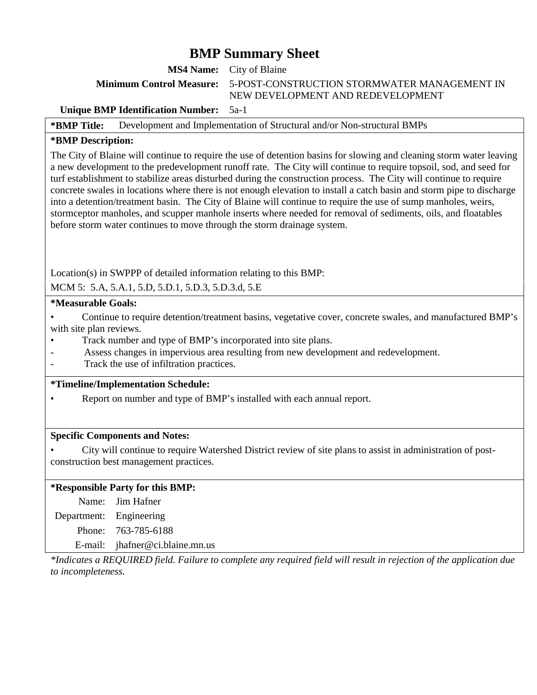**MS4 Name:** City of Blaine

**Minimum Control Measure:** 5-POST-CONSTRUCTION STORMWATER MANAGEMENT IN NEW DEVELOPMENT AND REDEVELOPMENT

#### **Unique BMP Identification Number:** 5a-1

**\*BMP Title:** Development and Implementation of Structural and/or Non-structural BMPs

#### **\*BMP Description:**

The City of Blaine will continue to require the use of detention basins for slowing and cleaning storm water leaving a new development to the predevelopment runoff rate. The City will continue to require topsoil, sod, and seed for turf establishment to stabilize areas disturbed during the construction process. The City will continue to require concrete swales in locations where there is not enough elevation to install a catch basin and storm pipe to discharge into a detention/treatment basin. The City of Blaine will continue to require the use of sump manholes, weirs, stormceptor manholes, and scupper manhole inserts where needed for removal of sediments, oils, and floatables before storm water continues to move through the storm drainage system.

Location(s) in SWPPP of detailed information relating to this BMP:

MCM 5: 5.A, 5.A.1, 5.D, 5.D.1, 5.D.3, 5.D.3.d, 5.E

#### **\*Measurable Goals:**

• Continue to require detention/treatment basins, vegetative cover, concrete swales, and manufactured BMP's with site plan reviews.

- Track number and type of BMP's incorporated into site plans.
- Assess changes in impervious area resulting from new development and redevelopment.
- Track the use of infiltration practices.

#### **\*Timeline/Implementation Schedule:**

Report on number and type of BMP's installed with each annual report.

#### **Specific Components and Notes:**

• City will continue to require Watershed District review of site plans to assist in administration of postconstruction best management practices.

#### **\*Responsible Party for this BMP:**

Name: Jim Hafner

Department: Engineering

Phone: 763-785-6188

E-mail: jhafner@ci.blaine.mn.us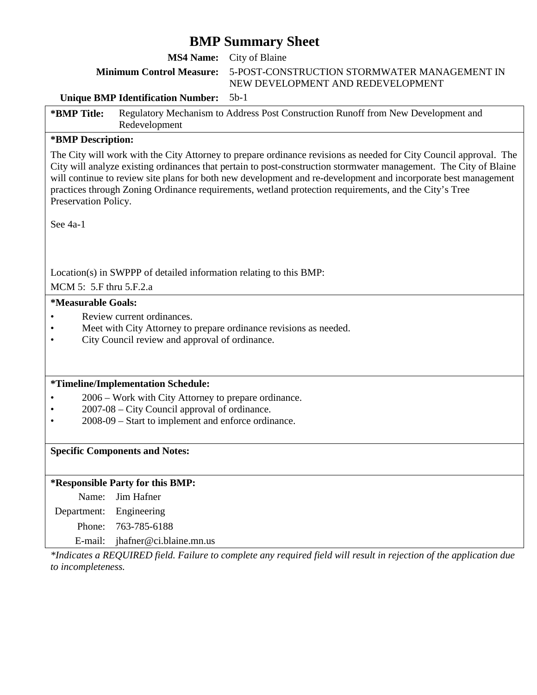**MS4 Name:** City of Blaine

**Minimum Control Measure:** 5-POST-CONSTRUCTION STORMWATER MANAGEMENT IN NEW DEVELOPMENT AND REDEVELOPMENT

#### **Unique BMP Identification Number:** 5b-1

**\*BMP Title:** Regulatory Mechanism to Address Post Construction Runoff from New Development and Redevelopment

#### **\*BMP Description:**

The City will work with the City Attorney to prepare ordinance revisions as needed for City Council approval. The City will analyze existing ordinances that pertain to post-construction stormwater management. The City of Blaine will continue to review site plans for both new development and re-development and incorporate best management practices through Zoning Ordinance requirements, wetland protection requirements, and the City's Tree Preservation Policy.

See 4a-1

Location(s) in SWPPP of detailed information relating to this BMP:

MCM 5: 5.F thru 5.F.2.a

#### **\*Measurable Goals:**

- Review current ordinances.
- Meet with City Attorney to prepare ordinance revisions as needed.
- City Council review and approval of ordinance.

#### **\*Timeline/Implementation Schedule:**

- 2006 Work with City Attorney to prepare ordinance.
- 2007-08 City Council approval of ordinance.
- 2008-09 Start to implement and enforce ordinance.

#### **Specific Components and Notes:**

#### **\*Responsible Party for this BMP:**

Name: Jim Hafner Department: Engineering

Phone: 763-785-6188

E-mail: jhafner@ci.blaine.mn.us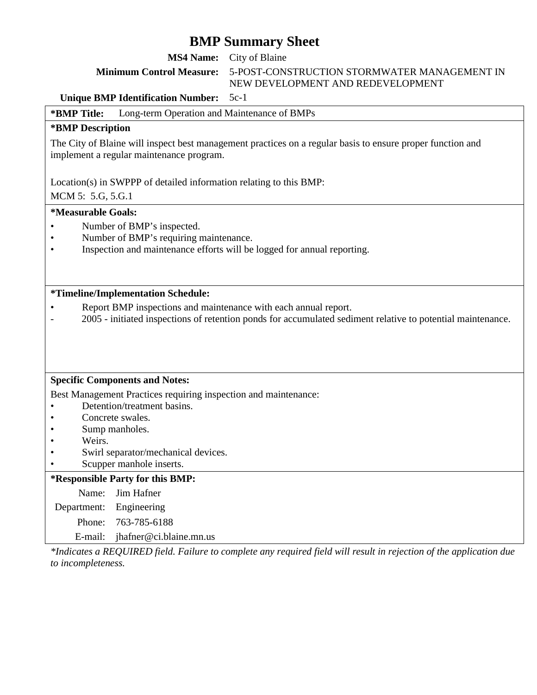**MS4 Name:** City of Blaine

**Minimum Control Measure:** 5-POST-CONSTRUCTION STORMWATER MANAGEMENT IN NEW DEVELOPMENT AND REDEVELOPMENT

**Unique BMP Identification Number:** 5c-1

**\*BMP Title:** Long-term Operation and Maintenance of BMPs

#### **\*BMP Description**

The City of Blaine will inspect best management practices on a regular basis to ensure proper function and implement a regular maintenance program.

Location(s) in SWPPP of detailed information relating to this BMP:

MCM 5: 5.G, 5.G.1

#### **\*Measurable Goals:**

- Number of BMP's inspected.
- Number of BMP's requiring maintenance.
- Inspection and maintenance efforts will be logged for annual reporting.

#### **\*Timeline/Implementation Schedule:**

- Report BMP inspections and maintenance with each annual report.
- 2005 initiated inspections of retention ponds for accumulated sediment relative to potential maintenance.

#### **Specific Components and Notes:**

Best Management Practices requiring inspection and maintenance:

- Detention/treatment basins.
- Concrete swales.
- Sump manholes.
- Weirs.
- Swirl separator/mechanical devices.
- Scupper manhole inserts.

**\*Responsible Party for this BMP:**  Name: Jim Hafner Department: Engineering Phone: 763-785-6188 E-mail: jhafner@ci.blaine.mn.us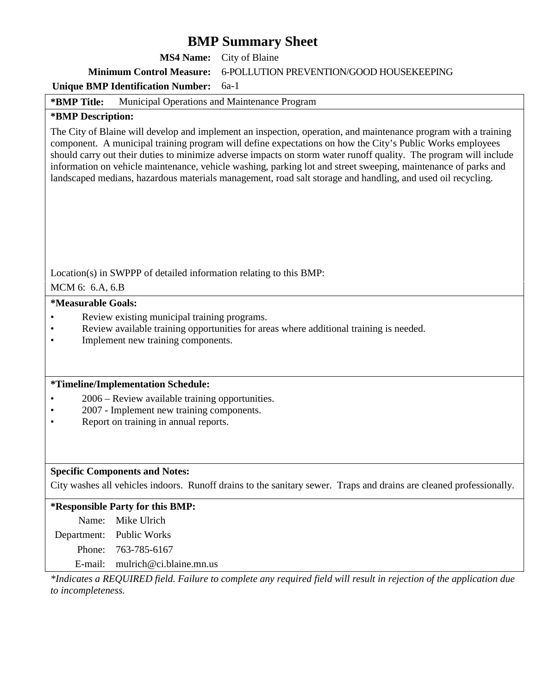|                           | <b>MS4 Name:</b>                                                                                                                      | City of Blaine                                                                                                                                                                                                                                                                                                                                                                                                                                                                                                                                                                     |
|---------------------------|---------------------------------------------------------------------------------------------------------------------------------------|------------------------------------------------------------------------------------------------------------------------------------------------------------------------------------------------------------------------------------------------------------------------------------------------------------------------------------------------------------------------------------------------------------------------------------------------------------------------------------------------------------------------------------------------------------------------------------|
|                           | <b>Minimum Control Measure:</b>                                                                                                       | 6-POLLUTION PREVENTION/GOOD HOUSEKEEPING                                                                                                                                                                                                                                                                                                                                                                                                                                                                                                                                           |
|                           | <b>Unique BMP Identification Number:</b>                                                                                              | $6a-1$                                                                                                                                                                                                                                                                                                                                                                                                                                                                                                                                                                             |
| *BMP Title:               | Municipal Operations and Maintenance Program                                                                                          |                                                                                                                                                                                                                                                                                                                                                                                                                                                                                                                                                                                    |
| *BMP Description:         |                                                                                                                                       |                                                                                                                                                                                                                                                                                                                                                                                                                                                                                                                                                                                    |
|                           |                                                                                                                                       | The City of Blaine will develop and implement an inspection, operation, and maintenance program with a training<br>component. A municipal training program will define expectations on how the City's Public Works employees<br>should carry out their duties to minimize adverse impacts on storm water runoff quality. The program will include<br>information on vehicle maintenance, vehicle washing, parking lot and street sweeping, maintenance of parks and<br>landscaped medians, hazardous materials management, road salt storage and handling, and used oil recycling. |
| MCM 6: 6.A, 6.B           |                                                                                                                                       | Location(s) in SWPPP of detailed information relating to this BMP:                                                                                                                                                                                                                                                                                                                                                                                                                                                                                                                 |
| <i>*Measurable Goals:</i> |                                                                                                                                       |                                                                                                                                                                                                                                                                                                                                                                                                                                                                                                                                                                                    |
|                           | Review existing municipal training programs.<br>Implement new training components.                                                    | Review available training opportunities for areas where additional training is needed.                                                                                                                                                                                                                                                                                                                                                                                                                                                                                             |
|                           | *Timeline/Implementation Schedule:                                                                                                    |                                                                                                                                                                                                                                                                                                                                                                                                                                                                                                                                                                                    |
|                           | 2006 – Review available training opportunities.<br>2007 - Implement new training components.<br>Report on training in annual reports. |                                                                                                                                                                                                                                                                                                                                                                                                                                                                                                                                                                                    |
|                           | <b>Specific Components and Notes:</b>                                                                                                 |                                                                                                                                                                                                                                                                                                                                                                                                                                                                                                                                                                                    |
|                           |                                                                                                                                       | City washes all vehicles indoors. Runoff drains to the sanitary sewer. Traps and drains are cleaned professionally.                                                                                                                                                                                                                                                                                                                                                                                                                                                                |
|                           | *Responsible Party for this BMP:                                                                                                      |                                                                                                                                                                                                                                                                                                                                                                                                                                                                                                                                                                                    |
| Name:                     | Mike Ulrich                                                                                                                           |                                                                                                                                                                                                                                                                                                                                                                                                                                                                                                                                                                                    |
| Department:               | Public Works                                                                                                                          |                                                                                                                                                                                                                                                                                                                                                                                                                                                                                                                                                                                    |
| Phone:                    | 763-785-6167                                                                                                                          |                                                                                                                                                                                                                                                                                                                                                                                                                                                                                                                                                                                    |
| E-mail:                   | mulrich@ci.blaine.mn.us                                                                                                               |                                                                                                                                                                                                                                                                                                                                                                                                                                                                                                                                                                                    |
|                           |                                                                                                                                       | *Indicates a REQUIRED field. Failure to complete any required field will result in rejection of the application due                                                                                                                                                                                                                                                                                                                                                                                                                                                                |

*to incompleteness.*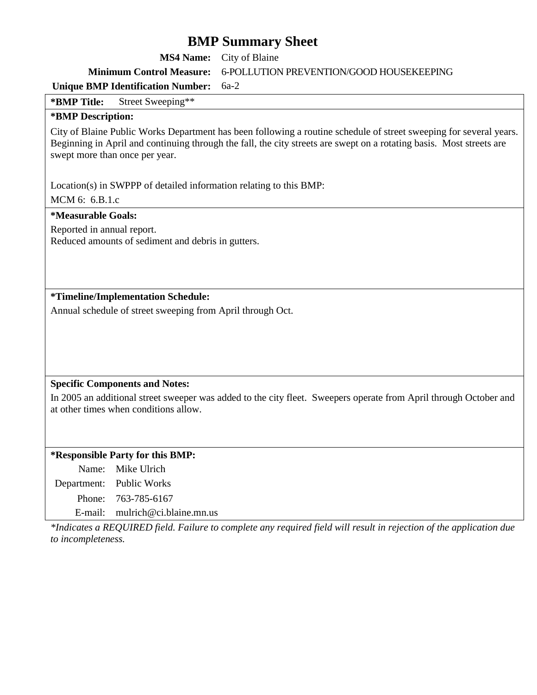| <b>MS4 Name:</b>                                                                                 | City of Blaine                                                                                                                                                                                                                             |
|--------------------------------------------------------------------------------------------------|--------------------------------------------------------------------------------------------------------------------------------------------------------------------------------------------------------------------------------------------|
| <b>Minimum Control Measure:</b>                                                                  | 6-POLLUTION PREVENTION/GOOD HOUSEKEEPING                                                                                                                                                                                                   |
| <b>Unique BMP Identification Number:</b>                                                         | $6a-2$                                                                                                                                                                                                                                     |
| Street Sweeping**<br>*BMP Title:                                                                 |                                                                                                                                                                                                                                            |
| *BMP Description:                                                                                |                                                                                                                                                                                                                                            |
| swept more than once per year.                                                                   | City of Blaine Public Works Department has been following a routine schedule of street sweeping for several years.<br>Beginning in April and continuing through the fall, the city streets are swept on a rotating basis. Most streets are |
| Location(s) in SWPPP of detailed information relating to this BMP:                               |                                                                                                                                                                                                                                            |
| MCM 6: 6.B.1.c                                                                                   |                                                                                                                                                                                                                                            |
| <i>*Measurable Goals:</i>                                                                        |                                                                                                                                                                                                                                            |
| Reported in annual report.<br>Reduced amounts of sediment and debris in gutters.                 |                                                                                                                                                                                                                                            |
| *Timeline/Implementation Schedule:<br>Annual schedule of street sweeping from April through Oct. |                                                                                                                                                                                                                                            |
|                                                                                                  |                                                                                                                                                                                                                                            |
|                                                                                                  |                                                                                                                                                                                                                                            |
| <b>Specific Components and Notes:</b><br>at other times when conditions allow.                   | In 2005 an additional street sweeper was added to the city fleet. Sweepers operate from April through October and                                                                                                                          |
| *Responsible Party for this BMP:                                                                 |                                                                                                                                                                                                                                            |
| Mike Ulrich<br>Name:                                                                             |                                                                                                                                                                                                                                            |
| <b>Public Works</b><br>Department:                                                               |                                                                                                                                                                                                                                            |
| 763-785-6167<br>Phone:                                                                           |                                                                                                                                                                                                                                            |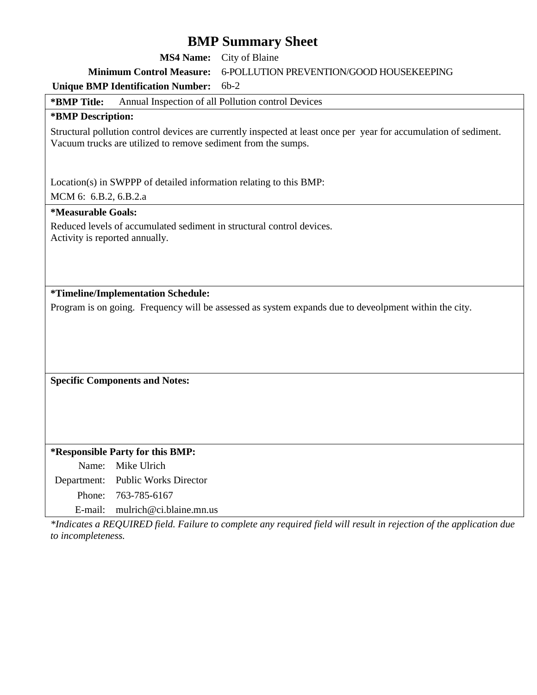|                                |                                                               | <b>BIMP Summary Sheet</b>                                                                                         |
|--------------------------------|---------------------------------------------------------------|-------------------------------------------------------------------------------------------------------------------|
|                                | <b>MS4 Name:</b>                                              | City of Blaine                                                                                                    |
|                                | <b>Minimum Control Measure:</b>                               | 6-POLLUTION PREVENTION/GOOD HOUSEKEEPING                                                                          |
|                                | <b>Unique BMP Identification Number:</b>                      | $6b-2$                                                                                                            |
| *BMP Title:                    |                                                               | Annual Inspection of all Pollution control Devices                                                                |
| *BMP Description:              |                                                               |                                                                                                                   |
|                                | Vacuum trucks are utilized to remove sediment from the sumps. | Structural pollution control devices are currently inspected at least once per year for accumulation of sediment. |
| MCM 6: 6.B.2, 6.B.2.a          |                                                               | Location(s) in SWPPP of detailed information relating to this BMP:                                                |
| <i>*Measurable Goals:</i>      |                                                               |                                                                                                                   |
| Activity is reported annually. |                                                               | Reduced levels of accumulated sediment in structural control devices.                                             |
|                                |                                                               |                                                                                                                   |
|                                |                                                               |                                                                                                                   |
|                                | *Timeline/Implementation Schedule:                            |                                                                                                                   |
|                                |                                                               | Program is on going. Frequency will be assessed as system expands due to deveolpment within the city.             |
|                                |                                                               |                                                                                                                   |
|                                |                                                               |                                                                                                                   |
|                                |                                                               |                                                                                                                   |
|                                |                                                               |                                                                                                                   |
|                                | <b>Specific Components and Notes:</b>                         |                                                                                                                   |
|                                |                                                               |                                                                                                                   |
|                                |                                                               |                                                                                                                   |
|                                |                                                               |                                                                                                                   |
|                                | *Responsible Party for this BMP:                              |                                                                                                                   |
| Name:                          | Mike Ulrich                                                   |                                                                                                                   |
| Department:                    | <b>Public Works Director</b>                                  |                                                                                                                   |
| Phone:                         | 763-785-6167                                                  |                                                                                                                   |
| E-mail:                        | mulrich@ci.blaine.mn.us                                       |                                                                                                                   |
| $*I_2$ diagram                 | $_{c}$ DEOUDED $f_{c}$ , 11 Explorate equal to some proper    | $d$ field will negate in<br>$\mathcal{L}$ $\mathcal{L}$                                                           |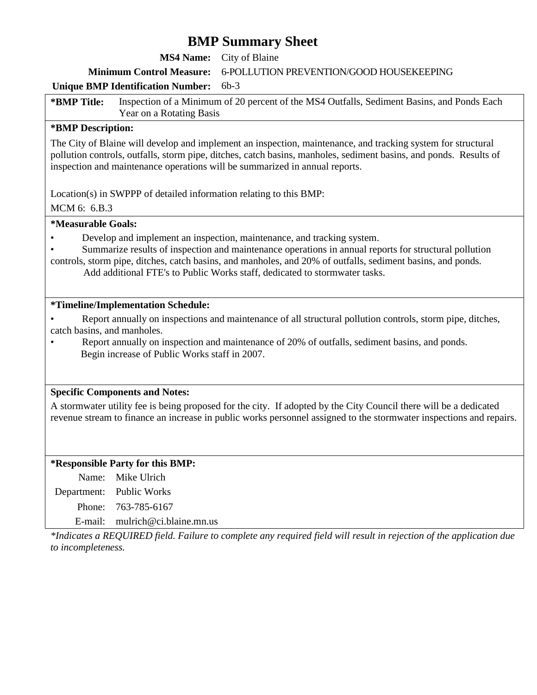**MS4 Name:** City of Blaine

**Minimum Control Measure:** 6-POLLUTION PREVENTION/GOOD HOUSEKEEPING

#### **Unique BMP Identification Number:** 6b-3

**\*BMP Title:** Inspection of a Minimum of 20 percent of the MS4 Outfalls, Sediment Basins, and Ponds Each Year on a Rotating Basis

#### **\*BMP Description:**

The City of Blaine will develop and implement an inspection, maintenance, and tracking system for structural pollution controls, outfalls, storm pipe, ditches, catch basins, manholes, sediment basins, and ponds. Results of inspection and maintenance operations will be summarized in annual reports.

Location(s) in SWPPP of detailed information relating to this BMP:

MCM 6: 6.B.3

#### **\*Measurable Goals:**

- Develop and implement an inspection, maintenance, and tracking system.
- Summarize results of inspection and maintenance operations in annual reports for structural pollution
- controls, storm pipe, ditches, catch basins, and manholes, and 20% of outfalls, sediment basins, and ponds. Add additional FTE's to Public Works staff, dedicated to stormwater tasks.

#### **\*Timeline/Implementation Schedule:**

• Report annually on inspections and maintenance of all structural pollution controls, storm pipe, ditches, catch basins, and manholes.

• Report annually on inspection and maintenance of 20% of outfalls, sediment basins, and ponds. Begin increase of Public Works staff in 2007.

#### **Specific Components and Notes:**

A stormwater utility fee is being proposed for the city. If adopted by the City Council there will be a dedicated revenue stream to finance an increase in public works personnel assigned to the stormwater inspections and repairs.

#### **\*Responsible Party for this BMP:**

Name: Mike Ulrich Department: Public Works

Phone: 763-785-6167

E-mail: mulrich@ci.blaine.mn.us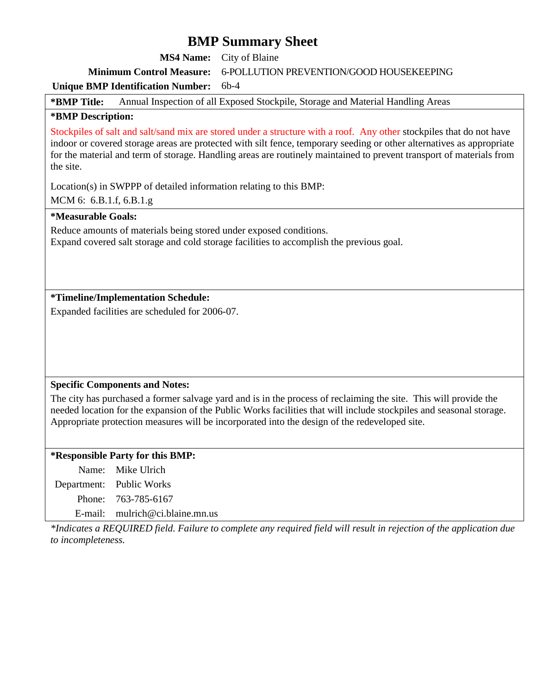**MS4 Name:** City of Blaine

**Minimum Control Measure:** 6-POLLUTION PREVENTION/GOOD HOUSEKEEPING

#### **Unique BMP Identification Number:** 6b-4

**\*BMP Title:** Annual Inspection of all Exposed Stockpile, Storage and Material Handling Areas

#### **\*BMP Description:**

Stockpiles of salt and salt/sand mix are stored under a structure with a roof. Any other stockpiles that do not have indoor or covered storage areas are protected with silt fence, temporary seeding or other alternatives as appropriate for the material and term of storage. Handling areas are routinely maintained to prevent transport of materials from the site.

Location(s) in SWPPP of detailed information relating to this BMP:

MCM 6: 6.B.1.f, 6.B.1.g

#### **\*Measurable Goals:**

Reduce amounts of materials being stored under exposed conditions. Expand covered salt storage and cold storage facilities to accomplish the previous goal.

#### **\*Timeline/Implementation Schedule:**

Expanded facilities are scheduled for 2006-07.

#### **Specific Components and Notes:**

The city has purchased a former salvage yard and is in the process of reclaiming the site. This will provide the needed location for the expansion of the Public Works facilities that will include stockpiles and seasonal storage. Appropriate protection measures will be incorporated into the design of the redeveloped site.

#### **\*Responsible Party for this BMP:**

| Name: Mike Ulrich                 |
|-----------------------------------|
| Department: Public Works          |
| Phone: 763-785-6167               |
| E-mail: $mulrich@ci.blaine.mn.us$ |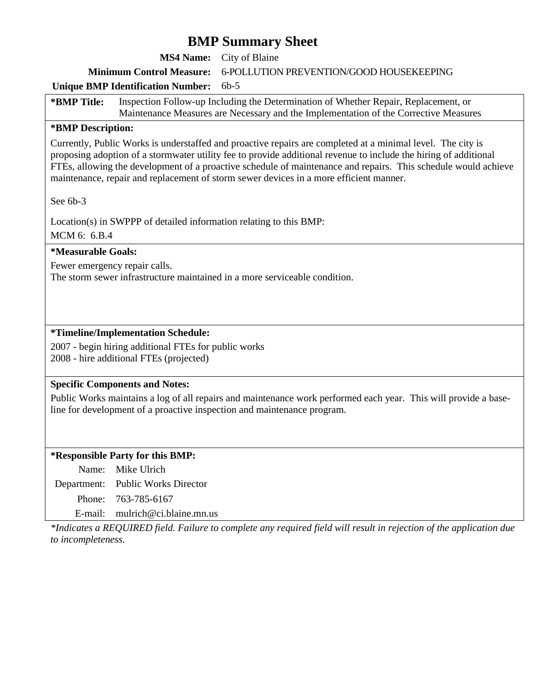**MS4 Name:** City of Blaine

**Minimum Control Measure:** 6-POLLUTION PREVENTION/GOOD HOUSEKEEPING

#### **Unique BMP Identification Number:** 6b-5

**\*BMP Title:** Inspection Follow-up Including the Determination of Whether Repair, Replacement, or Maintenance Measures are Necessary and the Implementation of the Corrective Measures

#### **\*BMP Description:**

Currently, Public Works is understaffed and proactive repairs are completed at a minimal level. The city is proposing adoption of a stormwater utility fee to provide additional revenue to include the hiring of additional FTEs, allowing the development of a proactive schedule of maintenance and repairs. This schedule would achieve maintenance, repair and replacement of storm sewer devices in a more efficient manner.

See 6b-3

Location(s) in SWPPP of detailed information relating to this BMP:

MCM 6: 6.B.4

#### **\*Measurable Goals:**

Fewer emergency repair calls.

The storm sewer infrastructure maintained in a more serviceable condition.

#### **\*Timeline/Implementation Schedule:**

2007 - begin hiring additional FTEs for public works 2008 - hire additional FTEs (projected)

#### **Specific Components and Notes:**

Public Works maintains a log of all repairs and maintenance work performed each year. This will provide a baseline for development of a proactive inspection and maintenance program.

#### **\*Responsible Party for this BMP:**

Name: Mike Ulrich

Department: Public Works Director

Phone: 763-785-6167

E-mail: mulrich@ci.blaine.mn.us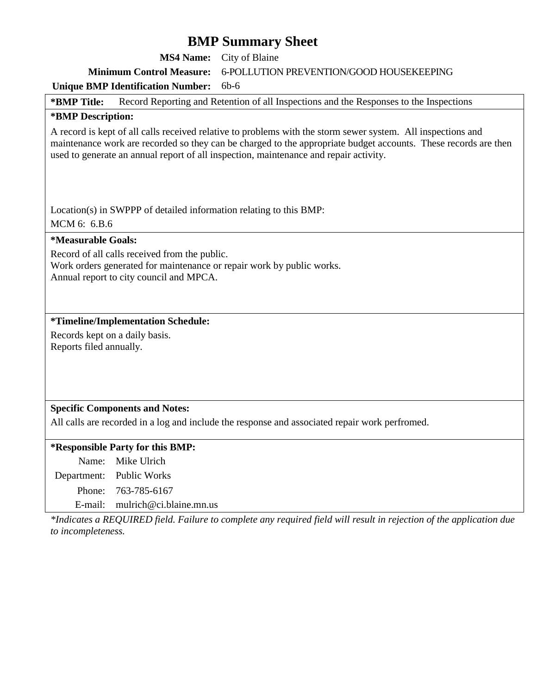**MS4 Name:** City of Blaine

**Minimum Control Measure:** 6-POLLUTION PREVENTION/GOOD HOUSEKEEPING

#### **Unique BMP Identification Number:** 6b-6

**\*BMP Title:** Record Reporting and Retention of all Inspections and the Responses to the Inspections

#### **\*BMP Description:**

A record is kept of all calls received relative to problems with the storm sewer system. All inspections and maintenance work are recorded so they can be charged to the appropriate budget accounts. These records are then used to generate an annual report of all inspection, maintenance and repair activity.

Location(s) in SWPPP of detailed information relating to this BMP:

MCM 6: 6.B.6

#### **\*Measurable Goals:**

Record of all calls received from the public.

Work orders generated for maintenance or repair work by public works. Annual report to city council and MPCA.

#### **\*Timeline/Implementation Schedule:**

Records kept on a daily basis. Reports filed annually.

#### **Specific Components and Notes:**

All calls are recorded in a log and include the response and associated repair work perfromed.

#### **\*Responsible Party for this BMP:**

Name: Mike Ulrich

Department: Public Works

Phone: 763-785-6167

E-mail: mulrich@ci.blaine.mn.us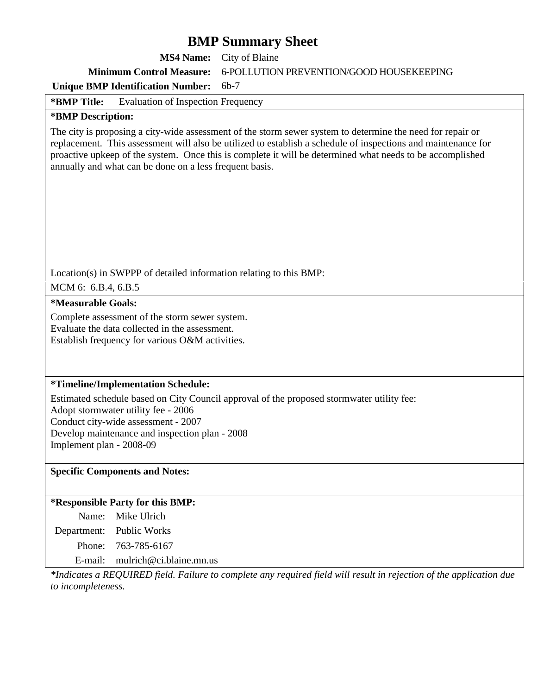| <b>MS4 Name:</b>                                                                                                                                         | City of Blaine                                                                                                                                                                                                                                                                                                                           |
|----------------------------------------------------------------------------------------------------------------------------------------------------------|------------------------------------------------------------------------------------------------------------------------------------------------------------------------------------------------------------------------------------------------------------------------------------------------------------------------------------------|
| <b>Minimum Control Measure:</b>                                                                                                                          | 6-POLLUTION PREVENTION/GOOD HOUSEKEEPING                                                                                                                                                                                                                                                                                                 |
| <b>Unique BMP Identification Number:</b>                                                                                                                 | $6b-7$                                                                                                                                                                                                                                                                                                                                   |
| *BMP Title:<br><b>Evaluation of Inspection Frequency</b>                                                                                                 |                                                                                                                                                                                                                                                                                                                                          |
| *BMP Description:                                                                                                                                        |                                                                                                                                                                                                                                                                                                                                          |
| annually and what can be done on a less frequent basis.                                                                                                  | The city is proposing a city-wide assessment of the storm sewer system to determine the need for repair or<br>replacement. This assessment will also be utilized to establish a schedule of inspections and maintenance for<br>proactive upkeep of the system. Once this is complete it will be determined what needs to be accomplished |
| Location(s) in SWPPP of detailed information relating to this BMP:<br>MCM 6: 6.B.4, 6.B.5                                                                |                                                                                                                                                                                                                                                                                                                                          |
| <i>*Measurable Goals:</i>                                                                                                                                |                                                                                                                                                                                                                                                                                                                                          |
| Complete assessment of the storm sewer system.<br>Evaluate the data collected in the assessment.<br>Establish frequency for various O&M activities.      |                                                                                                                                                                                                                                                                                                                                          |
| *Timeline/Implementation Schedule:                                                                                                                       |                                                                                                                                                                                                                                                                                                                                          |
| Adopt stormwater utility fee - 2006<br>Conduct city-wide assessment - 2007<br>Develop maintenance and inspection plan - 2008<br>Implement plan - 2008-09 | Estimated schedule based on City Council approval of the proposed stormwater utility fee:                                                                                                                                                                                                                                                |
| <b>Specific Components and Notes:</b>                                                                                                                    |                                                                                                                                                                                                                                                                                                                                          |
| *Responsible Party for this BMP:                                                                                                                         |                                                                                                                                                                                                                                                                                                                                          |
| Mike Ulrich<br>Name:                                                                                                                                     |                                                                                                                                                                                                                                                                                                                                          |
| Public Works<br>Department:                                                                                                                              |                                                                                                                                                                                                                                                                                                                                          |
| Phone:<br>763-785-6167                                                                                                                                   |                                                                                                                                                                                                                                                                                                                                          |
| mulrich@ci.blaine.mn.us<br>E-mail:                                                                                                                       |                                                                                                                                                                                                                                                                                                                                          |
| to incompleteness.                                                                                                                                       | *Indicates a REQUIRED field. Failure to complete any required field will result in rejection of the application due                                                                                                                                                                                                                      |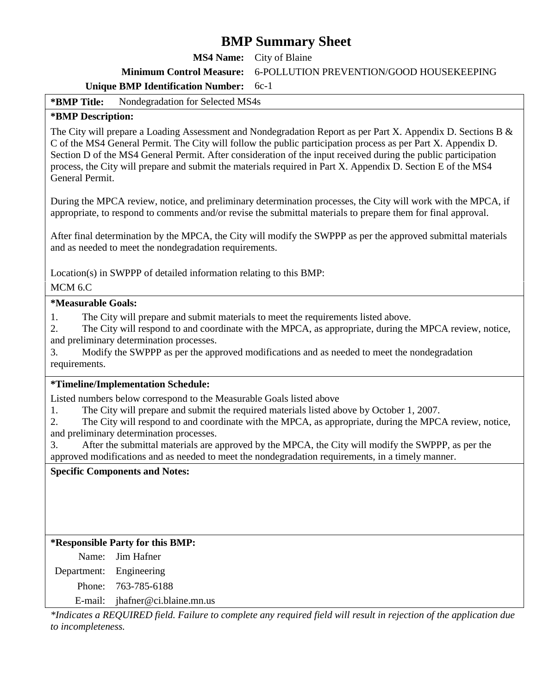**MS4 Name:** City of Blaine

**Minimum Control Measure:** 6-POLLUTION PREVENTION/GOOD HOUSEKEEPING

#### **Unique BMP Identification Number:** 6c-1

**\*BMP Title:** Nondegradation for Selected MS4s

#### **\*BMP Description:**

The City will prepare a Loading Assessment and Nondegradation Report as per Part X. Appendix D. Sections B & C of the MS4 General Permit. The City will follow the public participation process as per Part X. Appendix D. Section D of the MS4 General Permit. After consideration of the input received during the public participation process, the City will prepare and submit the materials required in Part X. Appendix D. Section E of the MS4 General Permit.

During the MPCA review, notice, and preliminary determination processes, the City will work with the MPCA, if appropriate, to respond to comments and/or revise the submittal materials to prepare them for final approval.

After final determination by the MPCA, the City will modify the SWPPP as per the approved submittal materials and as needed to meet the nondegradation requirements.

Location(s) in SWPPP of detailed information relating to this BMP:

MCM 6.C

#### **\*Measurable Goals:**

1. The City will prepare and submit materials to meet the requirements listed above.

2. The City will respond to and coordinate with the MPCA, as appropriate, during the MPCA review, notice, and preliminary determination processes.

3. Modify the SWPPP as per the approved modifications and as needed to meet the nondegradation requirements.

#### **\*Timeline/Implementation Schedule:**

Listed numbers below correspond to the Measurable Goals listed above

1. The City will prepare and submit the required materials listed above by October 1, 2007.

2. The City will respond to and coordinate with the MPCA, as appropriate, during the MPCA review, notice, and preliminary determination processes.

3. After the submittal materials are approved by the MPCA, the City will modify the SWPPP, as per the approved modifications and as needed to meet the nondegradation requirements, in a timely manner.

#### **Specific Components and Notes:**

#### **\*Responsible Party for this BMP:**

Name: Jim Hafner Department: Engineering Phone: 763-785-6188

E-mail: jhafner@ci.blaine.mn.us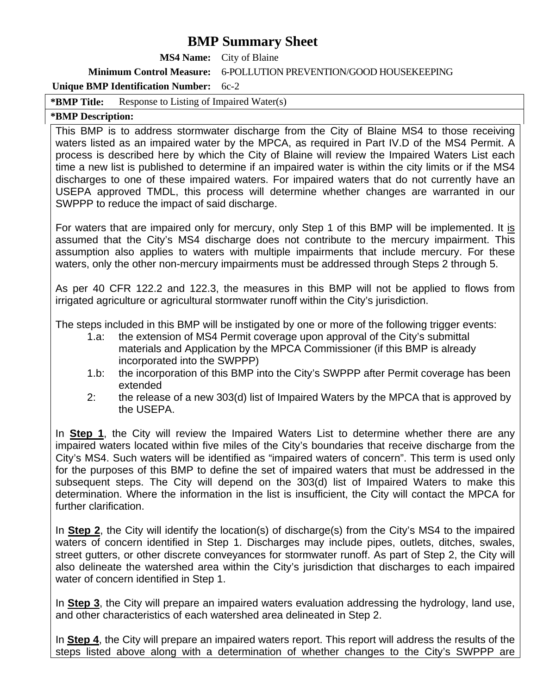**MS4 Name:** City of Blaine

**Minimum Control Measure:** 6-POLLUTION PREVENTION/GOOD HOUSEKEEPING

#### **Unique BMP Identification Number:** 6c-2

**\*BMP Title:** Response to Listing of Impaired Water(s)

#### **\*BMP Description:**

This BMP is to address stormwater discharge from the City of Blaine MS4 to those receiving waters listed as an impaired water by the MPCA, as required in Part IV.D of the MS4 Permit. A process is described here by which the City of Blaine will review the Impaired Waters List each time a new list is published to determine if an impaired water is within the city limits or if the MS4 discharges to one of these impaired waters. For impaired waters that do not currently have an USEPA approved TMDL, this process will determine whether changes are warranted in our SWPPP to reduce the impact of said discharge.

For waters that are impaired only for mercury, only Step 1 of this BMP will be implemented. It is assumed that the City's MS4 discharge does not contribute to the mercury impairment. This assumption also applies to waters with multiple impairments that include mercury. For these waters, only the other non-mercury impairments must be addressed through Steps 2 through 5.

As per 40 CFR 122.2 and 122.3, the measures in this BMP will not be applied to flows from irrigated agriculture or agricultural stormwater runoff within the City's jurisdiction.

The steps included in this BMP will be instigated by one or more of the following trigger events:

- 1.a: the extension of MS4 Permit coverage upon approval of the City's submittal materials and Application by the MPCA Commissioner (if this BMP is already incorporated into the SWPPP)
- 1.b: the incorporation of this BMP into the City's SWPPP after Permit coverage has been extended
- 2: the release of a new 303(d) list of Impaired Waters by the MPCA that is approved by the USEPA.

In **Step 1**, the City will review the Impaired Waters List to determine whether there are any impaired waters located within five miles of the City's boundaries that receive discharge from the City's MS4. Such waters will be identified as "impaired waters of concern". This term is used only for the purposes of this BMP to define the set of impaired waters that must be addressed in the subsequent steps. The City will depend on the 303(d) list of Impaired Waters to make this determination. Where the information in the list is insufficient, the City will contact the MPCA for further clarification.

In **Step 2**, the City will identify the location(s) of discharge(s) from the City's MS4 to the impaired waters of concern identified in Step 1. Discharges may include pipes, outlets, ditches, swales, street gutters, or other discrete conveyances for stormwater runoff. As part of Step 2, the City will also delineate the watershed area within the City's jurisdiction that discharges to each impaired water of concern identified in Step 1.

In **Step 3**, the City will prepare an impaired waters evaluation addressing the hydrology, land use, and other characteristics of each watershed area delineated in Step 2.

In **Step 4**, the City will prepare an impaired waters report. This report will address the results of the steps listed above along with a determination of whether changes to the City's SWPPP are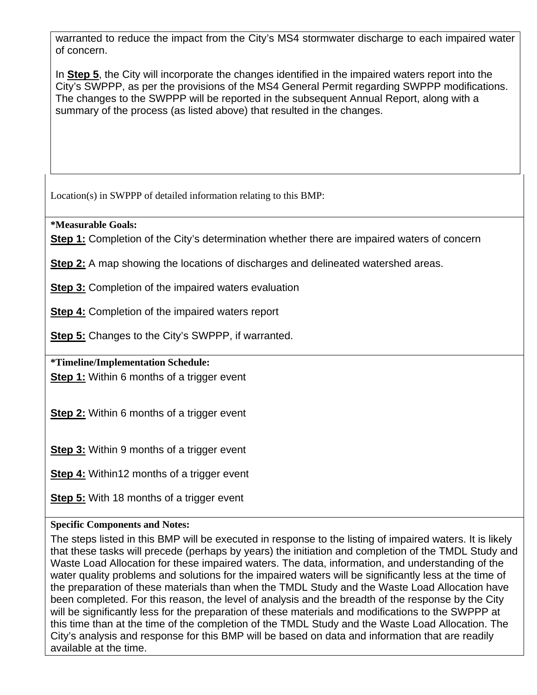warranted to reduce the impact from the City's MS4 stormwater discharge to each impaired water of concern.

In **Step 5**, the City will incorporate the changes identified in the impaired waters report into the City's SWPPP, as per the provisions of the MS4 General Permit regarding SWPPP modifications. The changes to the SWPPP will be reported in the subsequent Annual Report, along with a summary of the process (as listed above) that resulted in the changes.

Location(s) in SWPPP of detailed information relating to this BMP:

**\*Measurable Goals:** 

**Step 1:** Completion of the City's determination whether there are impaired waters of concern

**Step 2:** A map showing the locations of discharges and delineated watershed areas.

**Step 3:** Completion of the impaired waters evaluation

**Step 4:** Completion of the impaired waters report

**Step 5:** Changes to the City's SWPPP, if warranted.

**\*Timeline/Implementation Schedule:** 

**Step 1:** Within 6 months of a trigger event

**Step 2:** Within 6 months of a trigger event

**Step 3:** Within 9 months of a trigger event

**Step 4:** Within12 months of a trigger event

**Step 5:** With 18 months of a trigger event

### **Specific Components and Notes:**

The steps listed in this BMP will be executed in response to the listing of impaired waters. It is likely that these tasks will precede (perhaps by years) the initiation and completion of the TMDL Study and Waste Load Allocation for these impaired waters. The data, information, and understanding of the water quality problems and solutions for the impaired waters will be significantly less at the time of the preparation of these materials than when the TMDL Study and the Waste Load Allocation have been completed. For this reason, the level of analysis and the breadth of the response by the City will be significantly less for the preparation of these materials and modifications to the SWPPP at this time than at the time of the completion of the TMDL Study and the Waste Load Allocation. The City's analysis and response for this BMP will be based on data and information that are readily available at the time.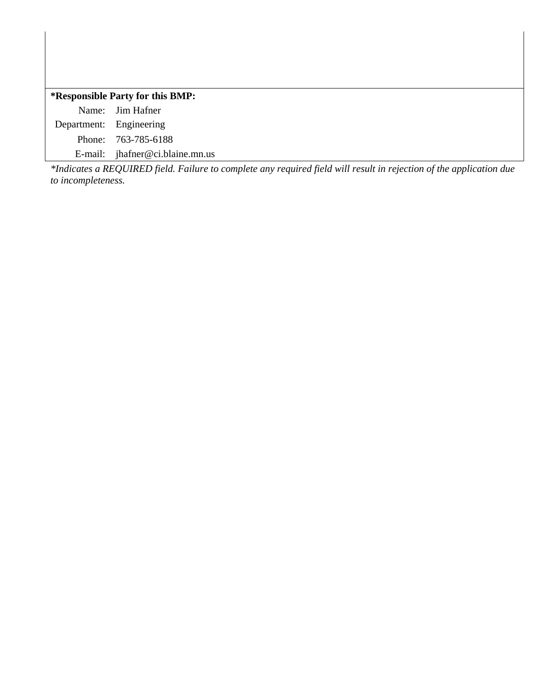#### **\*Responsible Party for this BMP:**

Name: Jim Hafner Department: Engineering Phone: 763-785-6188

E-mail: jhafner@ci.blaine.mn.us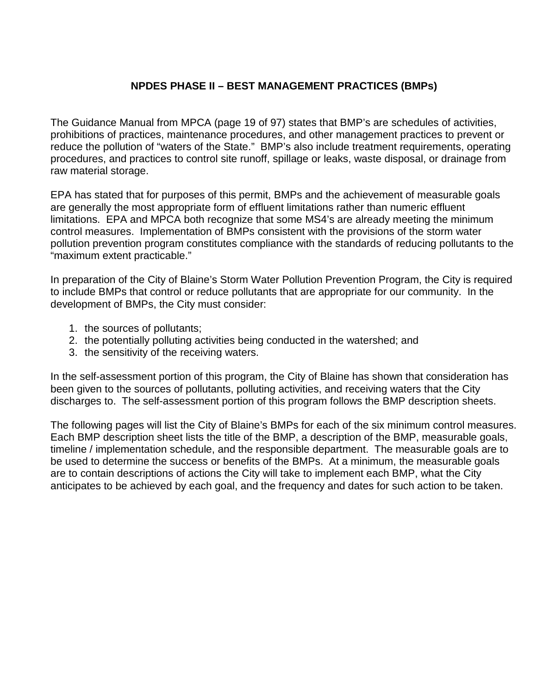### **NPDES PHASE II – BEST MANAGEMENT PRACTICES (BMPs)**

The Guidance Manual from MPCA (page 19 of 97) states that BMP's are schedules of activities, prohibitions of practices, maintenance procedures, and other management practices to prevent or reduce the pollution of "waters of the State." BMP's also include treatment requirements, operating procedures, and practices to control site runoff, spillage or leaks, waste disposal, or drainage from raw material storage.

EPA has stated that for purposes of this permit, BMPs and the achievement of measurable goals are generally the most appropriate form of effluent limitations rather than numeric effluent limitations. EPA and MPCA both recognize that some MS4's are already meeting the minimum control measures. Implementation of BMPs consistent with the provisions of the storm water pollution prevention program constitutes compliance with the standards of reducing pollutants to the "maximum extent practicable."

In preparation of the City of Blaine's Storm Water Pollution Prevention Program, the City is required to include BMPs that control or reduce pollutants that are appropriate for our community. In the development of BMPs, the City must consider:

- 1. the sources of pollutants;
- 2. the potentially polluting activities being conducted in the watershed; and
- 3. the sensitivity of the receiving waters.

In the self-assessment portion of this program, the City of Blaine has shown that consideration has been given to the sources of pollutants, polluting activities, and receiving waters that the City discharges to. The self-assessment portion of this program follows the BMP description sheets.

The following pages will list the City of Blaine's BMPs for each of the six minimum control measures. Each BMP description sheet lists the title of the BMP, a description of the BMP, measurable goals, timeline / implementation schedule, and the responsible department. The measurable goals are to be used to determine the success or benefits of the BMPs. At a minimum, the measurable goals are to contain descriptions of actions the City will take to implement each BMP, what the City anticipates to be achieved by each goal, and the frequency and dates for such action to be taken.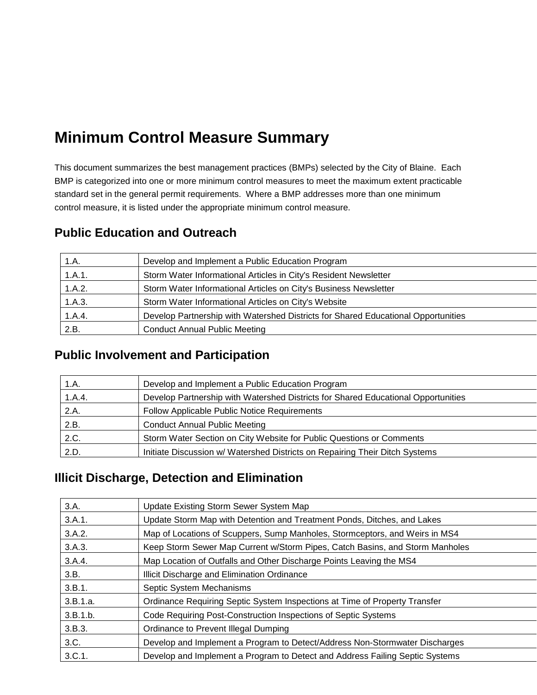# **Minimum Control Measure Summary**

This document summarizes the best management practices (BMPs) selected by the City of Blaine. Each BMP is categorized into one or more minimum control measures to meet the maximum extent practicable standard set in the general permit requirements. Where a BMP addresses more than one minimum control measure, it is listed under the appropriate minimum control measure.

| 1.A.   | Develop and Implement a Public Education Program                                  |
|--------|-----------------------------------------------------------------------------------|
| 1.A.1. | Storm Water Informational Articles in City's Resident Newsletter                  |
| 1.A.2. | Storm Water Informational Articles on City's Business Newsletter                  |
| 1.A.3. | Storm Water Informational Articles on City's Website                              |
| 1.A.4. | Develop Partnership with Watershed Districts for Shared Educational Opportunities |
| 2.B.   | <b>Conduct Annual Public Meeting</b>                                              |

# **Public Education and Outreach**

# **Public Involvement and Participation**

| 1.A.   | Develop and Implement a Public Education Program                                  |
|--------|-----------------------------------------------------------------------------------|
| 1.A.4. | Develop Partnership with Watershed Districts for Shared Educational Opportunities |
| 2.A.   | Follow Applicable Public Notice Requirements                                      |
| 2.B.   | <b>Conduct Annual Public Meeting</b>                                              |
| 2.C.   | Storm Water Section on City Website for Public Questions or Comments              |
| 2.D.   | Initiate Discussion w/ Watershed Districts on Repairing Their Ditch Systems       |

# **Illicit Discharge, Detection and Elimination**

| 3.A.     | Update Existing Storm Sewer System Map                                       |
|----------|------------------------------------------------------------------------------|
| 3.A.1.   | Update Storm Map with Detention and Treatment Ponds, Ditches, and Lakes      |
| 3.A.2.   | Map of Locations of Scuppers, Sump Manholes, Stormceptors, and Weirs in MS4  |
| 3.A.3.   | Keep Storm Sewer Map Current w/Storm Pipes, Catch Basins, and Storm Manholes |
| 3.A.4.   | Map Location of Outfalls and Other Discharge Points Leaving the MS4          |
| 3.B.     | Illicit Discharge and Elimination Ordinance                                  |
| 3.B.1.   | Septic System Mechanisms                                                     |
| 3.B.1.a. | Ordinance Requiring Septic System Inspections at Time of Property Transfer   |
| 3.B.1.b. | Code Requiring Post-Construction Inspections of Septic Systems               |
| 3.B.3.   | Ordinance to Prevent Illegal Dumping                                         |
| 3.C.     | Develop and Implement a Program to Detect/Address Non-Stormwater Discharges  |
| 3.C.1.   | Develop and Implement a Program to Detect and Address Failing Septic Systems |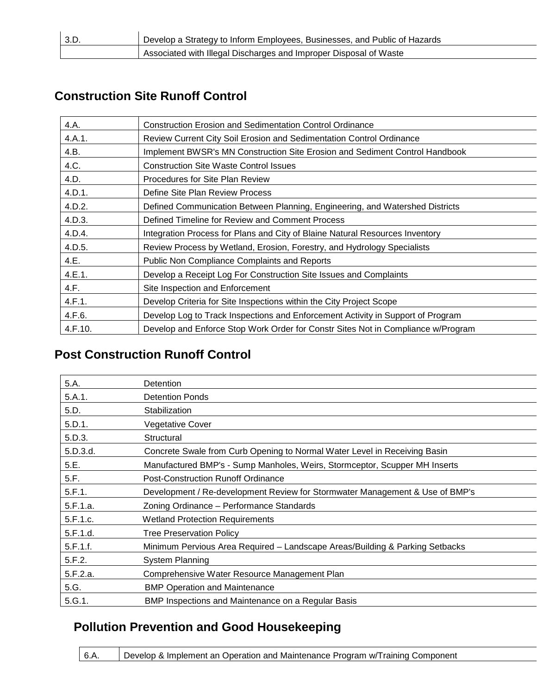| 3.D. | b Develop a Strategy to Inform Employees, Businesses, and Public of Hazards |
|------|-----------------------------------------------------------------------------|
|      | Associated with Illegal Discharges and Improper Disposal of Waste           |

# **Construction Site Runoff Control**

| 4.A.    | <b>Construction Erosion and Sedimentation Control Ordinance</b>                  |
|---------|----------------------------------------------------------------------------------|
| 4.A.1.  | Review Current City Soil Erosion and Sedimentation Control Ordinance             |
| 4.B.    | Implement BWSR's MN Construction Site Erosion and Sediment Control Handbook      |
| 4.C.    | <b>Construction Site Waste Control Issues</b>                                    |
| 4.D.    | Procedures for Site Plan Review                                                  |
| 4.D.1.  | Define Site Plan Review Process                                                  |
| 4.D.2.  | Defined Communication Between Planning, Engineering, and Watershed Districts     |
| 4.D.3.  | Defined Timeline for Review and Comment Process                                  |
| 4.D.4.  | Integration Process for Plans and City of Blaine Natural Resources Inventory     |
| 4.D.5.  | Review Process by Wetland, Erosion, Forestry, and Hydrology Specialists          |
| 4.E.    | <b>Public Non Compliance Complaints and Reports</b>                              |
| 4.E.1.  | Develop a Receipt Log For Construction Site Issues and Complaints                |
| 4.F.    | Site Inspection and Enforcement                                                  |
| 4.F.1.  | Develop Criteria for Site Inspections within the City Project Scope              |
| 4.F.6.  | Develop Log to Track Inspections and Enforcement Activity in Support of Program  |
| 4.F.10. | Develop and Enforce Stop Work Order for Constr Sites Not in Compliance w/Program |

# **Post Construction Runoff Control**

| 5.A.     | <b>Detention</b>                                                             |
|----------|------------------------------------------------------------------------------|
| 5.A.1.   | <b>Detention Ponds</b>                                                       |
| 5.D.     | Stabilization                                                                |
| 5.D.1.   | <b>Vegetative Cover</b>                                                      |
| 5.D.3.   | Structural                                                                   |
| 5.D.3.d. | Concrete Swale from Curb Opening to Normal Water Level in Receiving Basin    |
| 5.E.     | Manufactured BMP's - Sump Manholes, Weirs, Stormceptor, Scupper MH Inserts   |
| 5.F.     | <b>Post-Construction Runoff Ordinance</b>                                    |
| 5.F.1.   | Development / Re-development Review for Stormwater Management & Use of BMP's |
| 5.F.1.a. | Zoning Ordinance - Performance Standards                                     |
| 5.F.1.c. | <b>Wetland Protection Requirements</b>                                       |
| 5.F.1.d. | <b>Tree Preservation Policy</b>                                              |
| 5.F.1.f. | Minimum Pervious Area Required - Landscape Areas/Building & Parking Setbacks |
| 5.F.2.   | <b>System Planning</b>                                                       |
| 5.F.2.a. | Comprehensive Water Resource Management Plan                                 |
| 5.G.     | <b>BMP Operation and Maintenance</b>                                         |
| 5.G.1.   | BMP Inspections and Maintenance on a Regular Basis                           |
|          |                                                                              |

# **Pollution Prevention and Good Housekeeping**

| $6.A$ .<br>Develop & Implement an Operation and Maintenance Program w/Training Component |  |
|------------------------------------------------------------------------------------------|--|
|------------------------------------------------------------------------------------------|--|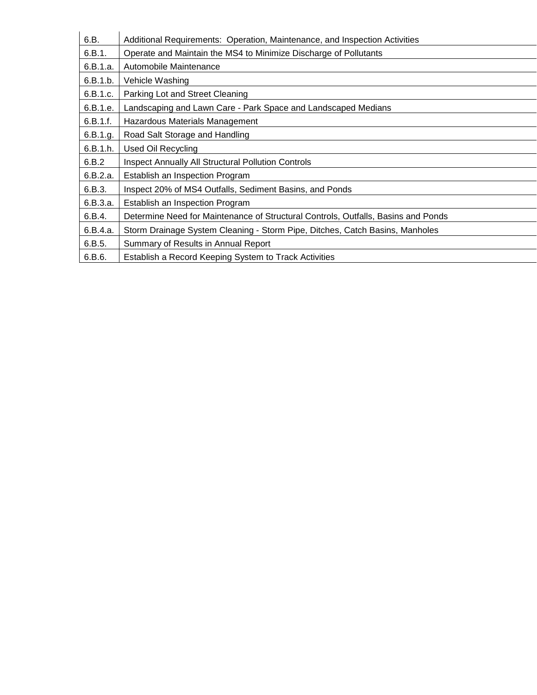| 6.B.     | Additional Requirements: Operation, Maintenance, and Inspection Activities        |
|----------|-----------------------------------------------------------------------------------|
| 6.B.1.   | Operate and Maintain the MS4 to Minimize Discharge of Pollutants                  |
| 6.B.1.a. | Automobile Maintenance                                                            |
| 6.B.1.b. | Vehicle Washing                                                                   |
| 6.B.1.c. | Parking Lot and Street Cleaning                                                   |
| 6.B.1.e. | Landscaping and Lawn Care - Park Space and Landscaped Medians                     |
| 6.B.1.f. | Hazardous Materials Management                                                    |
| 6.B.1.g. | Road Salt Storage and Handling                                                    |
| 6.B.1.h. | <b>Used Oil Recycling</b>                                                         |
| 6.B.2    | <b>Inspect Annually All Structural Pollution Controls</b>                         |
| 6.B.2.a. | Establish an Inspection Program                                                   |
| 6.B.3.   | Inspect 20% of MS4 Outfalls, Sediment Basins, and Ponds                           |
| 6.B.3.a. | Establish an Inspection Program                                                   |
| 6.B.4.   | Determine Need for Maintenance of Structural Controls, Outfalls, Basins and Ponds |
| 6.B.4.a. | Storm Drainage System Cleaning - Storm Pipe, Ditches, Catch Basins, Manholes      |
| 6.B.5.   | Summary of Results in Annual Report                                               |
| 6.B.6.   | Establish a Record Keeping System to Track Activities                             |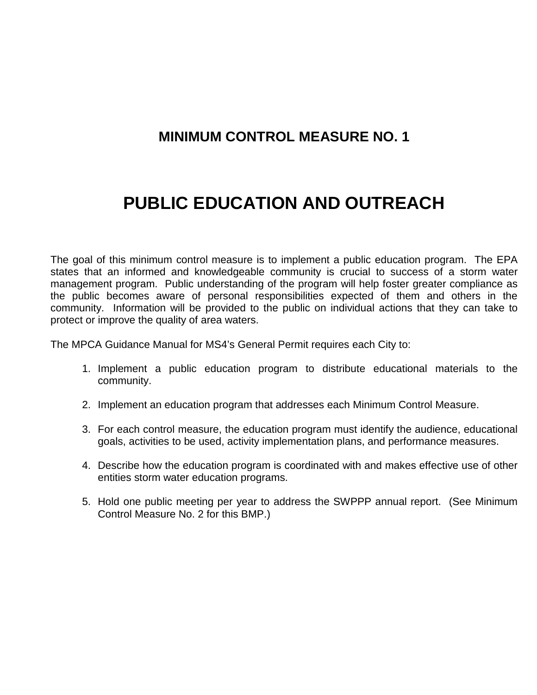# **MINIMUM CONTROL MEASURE NO. 1**

# **PUBLIC EDUCATION AND OUTREACH**

The goal of this minimum control measure is to implement a public education program. The EPA states that an informed and knowledgeable community is crucial to success of a storm water management program. Public understanding of the program will help foster greater compliance as the public becomes aware of personal responsibilities expected of them and others in the community. Information will be provided to the public on individual actions that they can take to protect or improve the quality of area waters.

The MPCA Guidance Manual for MS4's General Permit requires each City to:

- 1. Implement a public education program to distribute educational materials to the community.
- 2. Implement an education program that addresses each Minimum Control Measure.
- 3. For each control measure, the education program must identify the audience, educational goals, activities to be used, activity implementation plans, and performance measures.
- 4. Describe how the education program is coordinated with and makes effective use of other entities storm water education programs.
- 5. Hold one public meeting per year to address the SWPPP annual report. (See Minimum Control Measure No. 2 for this BMP.)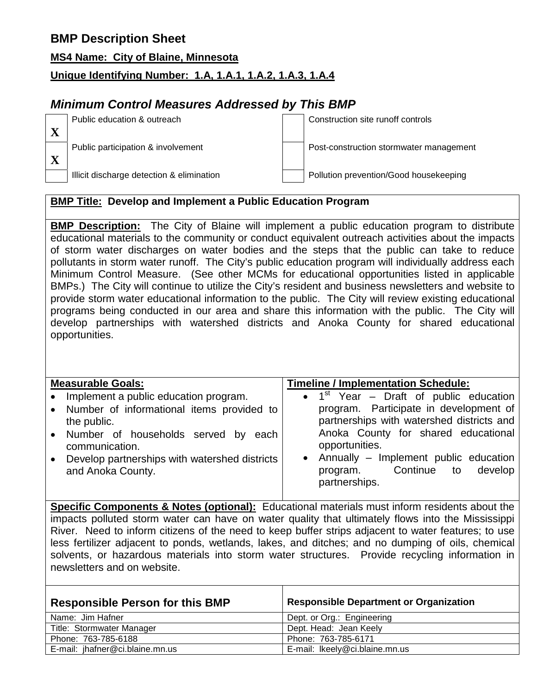#### **MS4 Name: City of Blaine, Minnesota**

## **Unique Identifying Number: 1.A, 1.A.1, 1.A.2, 1.A.3, 1.A.4**

## *Minimum Control Measures Addressed by This BMP*

Public education & outreach Construction site runoff controls Public participation & involvement Post-construction stormwater management

# Illicit discharge detection & elimination **Pollution prevention/Good housekeeping**

## **BMP Title: Develop and Implement a Public Education Program**

**BMP Description:** The City of Blaine will implement a public education program to distribute educational materials to the community or conduct equivalent outreach activities about the impacts of storm water discharges on water bodies and the steps that the public can take to reduce pollutants in storm water runoff. The City's public education program will individually address each Minimum Control Measure. (See other MCMs for educational opportunities listed in applicable BMPs.) The City will continue to utilize the City's resident and business newsletters and website to provide storm water educational information to the public. The City will review existing educational programs being conducted in our area and share this information with the public. The City will develop partnerships with watershed districts and Anoka County for shared educational opportunities.

| <b>Measurable Goals:</b>                                   | <b>Timeline / Implementation Schedule:</b> |  |  |
|------------------------------------------------------------|--------------------------------------------|--|--|
| • Implement a public education program.                    | • $1st$ Year – Draft of public education   |  |  |
| • Number of informational items provided to                | program. Participate in development of     |  |  |
| the public.                                                | partnerships with watershed districts and  |  |  |
| • Number of households served by<br>each                   | Anoka County for shared educational        |  |  |
| communication.                                             | opportunities.                             |  |  |
| Develop partnerships with watershed districts<br>$\bullet$ | • Annually $-$ Implement public education  |  |  |
| and Anoka County.                                          | Continue<br>to develop<br>program.         |  |  |
|                                                            | partnerships.                              |  |  |
|                                                            |                                            |  |  |

**Specific Components & Notes (optional):** Educational materials must inform residents about the impacts polluted storm water can have on water quality that ultimately flows into the Mississippi River. Need to inform citizens of the need to keep buffer strips adjacent to water features; to use less fertilizer adjacent to ponds, wetlands, lakes, and ditches; and no dumping of oils, chemical solvents, or hazardous materials into storm water structures. Provide recycling information in newsletters and on website.

| <b>Responsible Person for this BMP</b> | <b>Responsible Department or Organization</b> |  |
|----------------------------------------|-----------------------------------------------|--|
| Name: Jim Hafner                       | Dept. or Org.: Engineering                    |  |
| Title: Stormwater Manager              | Dept. Head: Jean Keely                        |  |
| Phone: 763-785-6188                    | Phone: 763-785-6171                           |  |
| E-mail: ihafner@ci.blaine.mn.us        | E-mail: Ikeely@ci.blaine.mn.us                |  |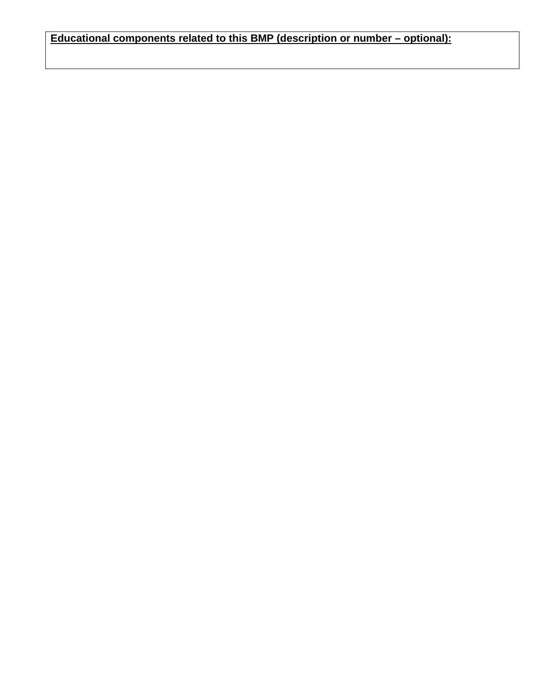**Educational components related to this BMP (description or number – optional):**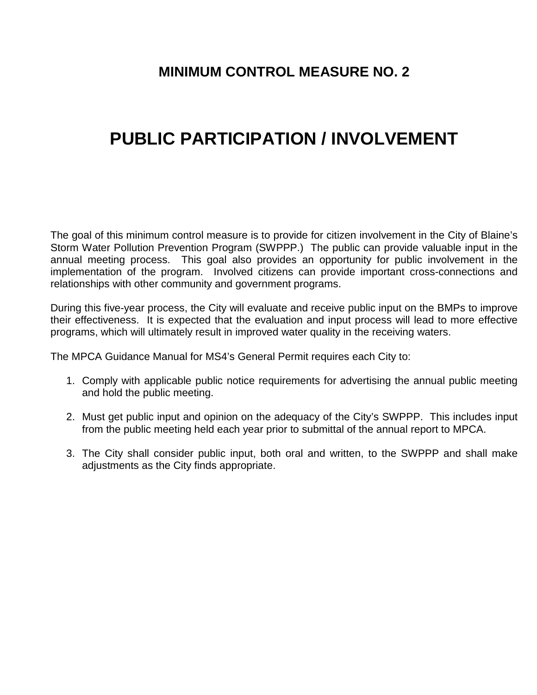# **MINIMUM CONTROL MEASURE NO. 2**

# **PUBLIC PARTICIPATION / INVOLVEMENT**

The goal of this minimum control measure is to provide for citizen involvement in the City of Blaine's Storm Water Pollution Prevention Program (SWPPP.) The public can provide valuable input in the annual meeting process. This goal also provides an opportunity for public involvement in the implementation of the program. Involved citizens can provide important cross-connections and relationships with other community and government programs.

During this five-year process, the City will evaluate and receive public input on the BMPs to improve their effectiveness. It is expected that the evaluation and input process will lead to more effective programs, which will ultimately result in improved water quality in the receiving waters.

The MPCA Guidance Manual for MS4's General Permit requires each City to:

- 1. Comply with applicable public notice requirements for advertising the annual public meeting and hold the public meeting.
- 2. Must get public input and opinion on the adequacy of the City's SWPPP. This includes input from the public meeting held each year prior to submittal of the annual report to MPCA.
- 3. The City shall consider public input, both oral and written, to the SWPPP and shall make adjustments as the City finds appropriate.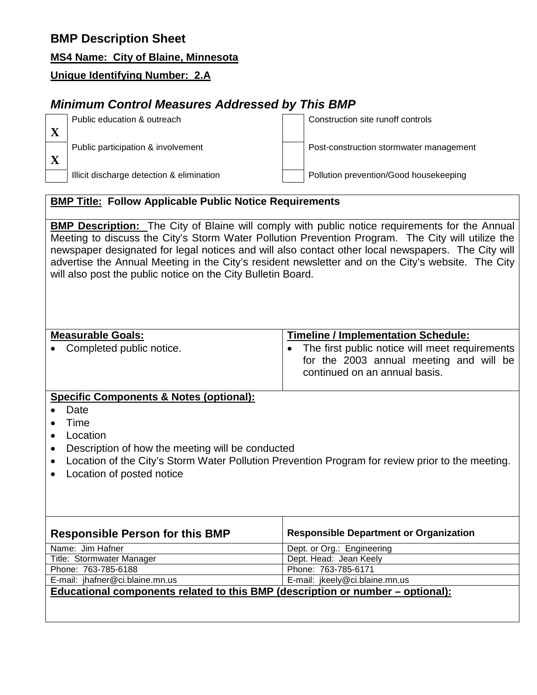## **MS4 Name: City of Blaine, Minnesota**

## **Unique Identifying Number: 2.A**

# *Minimum Control Measures Addressed by This BMP*

Public education & outreach Construction site runoff controls

Public participation & involvement Post-construction stormwater management

Illicit discharge detection & elimination **Pollution prevention/Good housekeeping** 

## **BMP Title: Follow Applicable Public Notice Requirements**

**BMP Description:** The City of Blaine will comply with public notice requirements for the Annual Meeting to discuss the City's Storm Water Pollution Prevention Program. The City will utilize the newspaper designated for legal notices and will also contact other local newspapers. The City will advertise the Annual Meeting in the City's resident newsletter and on the City's website. The City will also post the public notice on the City Bulletin Board.

### **Measurable Goals:**

• Completed public notice.

| <b>Timeline / Implementation Schedule:</b> |  |
|--------------------------------------------|--|
|                                            |  |

• The first public notice will meet requirements for the 2003 annual meeting and will be continued on an annual basis.

## **Specific Components & Notes (optional):**

- Date
- Time
- Location
- Description of how the meeting will be conducted
- Location of the City's Storm Water Pollution Prevention Program for review prior to the meeting.
- Location of posted notice

| <b>Responsible Person for this BMP</b>                                         | <b>Responsible Department or Organization</b> |  |
|--------------------------------------------------------------------------------|-----------------------------------------------|--|
| Name: Jim Hafner                                                               | Dept. or Org.: Engineering                    |  |
| Title: Stormwater Manager                                                      | Dept. Head: Jean Keely                        |  |
| Phone: 763-785-6188                                                            | Phone: 763-785-6171                           |  |
| E-mail: jhafner@ci.blaine.mn.us                                                | E-mail: jkeely@ci.blaine.mn.us                |  |
| Educational components related to this BMP (description or number – optional): |                                               |  |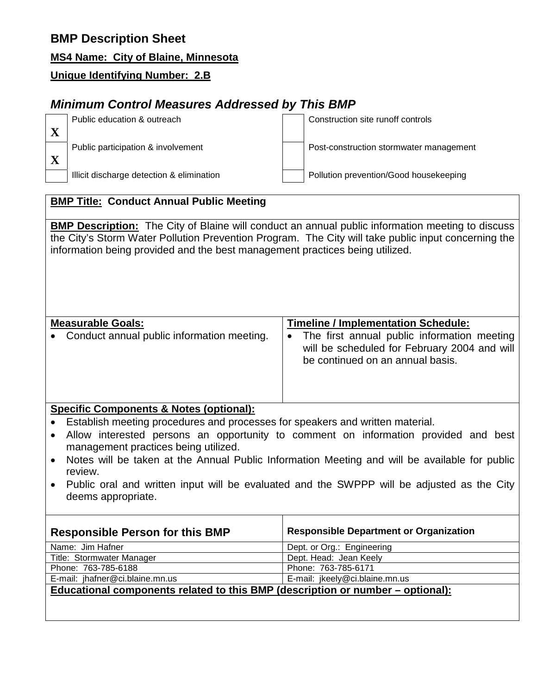## **MS4 Name: City of Blaine, Minnesota**

## **Unique Identifying Number: 2.B**

# *Minimum Control Measures Addressed by This BMP*

Public education & outreach Construction site runoff controls

Public participation & involvement Post-construction stormwater management

Illicit discharge detection & elimination **Pollution prevention/Good housekeeping** 

## **BMP Title: Conduct Annual Public Meeting**

**BMP Description:** The City of Blaine will conduct an annual public information meeting to discuss the City's Storm Water Pollution Prevention Program. The City will take public input concerning the information being provided and the best management practices being utilized.

## **Measurable Goals:** • Conduct annual public information meeting. **Timeline / Implementation Schedule:** • The first annual public information meeting will be scheduled for February 2004 and will be continued on an annual basis.

## **Specific Components & Notes (optional):**

- Establish meeting procedures and processes for speakers and written material.
- Allow interested persons an opportunity to comment on information provided and best management practices being utilized.
- Notes will be taken at the Annual Public Information Meeting and will be available for public review.
- Public oral and written input will be evaluated and the SWPPP will be adjusted as the City deems appropriate.

| <b>Responsible Person for this BMP</b>                                         | <b>Responsible Department or Organization</b> |  |
|--------------------------------------------------------------------------------|-----------------------------------------------|--|
| Name: Jim Hafner                                                               | Dept. or Org.: Engineering                    |  |
| Title: Stormwater Manager                                                      | Dept. Head: Jean Keely                        |  |
| Phone: 763-785-6188                                                            | Phone: 763-785-6171                           |  |
| E-mail: jhafner@ci.blaine.mn.us                                                | E-mail: jkeely@ci.blaine.mn.us                |  |
| Educational components related to this BMP (description or number – optional): |                                               |  |
|                                                                                |                                               |  |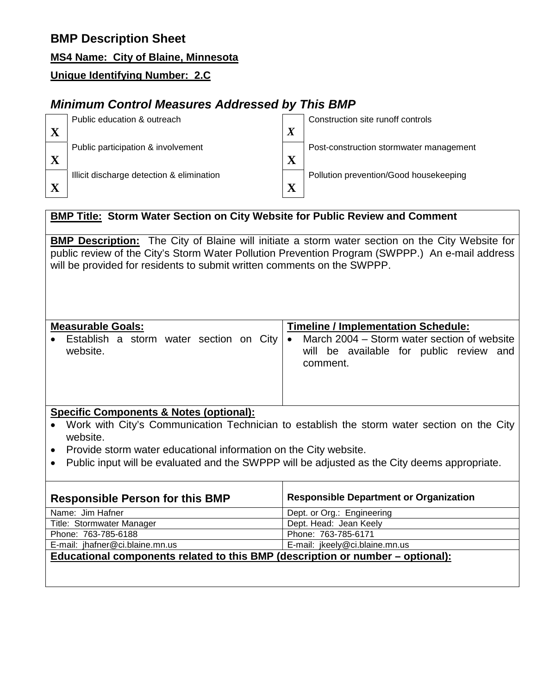## **MS4 Name: City of Blaine, Minnesota**

## **Unique Identifying Number: 2.C**

# *Minimum Control Measures Addressed by This BMP*



## **BMP Title: Storm Water Section on City Website for Public Review and Comment**

**BMP Description:** The City of Blaine will initiate a storm water section on the City Website for public review of the City's Storm Water Pollution Prevention Program (SWPPP.) An e-mail address will be provided for residents to submit written comments on the SWPPP.

| <b>Measurable Goals:</b>                            | <b>Timeline / Implementation Schedule:</b>                                                                      |  |  |
|-----------------------------------------------------|-----------------------------------------------------------------------------------------------------------------|--|--|
| Establish a storm water section on City<br>website. | March 2004 – Storm water section of website<br>$\bullet$<br>will be available for public review and<br>comment. |  |  |
| Cuastic Components 0 blates (entiqual).             |                                                                                                                 |  |  |

### **Specific Components & Notes (optional):**

- Work with City's Communication Technician to establish the storm water section on the City website.
- Provide storm water educational information on the City website.
- Public input will be evaluated and the SWPPP will be adjusted as the City deems appropriate.

| <b>Responsible Person for this BMP</b>                                         | <b>Responsible Department or Organization</b> |  |
|--------------------------------------------------------------------------------|-----------------------------------------------|--|
| Name: Jim Hafner                                                               | Dept. or Org.: Engineering                    |  |
| Title: Stormwater Manager                                                      | Dept. Head: Jean Keely                        |  |
| Phone: 763-785-6188                                                            | Phone: 763-785-6171                           |  |
| E-mail: jhafner@ci.blaine.mn.us                                                | E-mail: jkeely@ci.blaine.mn.us                |  |
| Educational components related to this BMP (description or number – optional): |                                               |  |
|                                                                                |                                               |  |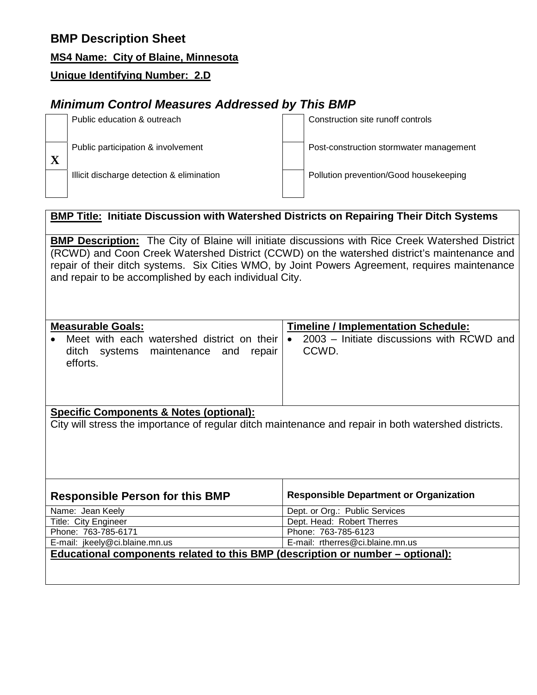## **MS4 Name: City of Blaine, Minnesota**

## **Unique Identifying Number: 2.D**

# *Minimum Control Measures Addressed by This BMP*

| Public education & outreach               | Construction site runoff controls       |
|-------------------------------------------|-----------------------------------------|
| Public participation & involvement        | Post-construction stormwater management |
| Illicit discharge detection & elimination | Pollution prevention/Good housekeeping  |
|                                           |                                         |

## **BMP Title: Initiate Discussion with Watershed Districts on Repairing Their Ditch Systems**

**BMP Description:** The City of Blaine will initiate discussions with Rice Creek Watershed District (RCWD) and Coon Creek Watershed District (CCWD) on the watershed district's maintenance and repair of their ditch systems. Six Cities WMO, by Joint Powers Agreement, requires maintenance and repair to be accomplished by each individual City.

| <b>Measurable Goals:</b>                                                                       | <b>Timeline / Implementation Schedule:</b>                      |
|------------------------------------------------------------------------------------------------|-----------------------------------------------------------------|
| Meet with each watershed district on their<br>ditch systems maintenance and repair<br>efforts. | 2003 – Initiate discussions with RCWD and<br>$\bullet$<br>CCWD. |
|                                                                                                |                                                                 |

#### **Specific Components & Notes (optional):**

City will stress the importance of regular ditch maintenance and repair in both watershed districts.

| <b>Responsible Person for this BMP</b>                                         | <b>Responsible Department or Organization</b> |  |
|--------------------------------------------------------------------------------|-----------------------------------------------|--|
| Name: Jean Keely                                                               | Dept. or Org.: Public Services                |  |
| Title: City Engineer                                                           | Dept. Head: Robert Therres                    |  |
| Phone: 763-785-6171                                                            | Phone: 763-785-6123                           |  |
| E-mail: jkeely@ci.blaine.mn.us                                                 | E-mail: rtherres@ci.blaine.mn.us              |  |
| Educational components related to this BMP (description or number – optional): |                                               |  |
|                                                                                |                                               |  |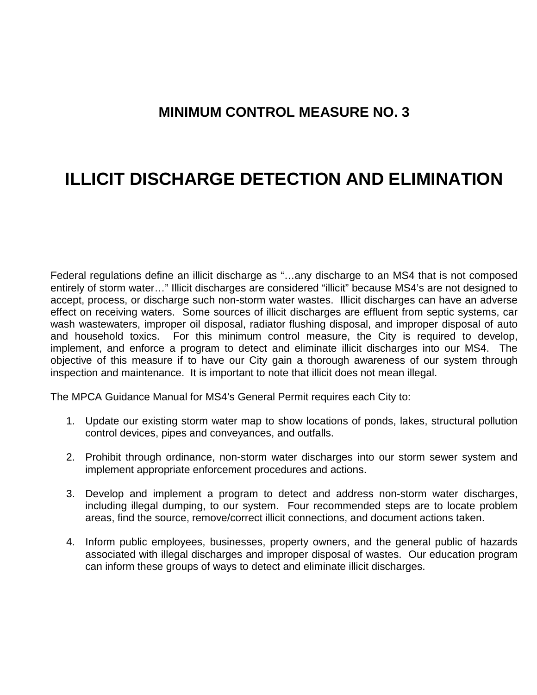# **MINIMUM CONTROL MEASURE NO. 3**

# **ILLICIT DISCHARGE DETECTION AND ELIMINATION**

Federal regulations define an illicit discharge as "…any discharge to an MS4 that is not composed entirely of storm water…" Illicit discharges are considered "illicit" because MS4's are not designed to accept, process, or discharge such non-storm water wastes. Illicit discharges can have an adverse effect on receiving waters. Some sources of illicit discharges are effluent from septic systems, car wash wastewaters, improper oil disposal, radiator flushing disposal, and improper disposal of auto and household toxics. For this minimum control measure, the City is required to develop, implement, and enforce a program to detect and eliminate illicit discharges into our MS4. The objective of this measure if to have our City gain a thorough awareness of our system through inspection and maintenance. It is important to note that illicit does not mean illegal.

The MPCA Guidance Manual for MS4's General Permit requires each City to:

- 1. Update our existing storm water map to show locations of ponds, lakes, structural pollution control devices, pipes and conveyances, and outfalls.
- 2. Prohibit through ordinance, non-storm water discharges into our storm sewer system and implement appropriate enforcement procedures and actions.
- 3. Develop and implement a program to detect and address non-storm water discharges, including illegal dumping, to our system. Four recommended steps are to locate problem areas, find the source, remove/correct illicit connections, and document actions taken.
- 4. Inform public employees, businesses, property owners, and the general public of hazards associated with illegal discharges and improper disposal of wastes. Our education program can inform these groups of ways to detect and eliminate illicit discharges.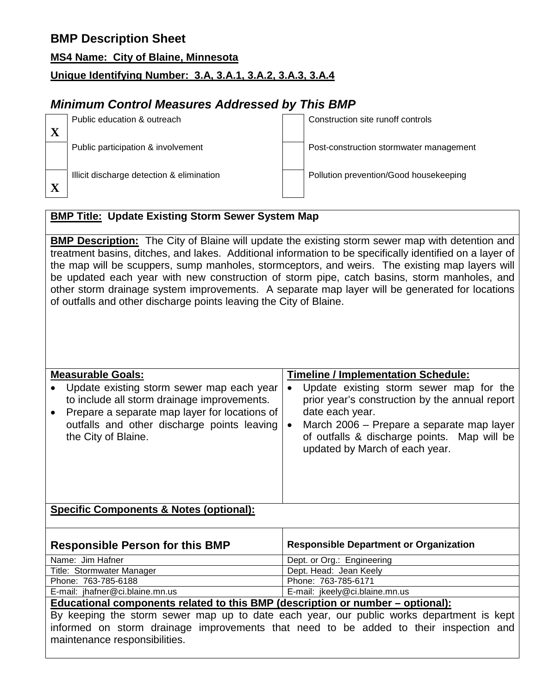|  | MS4 Name: City of Blaine, Minnesota |
|--|-------------------------------------|
|  |                                     |

## **Unique Identifying Number: 3.A, 3.A.1, 3.A.2, 3.A.3, 3.A.4**

# *Minimum Control Measures Addressed by This BMP*

| Public education & outreach               | Construction site runoff controls       |
|-------------------------------------------|-----------------------------------------|
| Public participation & involvement        | Post-construction stormwater management |
| Illicit discharge detection & elimination | Pollution prevention/Good housekeeping  |
|                                           |                                         |

## **BMP Title: Update Existing Storm Sewer System Map**

**BMP Description:** The City of Blaine will update the existing storm sewer map with detention and treatment basins, ditches, and lakes. Additional information to be specifically identified on a layer of the map will be scuppers, sump manholes, stormceptors, and weirs. The existing map layers will be updated each year with new construction of storm pipe, catch basins, storm manholes, and other storm drainage system improvements. A separate map layer will be generated for locations of outfalls and other discharge points leaving the City of Blaine.

| <b>Measurable Goals:</b>                                                                                                                                                                                        | <b>Timeline / Implementation Schedule:</b>                                                                                                                                                                                                                           |  |  |  |
|-----------------------------------------------------------------------------------------------------------------------------------------------------------------------------------------------------------------|----------------------------------------------------------------------------------------------------------------------------------------------------------------------------------------------------------------------------------------------------------------------|--|--|--|
| Update existing storm sewer map each year<br>to include all storm drainage improvements.<br>Prepare a separate map layer for locations of<br>outfalls and other discharge points leaving<br>the City of Blaine. | Update existing storm sewer map for the<br>$\bullet$<br>prior year's construction by the annual report<br>date each year.<br>March 2006 – Prepare a separate map layer<br>$\bullet$<br>of outfalls & discharge points. Map will be<br>updated by March of each year. |  |  |  |
| <b>Specific Components &amp; Notes (optional):</b>                                                                                                                                                              |                                                                                                                                                                                                                                                                      |  |  |  |
| <b>Responsible Person for this BMP</b>                                                                                                                                                                          | <b>Responsible Department or Organization</b>                                                                                                                                                                                                                        |  |  |  |
| Name: Jim Hafner                                                                                                                                                                                                | Dept. or Org.: Engineering                                                                                                                                                                                                                                           |  |  |  |
| Title: Stormwater Manager                                                                                                                                                                                       | Dept. Head: Jean Keely                                                                                                                                                                                                                                               |  |  |  |
| Phone: 763-785-6188                                                                                                                                                                                             | Phone: 763-785-6171                                                                                                                                                                                                                                                  |  |  |  |
| E-mail: jhafner@ci.blaine.mn.us                                                                                                                                                                                 | E-mail: jkeely@ci.blaine.mn.us                                                                                                                                                                                                                                       |  |  |  |
| Educational components related to this BMP (description or number – optional):                                                                                                                                  |                                                                                                                                                                                                                                                                      |  |  |  |
|                                                                                                                                                                                                                 | By keeping the storm sewer map up to date each year, our public works department is kept                                                                                                                                                                             |  |  |  |
|                                                                                                                                                                                                                 | informed on storm drainage improvements that need to be added to their inspection and                                                                                                                                                                                |  |  |  |
| maintenance responsibilities.                                                                                                                                                                                   |                                                                                                                                                                                                                                                                      |  |  |  |
|                                                                                                                                                                                                                 |                                                                                                                                                                                                                                                                      |  |  |  |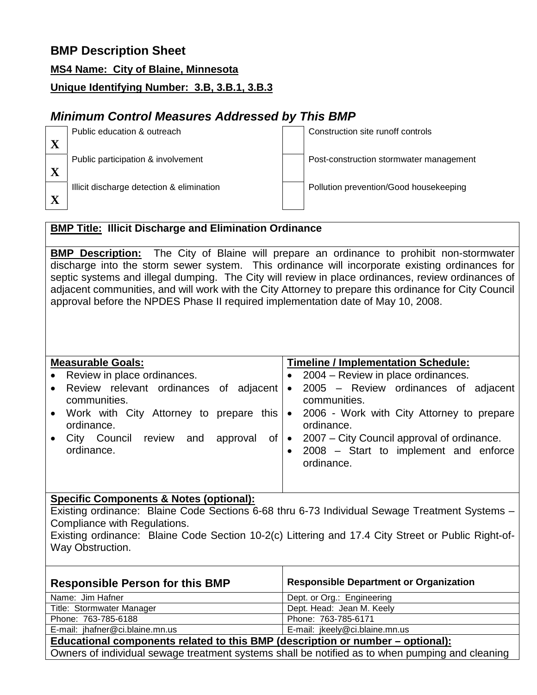**MS4 Name: City of Blaine, Minnesota**

## **Unique Identifying Number: 3.B, 3.B.1, 3.B.3**

# *Minimum Control Measures Addressed by This BMP*

| Public education & outreach               | Construction site runoff controls       |
|-------------------------------------------|-----------------------------------------|
|                                           |                                         |
| Public participation & involvement        | Post-construction stormwater management |
| Illicit discharge detection & elimination | Pollution prevention/Good housekeeping  |

## **BMP Title: Illicit Discharge and Elimination Ordinance**

**BMP Description:** The City of Blaine will prepare an ordinance to prohibit non-stormwater discharge into the storm sewer system. This ordinance will incorporate existing ordinances for septic systems and illegal dumping. The City will review in place ordinances, review ordinances of adjacent communities, and will work with the City Attorney to prepare this ordinance for City Council approval before the NPDES Phase II required implementation date of May 10, 2008.

| <b>Measurable Goals:</b>                            | Timeline / Implementation Schedule:                     |  |  |
|-----------------------------------------------------|---------------------------------------------------------|--|--|
| • Review in place ordinances.                       | 2004 – Review in place ordinances.                      |  |  |
| Review relevant ordinances of adjacent<br>$\bullet$ | 2005 - Review ordinances of adjacent<br>$\bullet$       |  |  |
| communities.                                        | communities.                                            |  |  |
| • Work with City Attorney to prepare this           | 2006 - Work with City Attorney to prepare<br>$\bullet$  |  |  |
| ordinance.                                          | ordinance.                                              |  |  |
| Council<br>review<br>and<br>approval<br>0f<br>City  | 2007 - City Council approval of ordinance.<br>$\bullet$ |  |  |
| ordinance.                                          | 2008 - Start to implement and enforce                   |  |  |
|                                                     | ordinance.                                              |  |  |
|                                                     |                                                         |  |  |
|                                                     |                                                         |  |  |

#### **Specific Components & Notes (optional):**

Existing ordinance: Blaine Code Sections 6-68 thru 6-73 Individual Sewage Treatment Systems – Compliance with Regulations.

Existing ordinance: Blaine Code Section 10-2(c) Littering and 17.4 City Street or Public Right-of-Way Obstruction.

| <b>Responsible Person for this BMP</b>                                                          | <b>Responsible Department or Organization</b> |  |
|-------------------------------------------------------------------------------------------------|-----------------------------------------------|--|
| Name: Jim Hafner                                                                                | Dept. or Org.: Engineering                    |  |
| Title: Stormwater Manager                                                                       | Dept. Head: Jean M. Keely                     |  |
| Phone: 763-785-6188                                                                             | Phone: 763-785-6171                           |  |
| E-mail: jhafner@ci.blaine.mn.us                                                                 | E-mail: jkeely@ci.blaine.mn.us                |  |
| <u>Educational components related to this BMP (description or number – optional):</u>           |                                               |  |
| Owners of individual sewage treatment systems shall be notified as to when pumping and cleaning |                                               |  |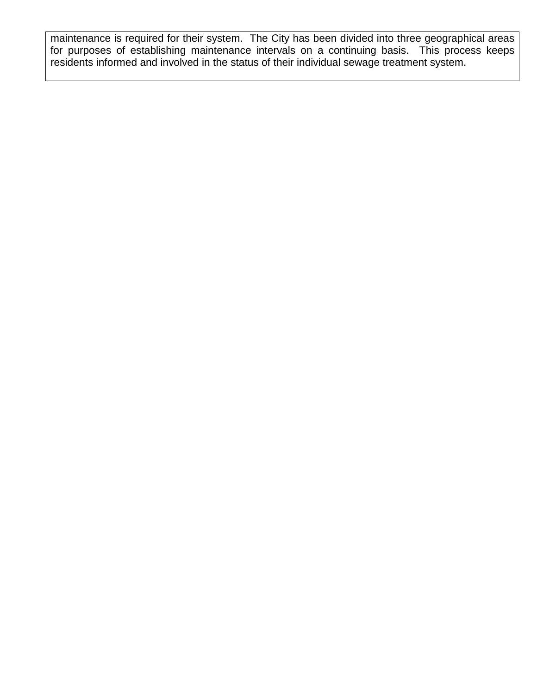maintenance is required for their system. The City has been divided into three geographical areas for purposes of establishing maintenance intervals on a continuing basis. This process keeps residents informed and involved in the status of their individual sewage treatment system.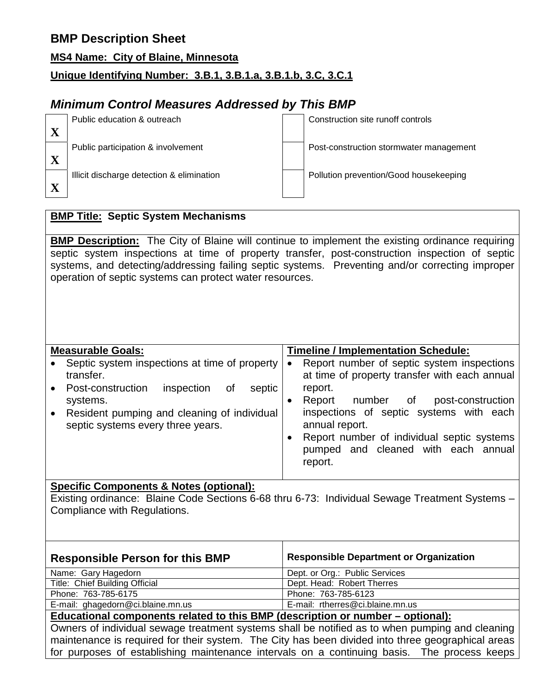| <b>MS4 Name: City of Blaine, Minnesota</b> |  |  |
|--------------------------------------------|--|--|
|                                            |  |  |

## **Unique Identifying Number: 3.B.1, 3.B.1.a, 3.B.1.b, 3.C, 3.C.1**

# *Minimum Control Measures Addressed by This BMP*

| Public education & outreach               | Construction site runoff controls       |
|-------------------------------------------|-----------------------------------------|
|                                           |                                         |
| Public participation & involvement        | Post-construction stormwater management |
|                                           |                                         |
| Illicit discharge detection & elimination | Pollution prevention/Good housekeeping  |
|                                           |                                         |

## **BMP Title: Septic System Mechanisms**

**BMP Description:** The City of Blaine will continue to implement the existing ordinance requiring septic system inspections at time of property transfer, post-construction inspection of septic systems, and detecting/addressing failing septic systems. Preventing and/or correcting improper operation of septic systems can protect water resources.

| <b>Measurable Goals:</b>                      | <b>Timeline / Implementation Schedule:</b>    |
|-----------------------------------------------|-----------------------------------------------|
| Septic system inspections at time of property | Report number of septic system inspections    |
| $\bullet$                                     | $\bullet$                                     |
| transfer.                                     | at time of property transfer with each annual |
| Post-construction                             | report.                                       |
| inspection                                    | number of                                     |
| septic                                        | post-construction                             |
| Οf                                            | Report                                        |
| $\bullet$                                     | inspections of septic systems with each       |
| systems.                                      | annual report.                                |
| Resident pumping and cleaning of individual   | Report number of individual septic systems    |
| $\bullet$                                     | pumped and cleaned with each annual           |
| septic systems every three years.             | report.                                       |

### **Specific Components & Notes (optional):**

Existing ordinance: Blaine Code Sections 6-68 thru 6-73: Individual Sewage Treatment Systems – Compliance with Regulations.

| <b>Responsible Person for this BMP</b>                                                          | <b>Responsible Department or Organization</b> |  |
|-------------------------------------------------------------------------------------------------|-----------------------------------------------|--|
| Name: Gary Hagedorn                                                                             | Dept. or Org.: Public Services                |  |
| Title: Chief Building Official                                                                  | Dept. Head: Robert Therres                    |  |
| Phone: 763-785-6175                                                                             | Phone: 763-785-6123                           |  |
| E-mail: ghagedorn@ci.blaine.mn.us                                                               | E-mail: rtherres@ci.blaine.mn.us              |  |
| Educational components related to this BMP (description or number – optional):                  |                                               |  |
| Owners of individual sewage treatment systems shall be notified as to when pumping and cleaning |                                               |  |

maintenance is required for their system. The City has been divided into three geographical areas for purposes of establishing maintenance intervals on a continuing basis. The process keeps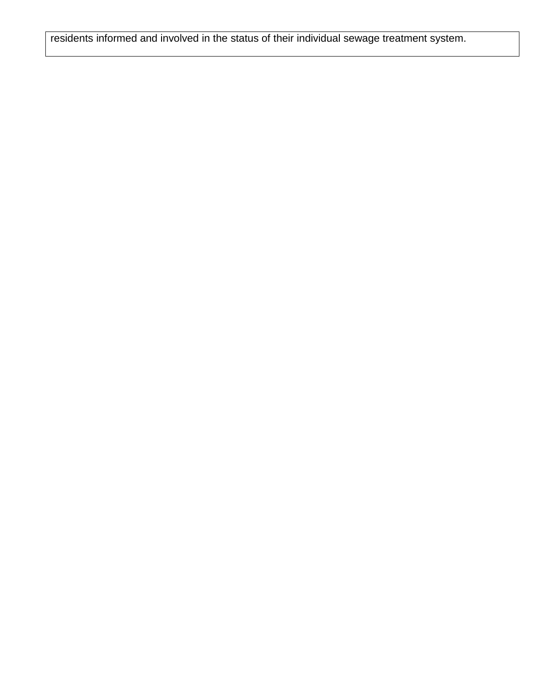residents informed and involved in the status of their individual sewage treatment system.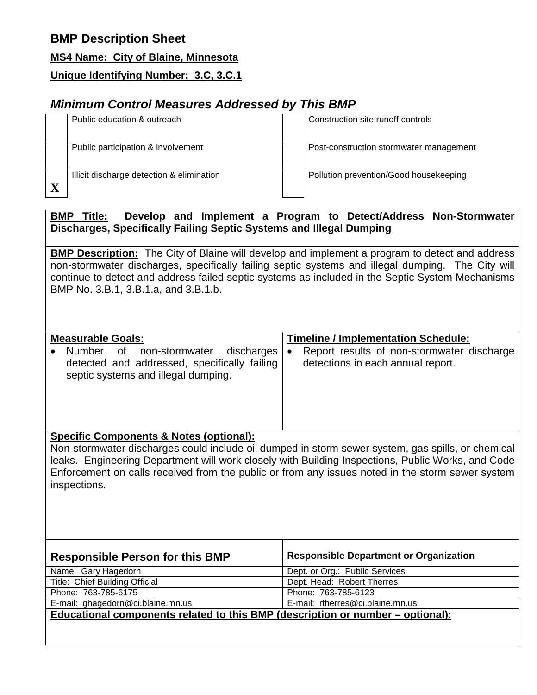**MS4 Name: City of Blaine, Minnesota**

**Unique Identifying Number: 3.C, 3.C.1**

# *Minimum Control Measures Addressed by This BMP*

| Public education & outreach               | Construction site runoff controls       |
|-------------------------------------------|-----------------------------------------|
| Public participation & involvement        | Post-construction stormwater management |
| Illicit discharge detection & elimination | Pollution prevention/Good housekeeping  |

### **BMP Title: Develop and Implement a Program to Detect/Address Non-Stormwater Discharges, Specifically Failing Septic Systems and Illegal Dumping**

**BMP Description:** The City of Blaine will develop and implement a program to detect and address non-stormwater discharges, specifically failing septic systems and illegal dumping. The City will continue to detect and address failed septic systems as included in the Septic System Mechanisms BMP No. 3.B.1, 3.B.1.a, and 3.B.1.b.

| <b>Measurable Goals:</b>                                                                                                         |           | <b>Timeline / Implementation Schedule:</b>                                      |
|----------------------------------------------------------------------------------------------------------------------------------|-----------|---------------------------------------------------------------------------------|
| Number of<br>discharges<br>non-stormwater<br>detected and addressed, specifically failing<br>septic systems and illegal dumping. | $\bullet$ | Report results of non-stormwater discharge<br>detections in each annual report. |

## **Specific Components & Notes (optional):**

Non-stormwater discharges could include oil dumped in storm sewer system, gas spills, or chemical leaks. Engineering Department will work closely with Building Inspections, Public Works, and Code Enforcement on calls received from the public or from any issues noted in the storm sewer system inspections.

| <b>Responsible Person for this BMP</b>                                         | <b>Responsible Department or Organization</b> |  |
|--------------------------------------------------------------------------------|-----------------------------------------------|--|
| Name: Gary Hagedorn                                                            | Dept. or Org.: Public Services                |  |
| Title: Chief Building Official                                                 | Dept. Head: Robert Therres                    |  |
| Phone: 763-785-6175                                                            | Phone: 763-785-6123                           |  |
| E-mail: ghagedorn@ci.blaine.mn.us                                              | E-mail: rtherres@ci.blaine.mn.us              |  |
| Educational components related to this BMP (description or number – optional): |                                               |  |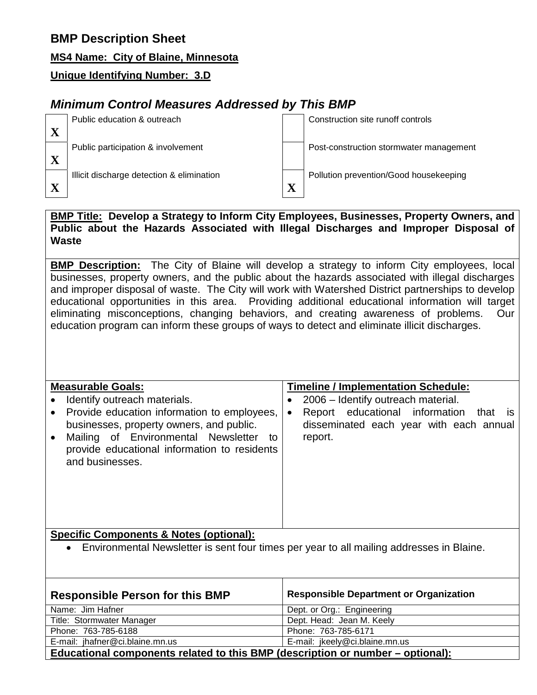## **MS4 Name: City of Blaine, Minnesota**

## **Unique Identifying Number: 3.D**

# *Minimum Control Measures Addressed by This BMP*

| Public education & outreach               |   | Construction site runoff controls       |
|-------------------------------------------|---|-----------------------------------------|
| Public participation & involvement        |   | Post-construction stormwater management |
| Illicit discharge detection & elimination | X | Pollution prevention/Good housekeeping  |

#### **BMP Title: Develop a Strategy to Inform City Employees, Businesses, Property Owners, and Public about the Hazards Associated with Illegal Discharges and Improper Disposal of Waste**

**BMP Description:** The City of Blaine will develop a strategy to inform City employees, local businesses, property owners, and the public about the hazards associated with illegal discharges and improper disposal of waste. The City will work with Watershed District partnerships to develop educational opportunities in this area. Providing additional educational information will target eliminating misconceptions, changing behaviors, and creating awareness of problems. Our education program can inform these groups of ways to detect and eliminate illicit discharges.

#### **Measurable Goals:**

| measurable Goals:                                                                                                                                                                                                   | Timeline / Implementation Schedule:                                                                          |  |  |
|---------------------------------------------------------------------------------------------------------------------------------------------------------------------------------------------------------------------|--------------------------------------------------------------------------------------------------------------|--|--|
| Identify outreach materials.<br>$\bullet$                                                                                                                                                                           | 2006 - Identify outreach material.                                                                           |  |  |
| • Provide education information to employees,<br>businesses, property owners, and public.<br>Mailing of Environmental Newsletter to<br>$\bullet$<br>provide educational information to residents<br>and businesses. | Report educational information<br>that is<br>$\bullet$<br>disseminated each year with each annual<br>report. |  |  |

**Timeline / Implementation Schedule:**

## **Specific Components & Notes (optional):**

• Environmental Newsletter is sent four times per year to all mailing addresses in Blaine.

| <b>Responsible Person for this BMP</b>                                         | <b>Responsible Department or Organization</b> |  |
|--------------------------------------------------------------------------------|-----------------------------------------------|--|
| Name: Jim Hafner                                                               | Dept. or Org.: Engineering                    |  |
| Title: Stormwater Manager                                                      | Dept. Head: Jean M. Keely                     |  |
| Phone: 763-785-6188                                                            | Phone: 763-785-6171                           |  |
| E-mail: jhafner@ci.blaine.mn.us                                                | E-mail: jkeely@ci.blaine.mn.us                |  |
| Educational components related to this BMP (description or number – optional): |                                               |  |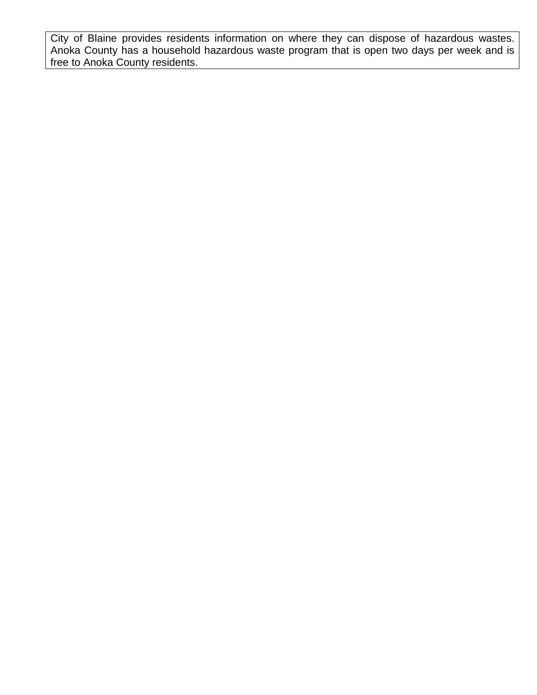City of Blaine provides residents information on where they can dispose of hazardous wastes. Anoka County has a household hazardous waste program that is open two days per week and is free to Anoka County residents.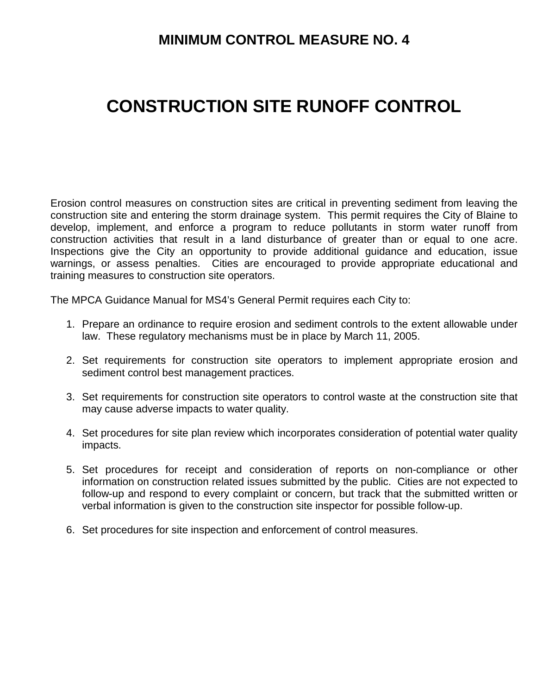# **MINIMUM CONTROL MEASURE NO. 4**

# **CONSTRUCTION SITE RUNOFF CONTROL**

Erosion control measures on construction sites are critical in preventing sediment from leaving the construction site and entering the storm drainage system. This permit requires the City of Blaine to develop, implement, and enforce a program to reduce pollutants in storm water runoff from construction activities that result in a land disturbance of greater than or equal to one acre. Inspections give the City an opportunity to provide additional guidance and education, issue warnings, or assess penalties. Cities are encouraged to provide appropriate educational and training measures to construction site operators.

The MPCA Guidance Manual for MS4's General Permit requires each City to:

- 1. Prepare an ordinance to require erosion and sediment controls to the extent allowable under law. These regulatory mechanisms must be in place by March 11, 2005.
- 2. Set requirements for construction site operators to implement appropriate erosion and sediment control best management practices.
- 3. Set requirements for construction site operators to control waste at the construction site that may cause adverse impacts to water quality.
- 4. Set procedures for site plan review which incorporates consideration of potential water quality impacts.
- 5. Set procedures for receipt and consideration of reports on non-compliance or other information on construction related issues submitted by the public. Cities are not expected to follow-up and respond to every complaint or concern, but track that the submitted written or verbal information is given to the construction site inspector for possible follow-up.
- 6. Set procedures for site inspection and enforcement of control measures.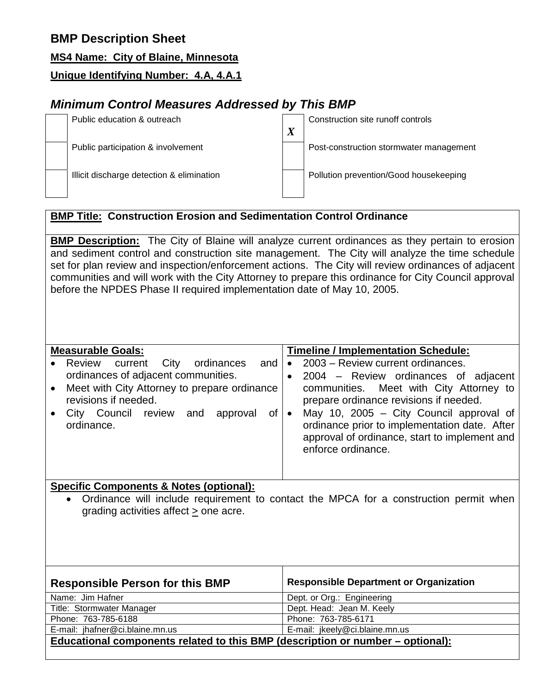**MS4 Name: City of Blaine, Minnesota**

**Unique Identifying Number: 4.A, 4.A.1**

# *Minimum Control Measures Addressed by This BMP*

| Public education & outreach               | $\boldsymbol{X}$ | Construction site runoff controls       |
|-------------------------------------------|------------------|-----------------------------------------|
| Public participation & involvement        |                  | Post-construction stormwater management |
|                                           |                  |                                         |
| Illicit discharge detection & elimination |                  | Pollution prevention/Good housekeeping  |
|                                           |                  |                                         |

## **BMP Title: Construction Erosion and Sedimentation Control Ordinance**

**BMP Description:** The City of Blaine will analyze current ordinances as they pertain to erosion and sediment control and construction site management. The City will analyze the time schedule set for plan review and inspection/enforcement actions. The City will review ordinances of adjacent communities and will work with the City Attorney to prepare this ordinance for City Council approval before the NPDES Phase II required implementation date of May 10, 2005.

#### **Measurable Goals:** • Review current City ordinances and ordinances of adjacent communities. • Meet with City Attorney to prepare ordinance revisions if needed. • City Council review and approval of ordinance. **Timeline / Implementation Schedule:** • 2003 – Review current ordinances. • 2004 – Review ordinances of adjacent communities. Meet with City Attorney to prepare ordinance revisions if needed. • May 10, 2005 – City Council approval of ordinance prior to implementation date. After approval of ordinance, start to implement and enforce ordinance.

### **Specific Components & Notes (optional):**

• Ordinance will include requirement to contact the MPCA for a construction permit when grading activities affect > one acre.

| <b>Responsible Person for this BMP</b>                                         | <b>Responsible Department or Organization</b> |  |
|--------------------------------------------------------------------------------|-----------------------------------------------|--|
| Name: Jim Hafner                                                               | Dept. or Org.: Engineering                    |  |
| Title: Stormwater Manager                                                      | Dept. Head: Jean M. Keely                     |  |
| Phone: 763-785-6188                                                            | Phone: 763-785-6171                           |  |
| E-mail: jhafner@ci.blaine.mn.us                                                | E-mail: jkeely@ci.blaine.mn.us                |  |
| Educational components related to this BMP (description or number – optional): |                                               |  |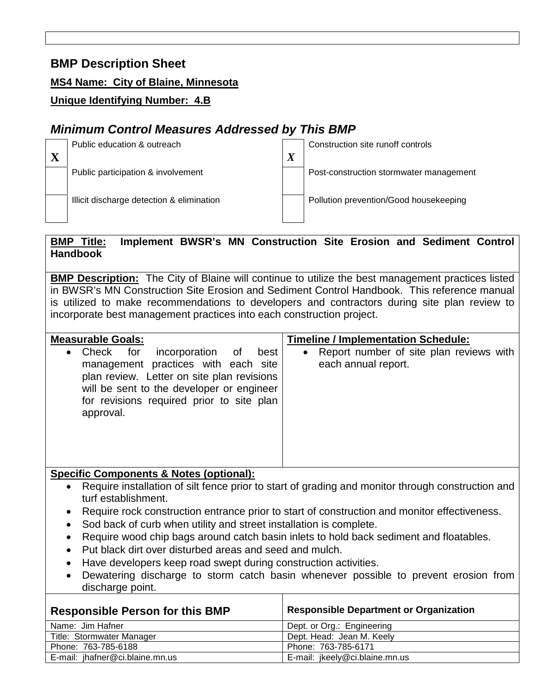**MS4 Name: City of Blaine, Minnesota**

## **Unique Identifying Number: 4.B**

# *Minimum Control Measures Addressed by This BMP*

| Public education & outreach               | $\boldsymbol{X}$ | Construction site runoff controls       |
|-------------------------------------------|------------------|-----------------------------------------|
| Public participation & involvement        |                  | Post-construction stormwater management |
| Illicit discharge detection & elimination |                  | Pollution prevention/Good housekeeping  |

## **BMP Title: Implement BWSR's MN Construction Site Erosion and Sediment Control Handbook**

**BMP Description:** The City of Blaine will continue to utilize the best management practices listed in BWSR's MN Construction Site Erosion and Sediment Control Handbook. This reference manual is utilized to make recommendations to developers and contractors during site plan review to incorporate best management practices into each construction project.

| <b>Measurable Goals:</b>                                                                                                                                                                                                                          | <b>Timeline / Implementation Schedule:</b>                                  |  |
|---------------------------------------------------------------------------------------------------------------------------------------------------------------------------------------------------------------------------------------------------|-----------------------------------------------------------------------------|--|
| Check for<br>incorporation<br>best<br>of<br>$\bullet$<br>management practices with each site<br>plan review. Letter on site plan revisions<br>will be sent to the developer or engineer<br>for revisions required prior to site plan<br>approval. | Report number of site plan reviews with<br>$\bullet$<br>each annual report. |  |

#### **Specific Components & Notes (optional):**

- Require installation of silt fence prior to start of grading and monitor through construction and turf establishment.
- Require rock construction entrance prior to start of construction and monitor effectiveness.
- Sod back of curb when utility and street installation is complete.
- Require wood chip bags around catch basin inlets to hold back sediment and floatables.
- Put black dirt over disturbed areas and seed and mulch.
- Have developers keep road swept during construction activities.
- Dewatering discharge to storm catch basin whenever possible to prevent erosion from discharge point.

| <b>Responsible Person for this BMP</b> | <b>Responsible Department or Organization</b> |  |  |
|----------------------------------------|-----------------------------------------------|--|--|
| Name: Jim Hafner                       | Dept. or Org.: Engineering                    |  |  |
| Title: Stormwater Manager              | Dept. Head: Jean M. Keely                     |  |  |
| Phone: 763-785-6188                    | Phone: 763-785-6171                           |  |  |
| E-mail: jhafner@ci.blaine.mn.us        | E-mail: jkeely@ci.blaine.mn.us                |  |  |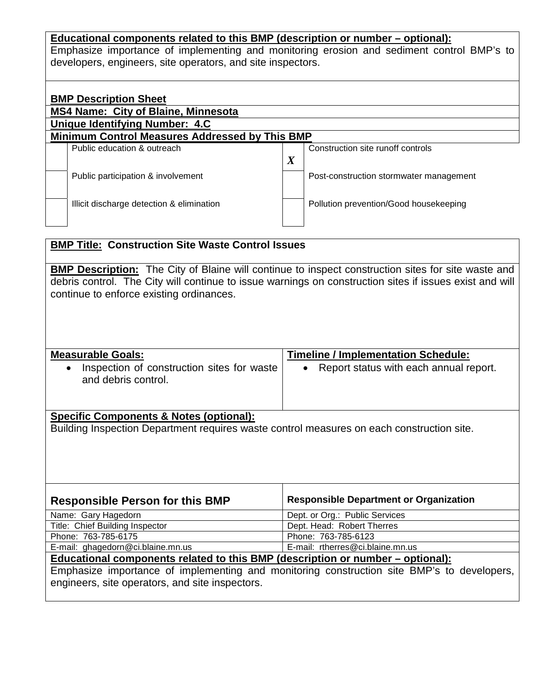#### **Educational components related to this BMP (description or number – optional):**

Emphasize importance of implementing and monitoring erosion and sediment control BMP's to developers, engineers, site operators, and site inspectors.

| <b>BMP Description Sheet</b>                          |                                           |                  |                                         |  |
|-------------------------------------------------------|-------------------------------------------|------------------|-----------------------------------------|--|
| <b>MS4 Name: City of Blaine, Minnesota</b>            |                                           |                  |                                         |  |
|                                                       | Unique Identifying Number: 4.C            |                  |                                         |  |
| <b>Minimum Control Measures Addressed by This BMP</b> |                                           |                  |                                         |  |
|                                                       | Public education & outreach               |                  | Construction site runoff controls       |  |
|                                                       |                                           | $\boldsymbol{X}$ |                                         |  |
|                                                       | Public participation & involvement        |                  | Post-construction stormwater management |  |
|                                                       |                                           |                  |                                         |  |
|                                                       | Illicit discharge detection & elimination |                  | Pollution prevention/Good housekeeping  |  |
|                                                       |                                           |                  |                                         |  |

## **BMP Title: Construction Site Waste Control Issues**

**BMP Description:** The City of Blaine will continue to inspect construction sites for site waste and debris control. The City will continue to issue warnings on construction sites if issues exist and will continue to enforce existing ordinances.

| <b>Measurable Goals:</b>                                          | <b>Timeline / Implementation Schedule:</b> |  |  |
|-------------------------------------------------------------------|--------------------------------------------|--|--|
| Inspection of construction sites for waste<br>and debris control. | • Report status with each annual report.   |  |  |

# **Specific Components & Notes (optional):**

Building Inspection Department requires waste control measures on each construction site.

| <b>Responsible Person for this BMP</b>                                                     | <b>Responsible Department or Organization</b> |  |  |
|--------------------------------------------------------------------------------------------|-----------------------------------------------|--|--|
| Name: Gary Hagedorn                                                                        | Dept. or Org.: Public Services                |  |  |
| Title: Chief Building Inspector                                                            | Dept. Head: Robert Therres                    |  |  |
| Phone: 763-785-6175                                                                        | Phone: 763-785-6123                           |  |  |
| E-mail: ghagedorn@ci.blaine.mn.us                                                          | E-mail: rtherres@ci.blaine.mn.us              |  |  |
| <u>Educational components related to this BMP (description or number – optional):</u>      |                                               |  |  |
| Emphasize importance of implementing and monitoring construction site BMP's to developers, |                                               |  |  |
| engineers, site operators, and site inspectors.                                            |                                               |  |  |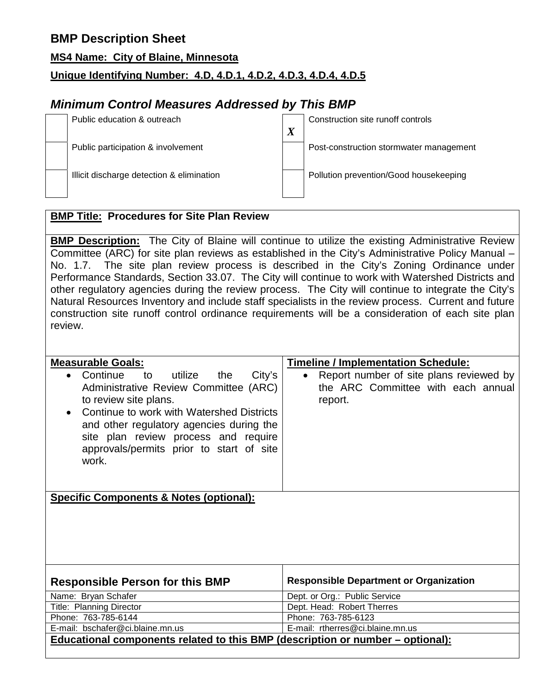#### **MS4 Name: City of Blaine, Minnesota**

## **Unique Identifying Number: 4.D, 4.D.1, 4.D.2, 4.D.3, 4.D.4, 4.D.5**

# *Minimum Control Measures Addressed by This BMP*

| Public education & outreach               | v<br>Δ | Construction site runoff controls       |
|-------------------------------------------|--------|-----------------------------------------|
| Public participation & involvement        |        | Post-construction stormwater management |
| Illicit discharge detection & elimination |        | Pollution prevention/Good housekeeping  |

### **BMP Title: Procedures for Site Plan Review**

**BMP Description:** The City of Blaine will continue to utilize the existing Administrative Review Committee (ARC) for site plan reviews as established in the City's Administrative Policy Manual – No. 1.7. The site plan review process is described in the City's Zoning Ordinance under Performance Standards, Section 33.07. The City will continue to work with Watershed Districts and other regulatory agencies during the review process. The City will continue to integrate the City's Natural Resources Inventory and include staff specialists in the review process. Current and future construction site runoff control ordinance requirements will be a consideration of each site plan review.

| <b>Measurable Goals:</b>                                                                                                                                                                                                                                                                                                     | <b>Timeline / Implementation Schedule:</b>                                               |  |  |
|------------------------------------------------------------------------------------------------------------------------------------------------------------------------------------------------------------------------------------------------------------------------------------------------------------------------------|------------------------------------------------------------------------------------------|--|--|
| City's<br>Continue<br>utilize<br>to<br>the<br>$\bullet$<br>Administrative Review Committee (ARC)<br>to review site plans.<br>Continue to work with Watershed Districts<br>$\bullet$<br>and other regulatory agencies during the<br>site plan review process and require<br>approvals/permits prior to start of site<br>work. | Report number of site plans reviewed by<br>the ARC Committee with each annual<br>report. |  |  |
|                                                                                                                                                                                                                                                                                                                              |                                                                                          |  |  |
| <b>Specific Components &amp; Notes (optional):</b>                                                                                                                                                                                                                                                                           |                                                                                          |  |  |
| <b>Responsible Person for this BMP</b>                                                                                                                                                                                                                                                                                       | <b>Responsible Department or Organization</b>                                            |  |  |
| Name: Bryan Schafer                                                                                                                                                                                                                                                                                                          | Dept. or Org.: Public Service                                                            |  |  |
| <b>Title: Planning Director</b>                                                                                                                                                                                                                                                                                              | Dept. Head: Robert Therres                                                               |  |  |
| Phone: 763-785-6144                                                                                                                                                                                                                                                                                                          | Phone: 763-785-6123                                                                      |  |  |
| E-mail: bschafer@ci.blaine.mn.us                                                                                                                                                                                                                                                                                             | E-mail: rtherres@ci.blaine.mn.us                                                         |  |  |
| <u>Educational components related to this BMP (description or number – optional):</u>                                                                                                                                                                                                                                        |                                                                                          |  |  |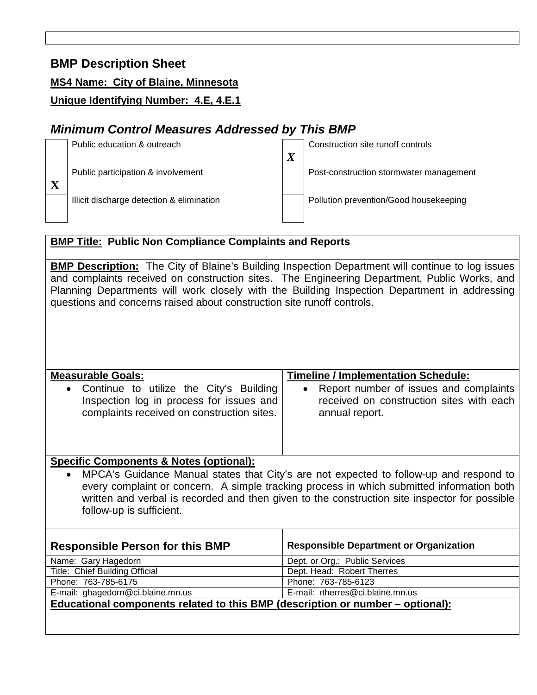#### **MS4 Name: City of Blaine, Minnesota**

## **Unique Identifying Number: 4.E, 4.E.1**

# *Minimum Control Measures Addressed by This BMP*



## **BMP Title: Public Non Compliance Complaints and Reports**

**BMP Description:** The City of Blaine's Building Inspection Department will continue to log issues and complaints received on construction sites. The Engineering Department, Public Works, and Planning Departments will work closely with the Building Inspection Department in addressing questions and concerns raised about construction site runoff controls.

| <b>Measurable Goals:</b>                                                                                                                                                                                                                                                                                                      | <b>Timeline / Implementation Schedule:</b>                 |  |  |  |
|-------------------------------------------------------------------------------------------------------------------------------------------------------------------------------------------------------------------------------------------------------------------------------------------------------------------------------|------------------------------------------------------------|--|--|--|
| Continue to utilize the City's Building<br>$\bullet$                                                                                                                                                                                                                                                                          | Report number of issues and complaints<br>$\bullet$        |  |  |  |
| Inspection log in process for issues and<br>complaints received on construction sites.                                                                                                                                                                                                                                        | received on construction sites with each<br>annual report. |  |  |  |
| <b>Specific Components &amp; Notes (optional):</b>                                                                                                                                                                                                                                                                            |                                                            |  |  |  |
| MPCA's Guidance Manual states that City's are not expected to follow-up and respond to<br>$\bullet$<br>every complaint or concern. A simple tracking process in which submitted information both<br>written and verbal is recorded and then given to the construction site inspector for possible<br>follow-up is sufficient. |                                                            |  |  |  |
| <b>Responsible Department or Organization</b><br><b>Responsible Person for this BMP</b>                                                                                                                                                                                                                                       |                                                            |  |  |  |
| Name: Gary Hagedorn                                                                                                                                                                                                                                                                                                           | Dept. or Org.: Public Services                             |  |  |  |
| Title: Chief Building Official                                                                                                                                                                                                                                                                                                | Dept. Head: Robert Therres                                 |  |  |  |
| Phone: 763-785-6175                                                                                                                                                                                                                                                                                                           | Phone: 763-785-6123                                        |  |  |  |
| E-mail: ghagedorn@ci.blaine.mn.us                                                                                                                                                                                                                                                                                             | E-mail: rtherres@ci.blaine.mn.us                           |  |  |  |
| Educational components related to this BMP (description or number – optional):                                                                                                                                                                                                                                                |                                                            |  |  |  |
|                                                                                                                                                                                                                                                                                                                               |                                                            |  |  |  |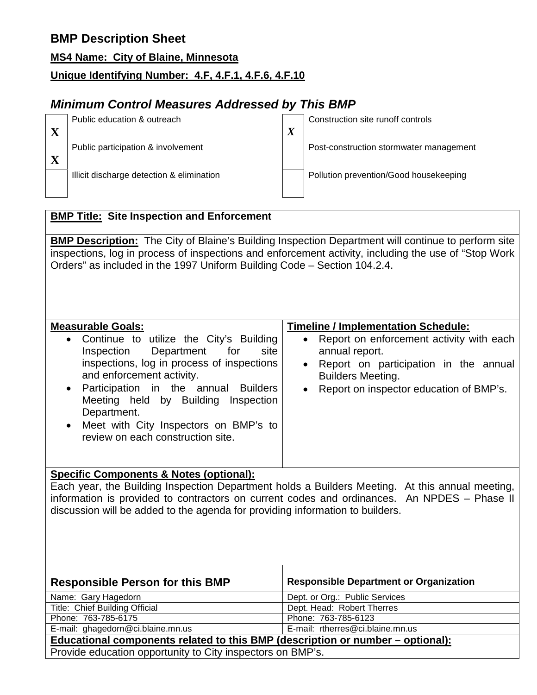**MS4 Name: City of Blaine, Minnesota**

# **Unique Identifying Number: 4.F, 4.F.1, 4.F.6, 4.F.10**

# *Minimum Control Measures Addressed by This BMP*

| Public education & outreach               | $\boldsymbol{X}$ | Construction site runoff controls       |
|-------------------------------------------|------------------|-----------------------------------------|
| Public participation & involvement        |                  | Post-construction stormwater management |
| Illicit discharge detection & elimination |                  | Pollution prevention/Good housekeeping  |

## **BMP Title: Site Inspection and Enforcement**

**BMP Description:** The City of Blaine's Building Inspection Department will continue to perform site inspections, log in process of inspections and enforcement activity, including the use of "Stop Work Orders" as included in the 1997 Uniform Building Code – Section 104.2.4.

#### **Measurable Goals:** • Continue to utilize the City's Building Inspection Department for site inspections, log in process of inspections and enforcement activity. • Participation in the annual Builders Meeting held by Building Inspection Department. • Meet with City Inspectors on BMP's to review on each construction site. **Timeline / Implementation Schedule:** • Report on enforcement activity with each annual report. • Report on participation in the annual Builders Meeting. • Report on inspector education of BMP's. **Specific Components & Notes (optional):**

Each year, the Building Inspection Department holds a Builders Meeting. At this annual meeting, information is provided to contractors on current codes and ordinances. An NPDES – Phase II discussion will be added to the agenda for providing information to builders.

| <b>Responsible Person for this BMP</b>                                         | <b>Responsible Department or Organization</b> |  |
|--------------------------------------------------------------------------------|-----------------------------------------------|--|
| Name: Gary Hagedorn                                                            | Dept. or Org.: Public Services                |  |
| Title: Chief Building Official                                                 | Dept. Head: Robert Therres                    |  |
| Phone: 763-785-6175                                                            | Phone: 763-785-6123                           |  |
| E-mail: ghagedorn@ci.blaine.mn.us                                              | E-mail: rtherres@ci.blaine.mn.us              |  |
| Educational components related to this BMP (description or number – optional): |                                               |  |
| Provide education opportunity to City inspectors on BMP's.                     |                                               |  |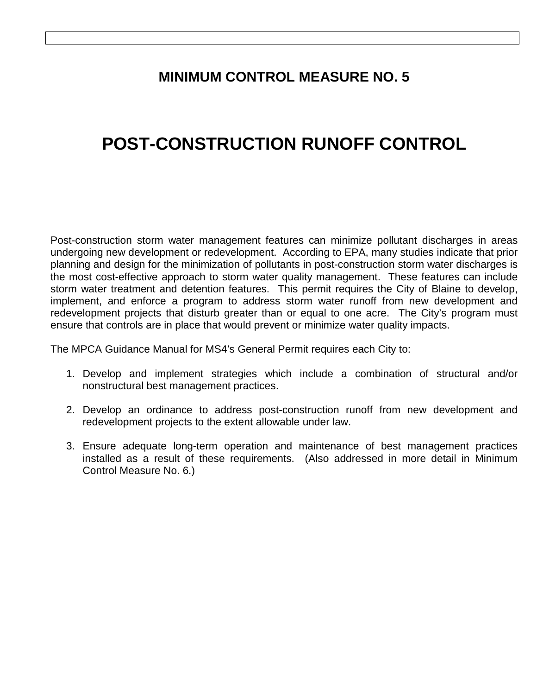# **MINIMUM CONTROL MEASURE NO. 5**

# **POST-CONSTRUCTION RUNOFF CONTROL**

Post-construction storm water management features can minimize pollutant discharges in areas undergoing new development or redevelopment. According to EPA, many studies indicate that prior planning and design for the minimization of pollutants in post-construction storm water discharges is the most cost-effective approach to storm water quality management. These features can include storm water treatment and detention features. This permit requires the City of Blaine to develop, implement, and enforce a program to address storm water runoff from new development and redevelopment projects that disturb greater than or equal to one acre. The City's program must ensure that controls are in place that would prevent or minimize water quality impacts.

The MPCA Guidance Manual for MS4's General Permit requires each City to:

- 1. Develop and implement strategies which include a combination of structural and/or nonstructural best management practices.
- 2. Develop an ordinance to address post-construction runoff from new development and redevelopment projects to the extent allowable under law.
- 3. Ensure adequate long-term operation and maintenance of best management practices installed as a result of these requirements. (Also addressed in more detail in Minimum Control Measure No. 6.)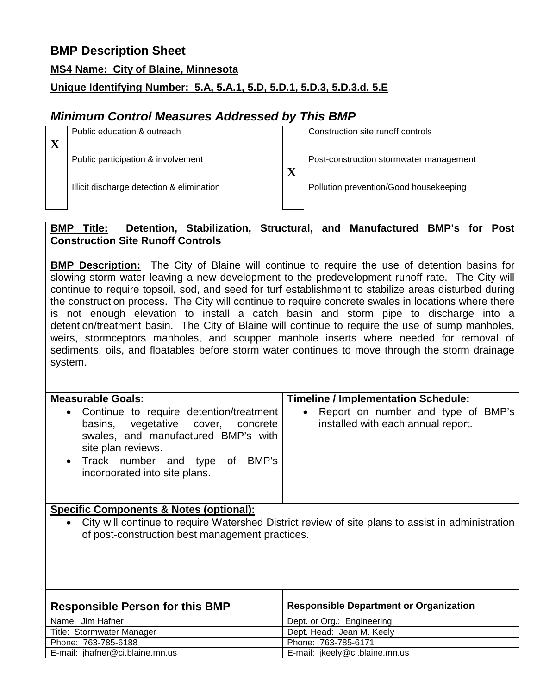#### **MS4 Name: City of Blaine, Minnesota**

## **Unique Identifying Number: 5.A, 5.A.1, 5.D, 5.D.1, 5.D.3, 5.D.3.d, 5.E**

# *Minimum Control Measures Addressed by This BMP*

| Public education & outreach               |                        | Construction site runoff controls       |
|-------------------------------------------|------------------------|-----------------------------------------|
| Public participation & involvement        | $\mathbf{v}$           | Post-construction stormwater management |
| Illicit discharge detection & elimination | $\boldsymbol{\Lambda}$ | Pollution prevention/Good housekeeping  |

#### **BMP Title: Detention, Stabilization, Structural, and Manufactured BMP's for Post Construction Site Runoff Controls**

**BMP Description:** The City of Blaine will continue to require the use of detention basins for slowing storm water leaving a new development to the predevelopment runoff rate. The City will continue to require topsoil, sod, and seed for turf establishment to stabilize areas disturbed during the construction process. The City will continue to require concrete swales in locations where there is not enough elevation to install a catch basin and storm pipe to discharge into a detention/treatment basin. The City of Blaine will continue to require the use of sump manholes, weirs, stormceptors manholes, and scupper manhole inserts where needed for removal of sediments, oils, and floatables before storm water continues to move through the storm drainage system.

| <b>Measurable Goals:</b>                                                                                                                                                                                          | <b>Timeline / Implementation Schedule:</b>                                 |
|-------------------------------------------------------------------------------------------------------------------------------------------------------------------------------------------------------------------|----------------------------------------------------------------------------|
| • Continue to require detention/treatment<br>basins, vegetative cover, concrete<br>swales, and manufactured BMP's with<br>site plan reviews.<br>• Track number and type of BMP's<br>incorporated into site plans. | • Report on number and type of BMP's<br>installed with each annual report. |

### **Specific Components & Notes (optional):**

• City will continue to require Watershed District review of site plans to assist in administration of post-construction best management practices.

| <b>Responsible Person for this BMP</b> | <b>Responsible Department or Organization</b> |
|----------------------------------------|-----------------------------------------------|
| Name: Jim Hafner                       | Dept. or Org.: Engineering                    |
| Title: Stormwater Manager              | Dept. Head: Jean M. Keely                     |
| Phone: 763-785-6188                    | Phone: 763-785-6171                           |
| E-mail: jhafner@ci.blaine.mn.us        | E-mail: jkeely@ci.blaine.mn.us                |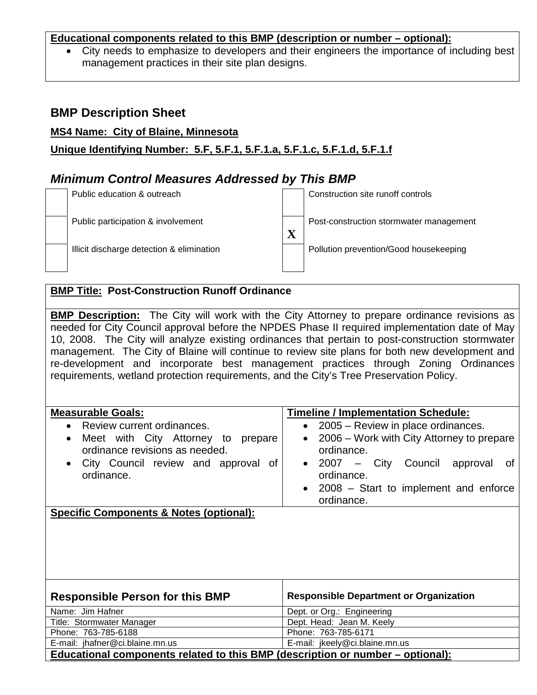#### **Educational components related to this BMP (description or number – optional):**

• City needs to emphasize to developers and their engineers the importance of including best management practices in their site plan designs.

## **BMP Description Sheet**

#### **MS4 Name: City of Blaine, Minnesota**

**Unique Identifying Number: 5.F, 5.F.1, 5.F.1.a, 5.F.1.c, 5.F.1.d, 5.F.1.f**

## *Minimum Control Measures Addressed by This BMP*



### **BMP Title: Post-Construction Runoff Ordinance**

**BMP Description:** The City will work with the City Attorney to prepare ordinance revisions as needed for City Council approval before the NPDES Phase II required implementation date of May 10, 2008. The City will analyze existing ordinances that pertain to post-construction stormwater management. The City of Blaine will continue to review site plans for both new development and re-development and incorporate best management practices through Zoning Ordinances requirements, wetland protection requirements, and the City's Tree Preservation Policy.

| <b>Measurable Goals:</b><br>Review current ordinances.<br>$\bullet$<br>Meet with City Attorney to<br>prepare<br>$\bullet$<br>ordinance revisions as needed.<br>• City Council review and approval of<br>ordinance. | <b>Timeline / Implementation Schedule:</b><br>• 2005 – Review in place ordinances.<br>2006 – Work with City Attorney to prepare<br>$\bullet$<br>ordinance.<br>Council<br>– City<br>2007<br>approval<br>Οt<br>$\bullet$<br>ordinance.<br>• 2008 – Start to implement and enforce<br>ordinance. |
|--------------------------------------------------------------------------------------------------------------------------------------------------------------------------------------------------------------------|-----------------------------------------------------------------------------------------------------------------------------------------------------------------------------------------------------------------------------------------------------------------------------------------------|
| <b>Specific Components &amp; Notes (optional):</b>                                                                                                                                                                 |                                                                                                                                                                                                                                                                                               |

| <b>Responsible Person for this BMP</b>                                         | <b>Responsible Department or Organization</b> |
|--------------------------------------------------------------------------------|-----------------------------------------------|
| Name: Jim Hafner                                                               | Dept. or Org.: Engineering                    |
| Title: Stormwater Manager                                                      | Dept. Head: Jean M. Keely                     |
| Phone: 763-785-6188                                                            | Phone: 763-785-6171                           |
| E-mail: jhafner@ci.blaine.mn.us                                                | E-mail: jkeely@ci.blaine.mn.us                |
| Educational components related to this BMP (description or number – optional): |                                               |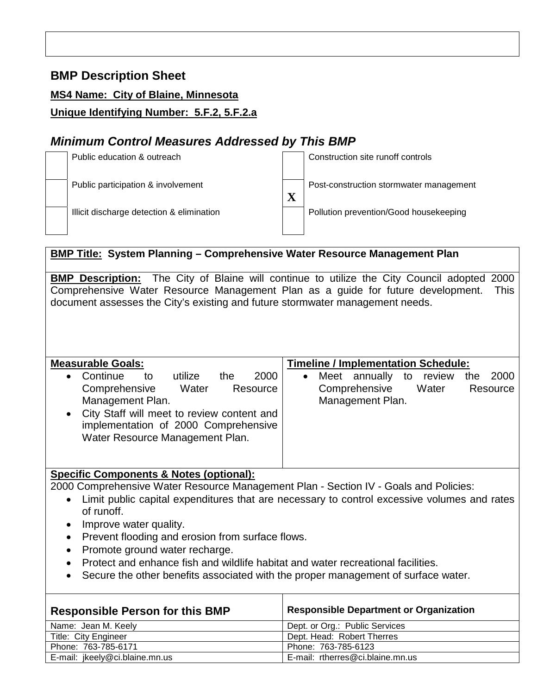#### **MS4 Name: City of Blaine, Minnesota**

**Unique Identifying Number: 5.F.2, 5.F.2.a**

# *Minimum Control Measures Addressed by This BMP*



## **BMP Title: System Planning – Comprehensive Water Resource Management Plan**

**BMP Description:** The City of Blaine will continue to utilize the City Council adopted 2000 Comprehensive Water Resource Management Plan as a guide for future development. This document assesses the City's existing and future stormwater management needs.

| <b>Measurable Goals:</b>                                                                                                                                                                                                                   | <b>Timeline / Implementation Schedule:</b>                                                                             |
|--------------------------------------------------------------------------------------------------------------------------------------------------------------------------------------------------------------------------------------------|------------------------------------------------------------------------------------------------------------------------|
| Continue<br>2000<br>utilize<br>the<br>to<br>$\bullet$<br>Comprehensive<br>Water<br>Resource<br>Management Plan.<br>• City Staff will meet to review content and<br>implementation of 2000 Comprehensive<br>Water Resource Management Plan. | annually<br>2000<br>Meet<br>review<br>to<br>the<br>$\bullet$<br>Comprehensive<br>Water<br>Resource<br>Management Plan. |

#### **Specific Components & Notes (optional):**

2000 Comprehensive Water Resource Management Plan - Section IV - Goals and Policies:

- Limit public capital expenditures that are necessary to control excessive volumes and rates of runoff.
- Improve water quality.
- Prevent flooding and erosion from surface flows.
- Promote ground water recharge.
- Protect and enhance fish and wildlife habitat and water recreational facilities.
- Secure the other benefits associated with the proper management of surface water.

| <b>Responsible Person for this BMP</b> | <b>Responsible Department or Organization</b> |
|----------------------------------------|-----------------------------------------------|
| Name: Jean M. Keely                    | Dept. or Org.: Public Services                |
| Title: City Engineer                   | Dept. Head: Robert Therres                    |
| Phone: 763-785-6171                    | Phone: 763-785-6123                           |
| E-mail: jkeely@ci.blaine.mn.us         | E-mail: rtherres@ci.blaine.mn.us              |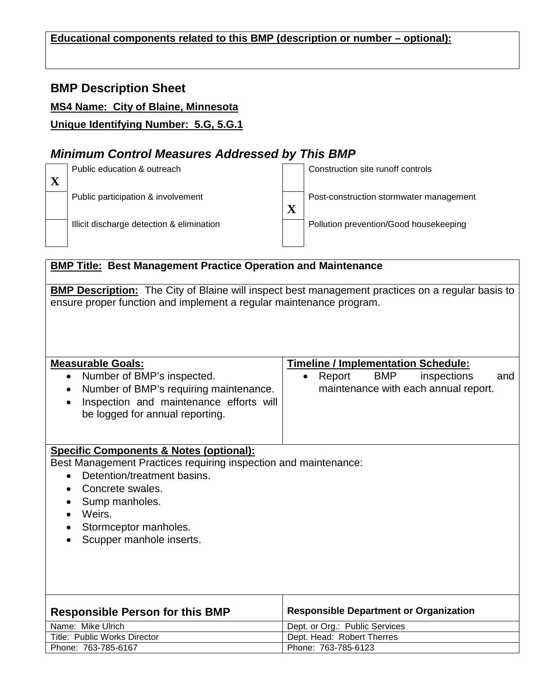#### **Educational components related to this BMP (description or number – optional):**

## **BMP Description Sheet**

#### **MS4 Name: City of Blaine, Minnesota**

**Unique Identifying Number: 5.G, 5.G.1**

# *Minimum Control Measures Addressed by This BMP*



### **BMP Title: Best Management Practice Operation and Maintenance**

**BMP Description:** The City of Blaine will inspect best management practices on a regular basis to ensure proper function and implement a regular maintenance program.

| <b>Measurable Goals:</b><br>Number of BMP's inspected.<br>$\bullet$<br>Number of BMP's requiring maintenance.<br>٠<br>Inspection and maintenance efforts will<br>$\bullet$<br>be logged for annual reporting. | <b>Timeline / Implementation Schedule:</b><br>BMP<br>Report<br>inspections<br>and<br>$\bullet$<br>maintenance with each annual report. |
|---------------------------------------------------------------------------------------------------------------------------------------------------------------------------------------------------------------|----------------------------------------------------------------------------------------------------------------------------------------|
| <b>Specific Components &amp; Notes (optional):</b>                                                                                                                                                            |                                                                                                                                        |
| Best Management Practices requiring inspection and maintenance:<br>Detention/treatment basins.<br>$\bullet$<br>Concrete swales.                                                                               |                                                                                                                                        |
| Sump manholes.<br>Weirs.                                                                                                                                                                                      |                                                                                                                                        |
| Stormceptor manholes.<br>Scupper manhole inserts.                                                                                                                                                             |                                                                                                                                        |
|                                                                                                                                                                                                               |                                                                                                                                        |
|                                                                                                                                                                                                               |                                                                                                                                        |
| <b>Responsible Person for this BMP</b>                                                                                                                                                                        | <b>Responsible Department or Organization</b>                                                                                          |
| Name: Mike Ulrich                                                                                                                                                                                             | Dept. or Org.: Public Services                                                                                                         |
| Title: Public Works Director                                                                                                                                                                                  | Dept. Head: Robert Therres                                                                                                             |
| Phone: 763-785-6167                                                                                                                                                                                           | Phone: 763-785-6123                                                                                                                    |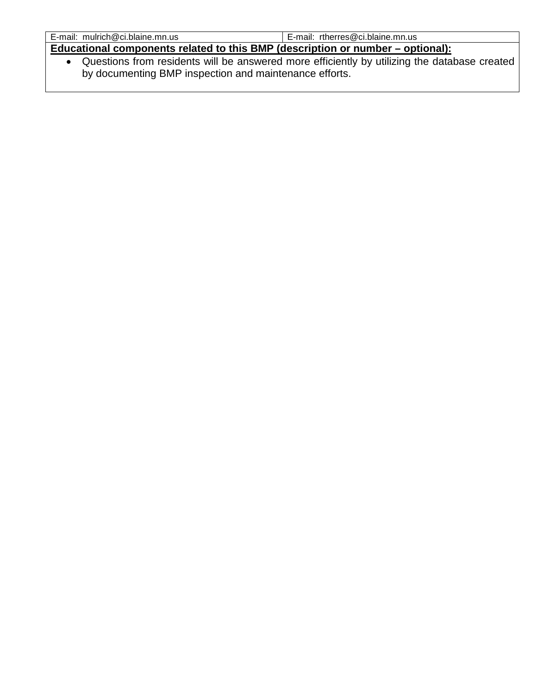| E-mail: mulrich@ci.blaine.mn.us                                                | E-mail: rtherres@ci.blaine.mn.us |
|--------------------------------------------------------------------------------|----------------------------------|
| Educational components related to this BMP (description or number – optional): |                                  |
|                                                                                |                                  |

• Questions from residents will be answered more efficiently by utilizing the database created by documenting BMP inspection and maintenance efforts.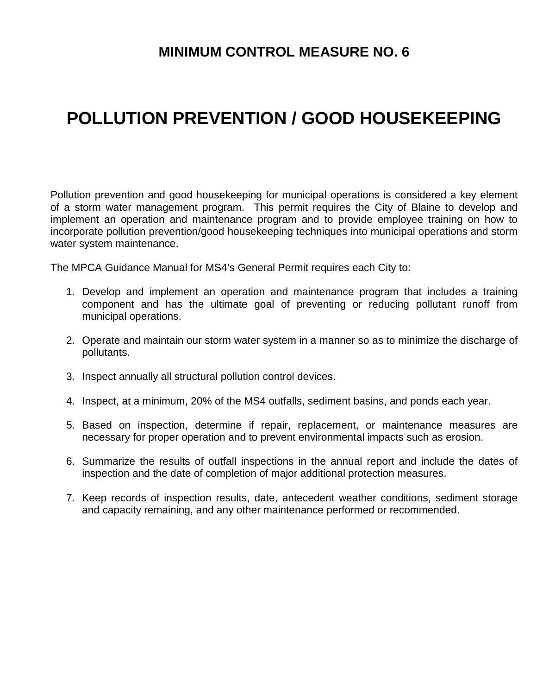# **MINIMUM CONTROL MEASURE NO. 6**

# **POLLUTION PREVENTION / GOOD HOUSEKEEPING**

Pollution prevention and good housekeeping for municipal operations is considered a key element of a storm water management program. This permit requires the City of Blaine to develop and implement an operation and maintenance program and to provide employee training on how to incorporate pollution prevention/good housekeeping techniques into municipal operations and storm water system maintenance.

The MPCA Guidance Manual for MS4's General Permit requires each City to:

- 1. Develop and implement an operation and maintenance program that includes a training component and has the ultimate goal of preventing or reducing pollutant runoff from municipal operations.
- 2. Operate and maintain our storm water system in a manner so as to minimize the discharge of pollutants.
- 3. Inspect annually all structural pollution control devices.
- 4. Inspect, at a minimum, 20% of the MS4 outfalls, sediment basins, and ponds each year.
- 5. Based on inspection, determine if repair, replacement, or maintenance measures are necessary for proper operation and to prevent environmental impacts such as erosion.
- 6. Summarize the results of outfall inspections in the annual report and include the dates of inspection and the date of completion of major additional protection measures.
- 7. Keep records of inspection results, date, antecedent weather conditions, sediment storage and capacity remaining, and any other maintenance performed or recommended.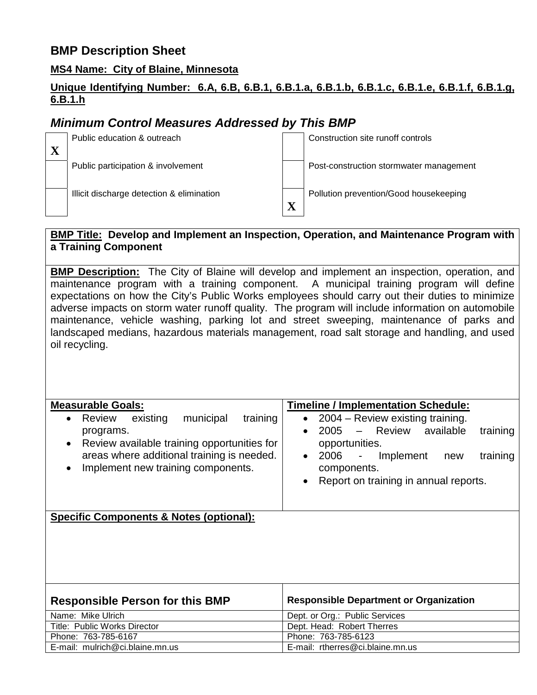#### **MS4 Name: City of Blaine, Minnesota**

### **Unique Identifying Number: 6.A, 6.B, 6.B.1, 6.B.1.a, 6.B.1.b, 6.B.1.c, 6.B.1.e, 6.B.1.f, 6.B.1.g, 6.B.1.h**

# *Minimum Control Measures Addressed by This BMP*



### **BMP Title: Develop and Implement an Inspection, Operation, and Maintenance Program with a Training Component**

**BMP Description:** The City of Blaine will develop and implement an inspection, operation, and maintenance program with a training component. A municipal training program will define expectations on how the City's Public Works employees should carry out their duties to minimize adverse impacts on storm water runoff quality. The program will include information on automobile maintenance, vehicle washing, parking lot and street sweeping, maintenance of parks and landscaped medians, hazardous materials management, road salt storage and handling, and used oil recycling.

| <b>Measurable Goals:</b>                                                                                                                                                                                                           | <b>Timeline / Implementation Schedule:</b>                                                                                                                                                                                         |
|------------------------------------------------------------------------------------------------------------------------------------------------------------------------------------------------------------------------------------|------------------------------------------------------------------------------------------------------------------------------------------------------------------------------------------------------------------------------------|
| existing<br>municipal<br>training<br>Review<br>$\bullet$<br>programs.<br>Review available training opportunities for<br>$\bullet$<br>areas where additional training is needed.<br>Implement new training components.<br>$\bullet$ | 2004 – Review existing training.<br>2005 - Review available<br>training<br>opportunities.<br>2006<br>Implement<br>training<br>$\overline{\phantom{a}}$<br>new<br>$\bullet$<br>components.<br>Report on training in annual reports. |
| <b>Specific Components &amp; Notes (optional):</b>                                                                                                                                                                                 |                                                                                                                                                                                                                                    |
| <b>Responsible Person for this BMP</b>                                                                                                                                                                                             | <b>Responsible Department or Organization</b>                                                                                                                                                                                      |
| Name: Mike Ulrich                                                                                                                                                                                                                  | Dept. or Org.: Public Services                                                                                                                                                                                                     |
| Title: Public Works Director                                                                                                                                                                                                       | Dept. Head: Robert Therres                                                                                                                                                                                                         |

Phone: 763-785-6167 Phone: 763-785-6123

E-mail: mulrich@ci.blaine.mn.us E-mail: rtherres@ci.blaine.mn.us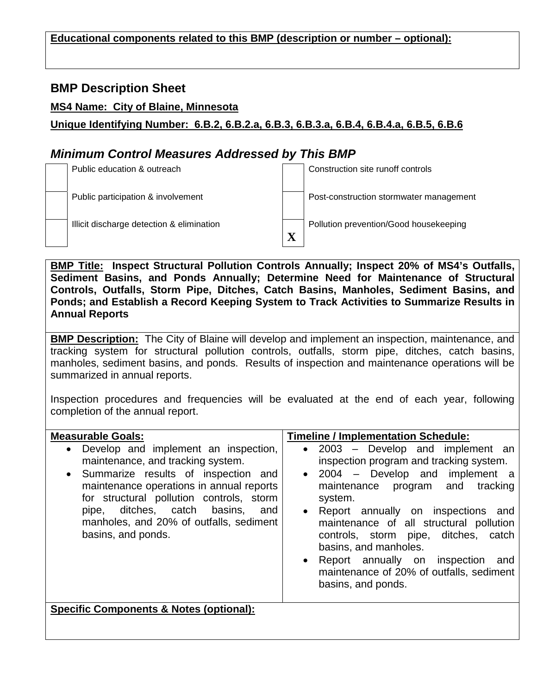#### **Educational components related to this BMP (description or number – optional):**

## **BMP Description Sheet**

#### **MS4 Name: City of Blaine, Minnesota**

**Unique Identifying Number: 6.B.2, 6.B.2.a, 6.B.3, 6.B.3.a, 6.B.4, 6.B.4.a, 6.B.5, 6.B.6**

# *Minimum Control Measures Addressed by This BMP*



**BMP Title: Inspect Structural Pollution Controls Annually; Inspect 20% of MS4's Outfalls, Sediment Basins, and Ponds Annually; Determine Need for Maintenance of Structural Controls, Outfalls, Storm Pipe, Ditches, Catch Basins, Manholes, Sediment Basins, and Ponds; and Establish a Record Keeping System to Track Activities to Summarize Results in Annual Reports**

**BMP Description:** The City of Blaine will develop and implement an inspection, maintenance, and tracking system for structural pollution controls, outfalls, storm pipe, ditches, catch basins, manholes, sediment basins, and ponds. Results of inspection and maintenance operations will be summarized in annual reports.

Inspection procedures and frequencies will be evaluated at the end of each year, following completion of the annual report.

| <b>Measurable Goals:</b>                                                                                                                                                                                                                                                                                             | <b>Timeline / Implementation Schedule:</b>                                                                                                                                                                                                                                                                                                                                                                                                                       |
|----------------------------------------------------------------------------------------------------------------------------------------------------------------------------------------------------------------------------------------------------------------------------------------------------------------------|------------------------------------------------------------------------------------------------------------------------------------------------------------------------------------------------------------------------------------------------------------------------------------------------------------------------------------------------------------------------------------------------------------------------------------------------------------------|
| • Develop and implement an inspection,<br>maintenance, and tracking system.<br>• Summarize results of inspection and<br>maintenance operations in annual reports<br>for structural pollution controls, storm<br>pipe, ditches, catch basins,<br>and<br>manholes, and 20% of outfalls, sediment<br>basins, and ponds. | 2003 - Develop and implement an<br>$\bullet$<br>inspection program and tracking system.<br>2004 - Develop and implement a<br>$\bullet$<br>maintenance program and tracking<br>system.<br>Report annually on inspections and<br>$\bullet$<br>maintenance of all structural pollution<br>controls, storm pipe, ditches, catch<br>basins, and manholes.<br>• Report annually on inspection<br>and<br>maintenance of 20% of outfalls, sediment<br>basins, and ponds. |
| <b>Specific Components &amp; Notes (optional):</b>                                                                                                                                                                                                                                                                   |                                                                                                                                                                                                                                                                                                                                                                                                                                                                  |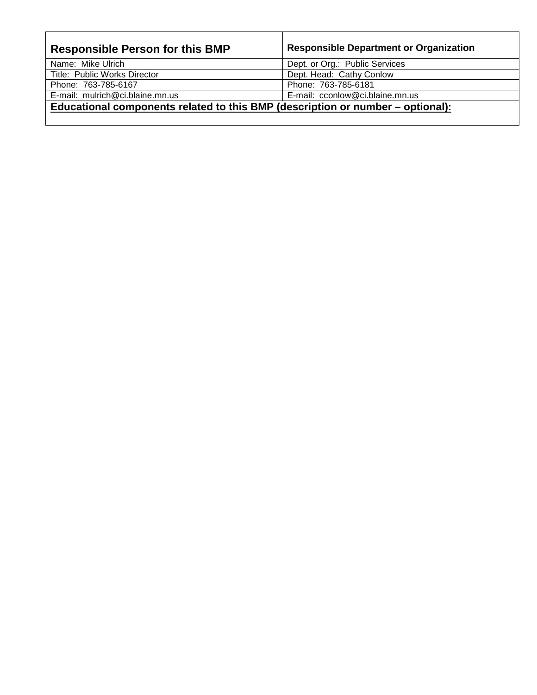| <b>Responsible Person for this BMP</b>                                         | <b>Responsible Department or Organization</b> |  |
|--------------------------------------------------------------------------------|-----------------------------------------------|--|
| Name: Mike Ulrich                                                              | Dept. or Org.: Public Services                |  |
| Title: Public Works Director                                                   | Dept. Head: Cathy Conlow                      |  |
| Phone: 763-785-6167                                                            | Phone: 763-785-6181                           |  |
| E-mail: mulrich@ci.blaine.mn.us                                                | E-mail: cconlow@ci.blaine.mn.us               |  |
| Educational components related to this BMP (description or number – optional): |                                               |  |
|                                                                                |                                               |  |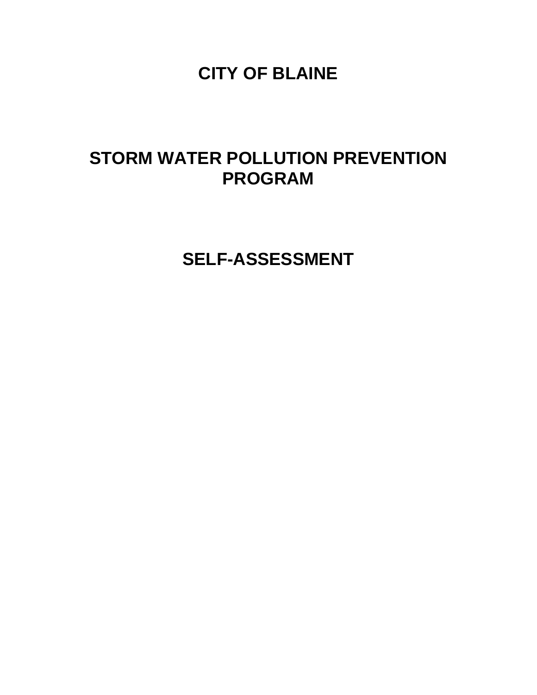**CITY OF BLAINE** 

# **STORM WATER POLLUTION PREVENTION PROGRAM**

**SELF-ASSESSMENT**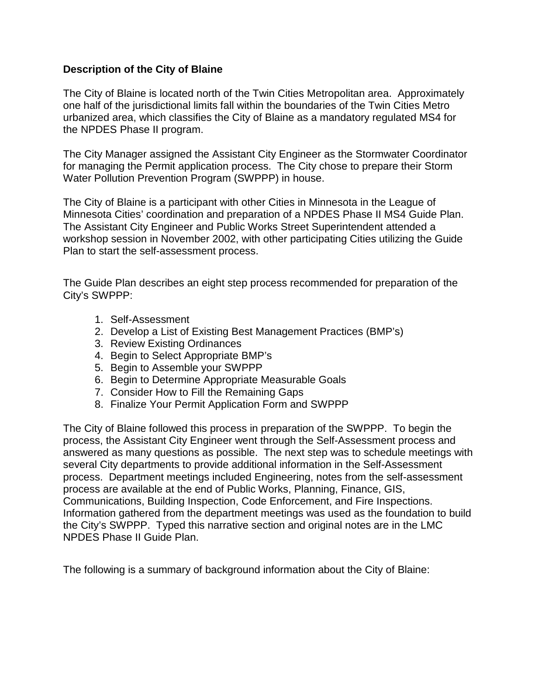#### **Description of the City of Blaine**

The City of Blaine is located north of the Twin Cities Metropolitan area. Approximately one half of the jurisdictional limits fall within the boundaries of the Twin Cities Metro urbanized area, which classifies the City of Blaine as a mandatory regulated MS4 for the NPDES Phase II program.

The City Manager assigned the Assistant City Engineer as the Stormwater Coordinator for managing the Permit application process. The City chose to prepare their Storm Water Pollution Prevention Program (SWPPP) in house.

The City of Blaine is a participant with other Cities in Minnesota in the League of Minnesota Cities' coordination and preparation of a NPDES Phase II MS4 Guide Plan. The Assistant City Engineer and Public Works Street Superintendent attended a workshop session in November 2002, with other participating Cities utilizing the Guide Plan to start the self-assessment process.

The Guide Plan describes an eight step process recommended for preparation of the City's SWPPP:

- 1. Self-Assessment
- 2. Develop a List of Existing Best Management Practices (BMP's)
- 3. Review Existing Ordinances
- 4. Begin to Select Appropriate BMP's
- 5. Begin to Assemble your SWPPP
- 6. Begin to Determine Appropriate Measurable Goals
- 7. Consider How to Fill the Remaining Gaps
- 8. Finalize Your Permit Application Form and SWPPP

The City of Blaine followed this process in preparation of the SWPPP. To begin the process, the Assistant City Engineer went through the Self-Assessment process and answered as many questions as possible. The next step was to schedule meetings with several City departments to provide additional information in the Self-Assessment process. Department meetings included Engineering, notes from the self-assessment process are available at the end of Public Works, Planning, Finance, GIS, Communications, Building Inspection, Code Enforcement, and Fire Inspections. Information gathered from the department meetings was used as the foundation to build the City's SWPPP. Typed this narrative section and original notes are in the LMC NPDES Phase II Guide Plan.

The following is a summary of background information about the City of Blaine: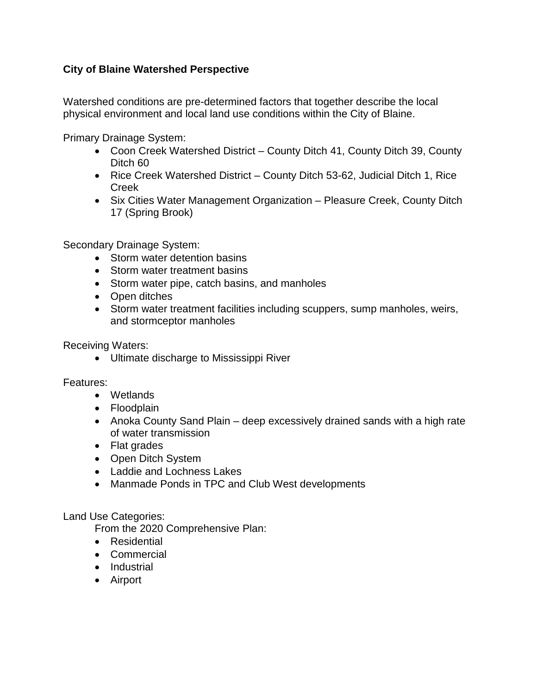## **City of Blaine Watershed Perspective**

Watershed conditions are pre-determined factors that together describe the local physical environment and local land use conditions within the City of Blaine.

Primary Drainage System:

- Coon Creek Watershed District County Ditch 41, County Ditch 39, County Ditch 60
- Rice Creek Watershed District County Ditch 53-62, Judicial Ditch 1, Rice Creek
- Six Cities Water Management Organization Pleasure Creek, County Ditch 17 (Spring Brook)

Secondary Drainage System:

- Storm water detention basins
- Storm water treatment basins
- Storm water pipe, catch basins, and manholes
- Open ditches
- Storm water treatment facilities including scuppers, sump manholes, weirs, and stormceptor manholes

Receiving Waters:

• Ultimate discharge to Mississippi River

Features:

- Wetlands
- Floodplain
- Anoka County Sand Plain deep excessively drained sands with a high rate of water transmission
- Flat grades
- Open Ditch System
- Laddie and Lochness Lakes
- Manmade Ponds in TPC and Club West developments

#### Land Use Categories:

From the 2020 Comprehensive Plan:

- Residential
- Commercial
- Industrial
- Airport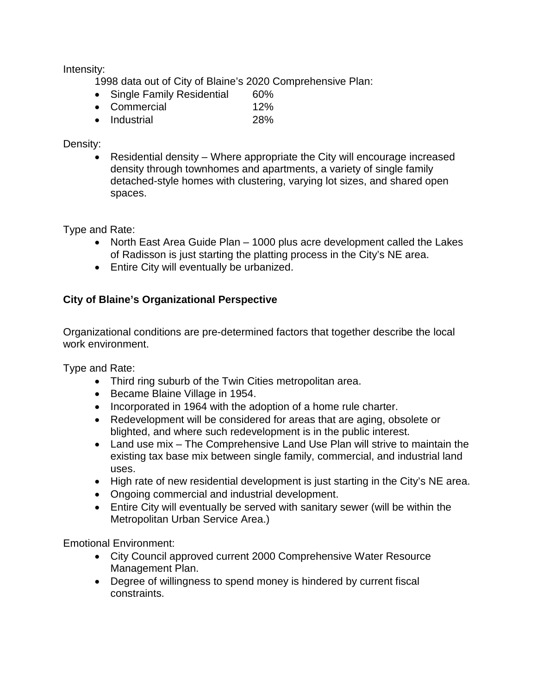Intensity:

- 1998 data out of City of Blaine's 2020 Comprehensive Plan:
- Single Family Residential 60%
- Commercial 12%
- Industrial 28%

#### Density:

• Residential density – Where appropriate the City will encourage increased density through townhomes and apartments, a variety of single family detached-style homes with clustering, varying lot sizes, and shared open spaces.

Type and Rate:

- North East Area Guide Plan 1000 plus acre development called the Lakes of Radisson is just starting the platting process in the City's NE area.
- Entire City will eventually be urbanized.

## **City of Blaine's Organizational Perspective**

Organizational conditions are pre-determined factors that together describe the local work environment.

Type and Rate:

- Third ring suburb of the Twin Cities metropolitan area.
- Became Blaine Village in 1954.
- Incorporated in 1964 with the adoption of a home rule charter.
- Redevelopment will be considered for areas that are aging, obsolete or blighted, and where such redevelopment is in the public interest.
- Land use mix The Comprehensive Land Use Plan will strive to maintain the existing tax base mix between single family, commercial, and industrial land uses.
- High rate of new residential development is just starting in the City's NE area.
- Ongoing commercial and industrial development.
- Entire City will eventually be served with sanitary sewer (will be within the Metropolitan Urban Service Area.)

Emotional Environment:

- City Council approved current 2000 Comprehensive Water Resource Management Plan.
- Degree of willingness to spend money is hindered by current fiscal constraints.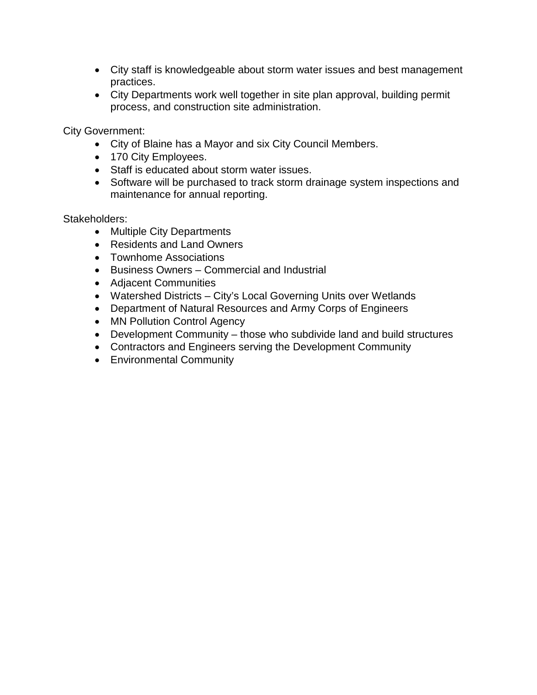- City staff is knowledgeable about storm water issues and best management practices.
- City Departments work well together in site plan approval, building permit process, and construction site administration.

City Government:

- City of Blaine has a Mayor and six City Council Members.
- 170 City Employees.
- Staff is educated about storm water issues.
- Software will be purchased to track storm drainage system inspections and maintenance for annual reporting.

Stakeholders:

- Multiple City Departments
- Residents and Land Owners
- Townhome Associations
- Business Owners Commercial and Industrial
- Adjacent Communities
- Watershed Districts City's Local Governing Units over Wetlands
- Department of Natural Resources and Army Corps of Engineers
- MN Pollution Control Agency
- Development Community those who subdivide land and build structures
- Contractors and Engineers serving the Development Community
- Environmental Community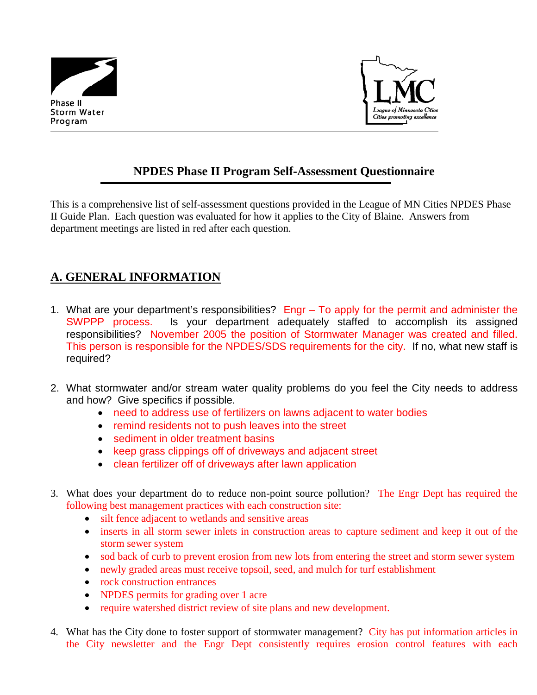



# **NPDES Phase II Program Self-Assessment Questionnaire**

This is a comprehensive list of self-assessment questions provided in the League of MN Cities NPDES Phase II Guide Plan. Each question was evaluated for how it applies to the City of Blaine. Answers from department meetings are listed in red after each question.

# **A. GENERAL INFORMATION**

- 1. What are your department's responsibilities? Engr To apply for the permit and administer the SWPPP process. Is your department adequately staffed to accomplish its assigned responsibilities? November 2005 the position of Stormwater Manager was created and filled. This person is responsible for the NPDES/SDS requirements for the city. If no, what new staff is required?
- 2. What stormwater and/or stream water quality problems do you feel the City needs to address and how? Give specifics if possible.
	- need to address use of fertilizers on lawns adjacent to water bodies
	- remind residents not to push leaves into the street
	- sediment in older treatment basins
	- keep grass clippings off of driveways and adjacent street
	- clean fertilizer off of driveways after lawn application
- 3. What does your department do to reduce non-point source pollution? The Engr Dept has required the following best management practices with each construction site:
	- silt fence adjacent to wetlands and sensitive areas
	- inserts in all storm sewer inlets in construction areas to capture sediment and keep it out of the storm sewer system
	- sod back of curb to prevent erosion from new lots from entering the street and storm sewer system
	- newly graded areas must receive topsoil, seed, and mulch for turf establishment
	- rock construction entrances
	- NPDES permits for grading over 1 acre
	- require watershed district review of site plans and new development.
- 4. What has the City done to foster support of stormwater management? City has put information articles in the City newsletter and the Engr Dept consistently requires erosion control features with each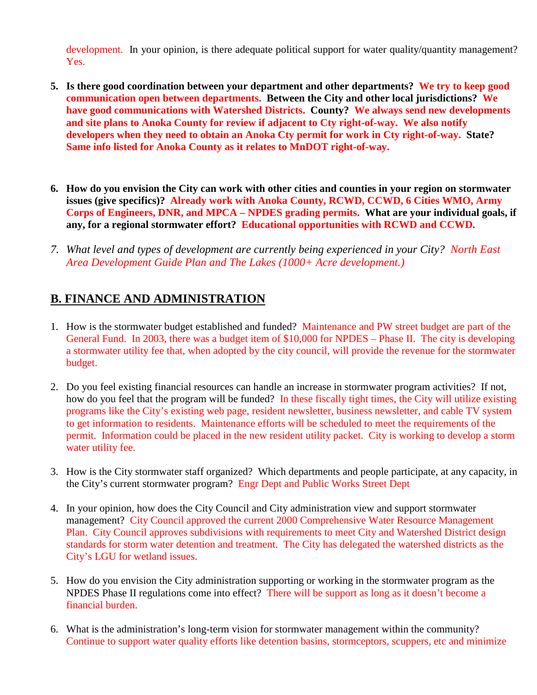development. In your opinion, is there adequate political support for water quality/quantity management? Yes.

- **5. Is there good coordination between your department and other departments? We try to keep good communication open between departments. Between the City and other local jurisdictions? We have good communications with Watershed Districts. County? We always send new developments and site plans to Anoka County for review if adjacent to Cty right-of-way. We also notify developers when they need to obtain an Anoka Cty permit for work in Cty right-of-way. State? Same info listed for Anoka County as it relates to MnDOT right-of-way.**
- **6. How do you envision the City can work with other cities and counties in your region on stormwater issues (give specifics)? Already work with Anoka County, RCWD, CCWD, 6 Cities WMO, Army Corps of Engineers, DNR, and MPCA – NPDES grading permits. What are your individual goals, if any, for a regional stormwater effort? Educational opportunities with RCWD and CCWD.**
- *7. What level and types of development are currently being experienced in your City? North East Area Development Guide Plan and The Lakes (1000+ Acre development.)*

# **B. FINANCE AND ADMINISTRATION**

- 1. How is the stormwater budget established and funded? Maintenance and PW street budget are part of the General Fund. In 2003, there was a budget item of \$10,000 for NPDES – Phase II. The city is developing a stormwater utility fee that, when adopted by the city council, will provide the revenue for the stormwater budget.
- 2. Do you feel existing financial resources can handle an increase in stormwater program activities? If not, how do you feel that the program will be funded? In these fiscally tight times, the City will utilize existing programs like the City's existing web page, resident newsletter, business newsletter, and cable TV system to get information to residents. Maintenance efforts will be scheduled to meet the requirements of the permit. Information could be placed in the new resident utility packet. City is working to develop a storm water utility fee.
- 3. How is the City stormwater staff organized? Which departments and people participate, at any capacity, in the City's current stormwater program? Engr Dept and Public Works Street Dept
- 4. In your opinion, how does the City Council and City administration view and support stormwater management? City Council approved the current 2000 Comprehensive Water Resource Management Plan. City Council approves subdivisions with requirements to meet City and Watershed District design standards for storm water detention and treatment. The City has delegated the watershed districts as the City's LGU for wetland issues.
- 5. How do you envision the City administration supporting or working in the stormwater program as the NPDES Phase II regulations come into effect? There will be support as long as it doesn't become a financial burden.
- 6. What is the administration's long-term vision for stormwater management within the community? Continue to support water quality efforts like detention basins, stormceptors, scuppers, etc and minimize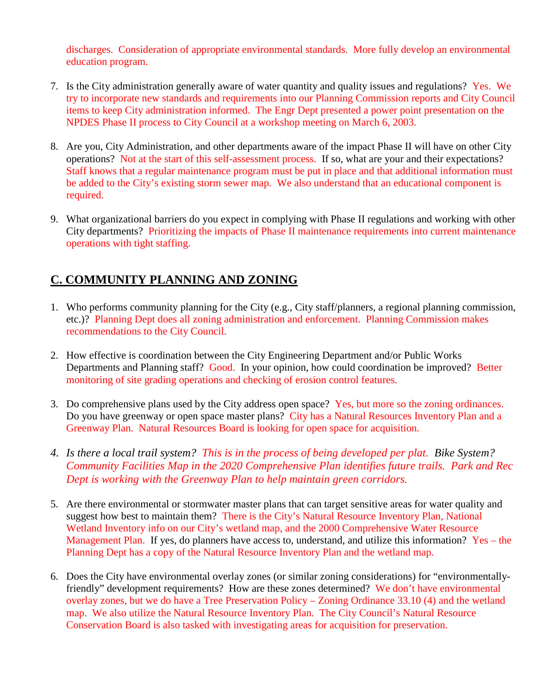discharges. Consideration of appropriate environmental standards. More fully develop an environmental education program.

- 7. Is the City administration generally aware of water quantity and quality issues and regulations? Yes. We try to incorporate new standards and requirements into our Planning Commission reports and City Council items to keep City administration informed. The Engr Dept presented a power point presentation on the NPDES Phase II process to City Council at a workshop meeting on March 6, 2003.
- 8. Are you, City Administration, and other departments aware of the impact Phase II will have on other City operations? Not at the start of this self-assessment process. If so, what are your and their expectations? Staff knows that a regular maintenance program must be put in place and that additional information must be added to the City's existing storm sewer map. We also understand that an educational component is required.
- 9. What organizational barriers do you expect in complying with Phase II regulations and working with other City departments? Prioritizing the impacts of Phase II maintenance requirements into current maintenance operations with tight staffing.

# **C. COMMUNITY PLANNING AND ZONING**

- 1. Who performs community planning for the City (e.g., City staff/planners, a regional planning commission, etc.)? Planning Dept does all zoning administration and enforcement. Planning Commission makes recommendations to the City Council.
- 2. How effective is coordination between the City Engineering Department and/or Public Works Departments and Planning staff? Good. In your opinion, how could coordination be improved? Better monitoring of site grading operations and checking of erosion control features.
- 3. Do comprehensive plans used by the City address open space? Yes, but more so the zoning ordinances. Do you have greenway or open space master plans? City has a Natural Resources Inventory Plan and a Greenway Plan. Natural Resources Board is looking for open space for acquisition.
- *4. Is there a local trail system? This is in the process of being developed per plat. Bike System? Community Facilities Map in the 2020 Comprehensive Plan identifies future trails. Park and Rec Dept is working with the Greenway Plan to help maintain green corridors.*
- 5. Are there environmental or stormwater master plans that can target sensitive areas for water quality and suggest how best to maintain them? There is the City's Natural Resource Inventory Plan, National Wetland Inventory info on our City's wetland map, and the 2000 Comprehensive Water Resource Management Plan. If yes, do planners have access to, understand, and utilize this information? Yes – the Planning Dept has a copy of the Natural Resource Inventory Plan and the wetland map.
- 6. Does the City have environmental overlay zones (or similar zoning considerations) for "environmentallyfriendly" development requirements? How are these zones determined? We don't have environmental overlay zones, but we do have a Tree Preservation Policy – Zoning Ordinance 33.10 (4) and the wetland map. We also utilize the Natural Resource Inventory Plan. The City Council's Natural Resource Conservation Board is also tasked with investigating areas for acquisition for preservation.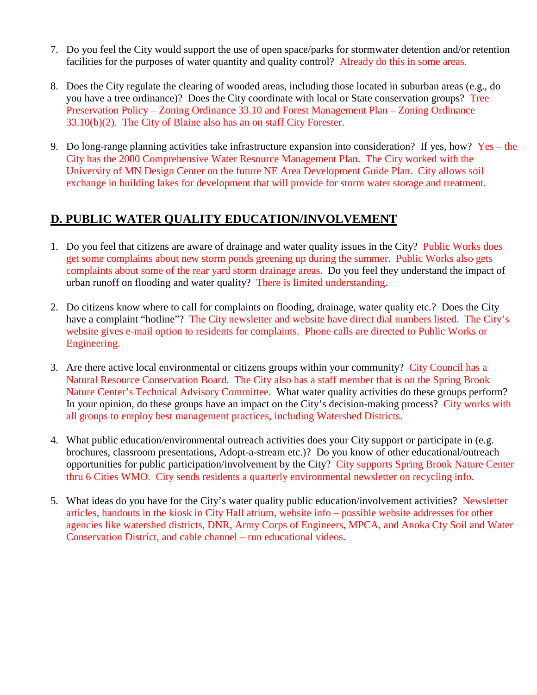- 7. Do you feel the City would support the use of open space/parks for stormwater detention and/or retention facilities for the purposes of water quantity and quality control? Already do this in some areas.
- 8. Does the City regulate the clearing of wooded areas, including those located in suburban areas (e.g., do you have a tree ordinance)? Does the City coordinate with local or State conservation groups? Tree Preservation Policy – Zoning Ordinance 33.10 and Forest Management Plan – Zoning Ordinance 33.10(b)(2). The City of Blaine also has an on staff City Forester.
- 9. Do long-range planning activities take infrastructure expansion into consideration? If yes, how? Yes the City has the 2000 Comprehensive Water Resource Management Plan. The City worked with the University of MN Design Center on the future NE Area Development Guide Plan. City allows soil exchange in building lakes for development that will provide for storm water storage and treatment.

# **D. PUBLIC WATER QUALITY EDUCATION/INVOLVEMENT**

- 1. Do you feel that citizens are aware of drainage and water quality issues in the City? Public Works does get some complaints about new storm ponds greening up during the summer. Public Works also gets complaints about some of the rear yard storm drainage areas. Do you feel they understand the impact of urban runoff on flooding and water quality? There is limited understanding.
- 2. Do citizens know where to call for complaints on flooding, drainage, water quality etc.? Does the City have a complaint "hotline"? The City newsletter and website have direct dial numbers listed. The City's website gives e-mail option to residents for complaints. Phone calls are directed to Public Works or Engineering.
- 3. Are there active local environmental or citizens groups within your community? City Council has a Natural Resource Conservation Board. The City also has a staff member that is on the Spring Brook Nature Center's Technical Advisory Committee. What water quality activities do these groups perform? In your opinion, do these groups have an impact on the City's decision-making process? City works with all groups to employ best management practices, including Watershed Districts.
- 4. What public education/environmental outreach activities does your City support or participate in (e.g. brochures, classroom presentations, Adopt-a-stream etc.)? Do you know of other educational/outreach opportunities for public participation/involvement by the City? City supports Spring Brook Nature Center thru 6 Cities WMO. City sends residents a quarterly environmental newsletter on recycling info.
- 5. What ideas do you have for the City's water quality public education/involvement activities? Newsletter articles, handouts in the kiosk in City Hall atrium, website info – possible website addresses for other agencies like watershed districts, DNR, Army Corps of Engineers, MPCA, and Anoka Cty Soil and Water Conservation District, and cable channel – run educational videos.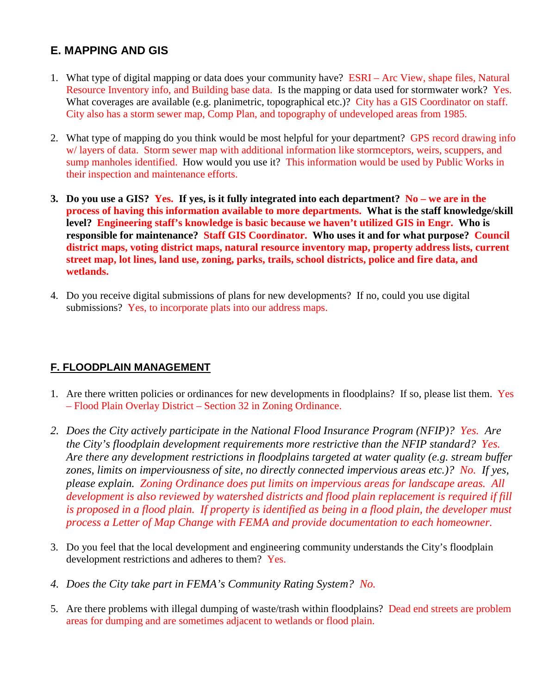# **E. MAPPING AND GIS**

- 1. What type of digital mapping or data does your community have? ESRI Arc View, shape files, Natural Resource Inventory info, and Building base data. Is the mapping or data used for stormwater work? Yes. What coverages are available (e.g. planimetric, topographical etc.)? City has a GIS Coordinator on staff. City also has a storm sewer map, Comp Plan, and topography of undeveloped areas from 1985.
- 2. What type of mapping do you think would be most helpful for your department? GPS record drawing info w/ layers of data. Storm sewer map with additional information like stormceptors, weirs, scuppers, and sump manholes identified. How would you use it? This information would be used by Public Works in their inspection and maintenance efforts.
- **3. Do you use a GIS? Yes. If yes, is it fully integrated into each department? No we are in the process of having this information available to more departments. What is the staff knowledge/skill level? Engineering staff's knowledge is basic because we haven't utilized GIS in Engr. Who is responsible for maintenance? Staff GIS Coordinator. Who uses it and for what purpose? Council district maps, voting district maps, natural resource inventory map, property address lists, current street map, lot lines, land use, zoning, parks, trails, school districts, police and fire data, and wetlands.**
- 4. Do you receive digital submissions of plans for new developments? If no, could you use digital submissions? Yes, to incorporate plats into our address maps.

## **F. FLOODPLAIN MANAGEMENT**

- 1. Are there written policies or ordinances for new developments in floodplains? If so, please list them. Yes – Flood Plain Overlay District – Section 32 in Zoning Ordinance.
- *2. Does the City actively participate in the National Flood Insurance Program (NFIP)? Yes. Are the City's floodplain development requirements more restrictive than the NFIP standard? Yes. Are there any development restrictions in floodplains targeted at water quality (e.g. stream buffer zones, limits on imperviousness of site, no directly connected impervious areas etc.)? No. If yes, please explain. Zoning Ordinance does put limits on impervious areas for landscape areas. All development is also reviewed by watershed districts and flood plain replacement is required if fill is proposed in a flood plain. If property is identified as being in a flood plain, the developer must process a Letter of Map Change with FEMA and provide documentation to each homeowner.*
- 3. Do you feel that the local development and engineering community understands the City's floodplain development restrictions and adheres to them? Yes.
- *4. Does the City take part in FEMA's Community Rating System? No.*
- 5. Are there problems with illegal dumping of waste/trash within floodplains? Dead end streets are problem areas for dumping and are sometimes adjacent to wetlands or flood plain.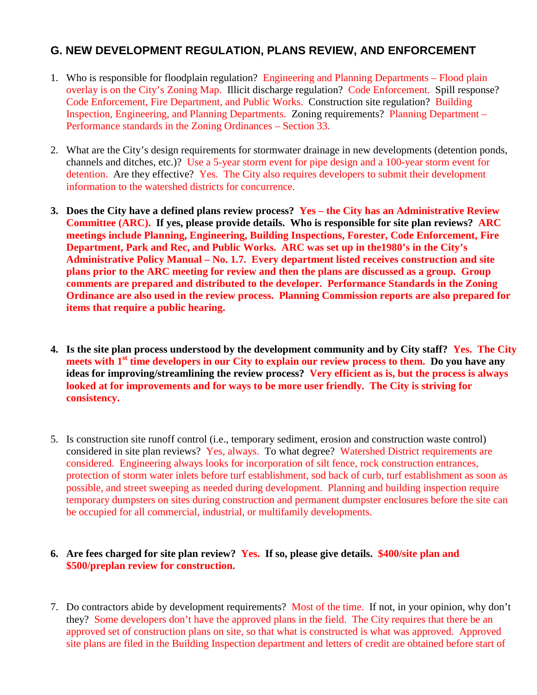## **G. NEW DEVELOPMENT REGULATION, PLANS REVIEW, AND ENFORCEMENT**

- 1. Who is responsible for floodplain regulation? Engineering and Planning Departments Flood plain overlay is on the City's Zoning Map. Illicit discharge regulation? Code Enforcement. Spill response? Code Enforcement, Fire Department, and Public Works. Construction site regulation? Building Inspection, Engineering, and Planning Departments. Zoning requirements? Planning Department – Performance standards in the Zoning Ordinances – Section 33.
- 2. What are the City's design requirements for stormwater drainage in new developments (detention ponds, channels and ditches, etc.)? Use a 5-year storm event for pipe design and a 100-year storm event for detention. Are they effective? Yes. The City also requires developers to submit their development information to the watershed districts for concurrence.
- **3. Does the City have a defined plans review process? Yes the City has an Administrative Review Committee (ARC). If yes, please provide details. Who is responsible for site plan reviews? ARC meetings include Planning, Engineering, Building Inspections, Forester, Code Enforcement, Fire Department, Park and Rec, and Public Works. ARC was set up in the1980's in the City's Administrative Policy Manual – No. 1.7. Every department listed receives construction and site plans prior to the ARC meeting for review and then the plans are discussed as a group. Group comments are prepared and distributed to the developer. Performance Standards in the Zoning Ordinance are also used in the review process. Planning Commission reports are also prepared for items that require a public hearing.**
- **4. Is the site plan process understood by the development community and by City staff? Yes. The City**  meets with 1<sup>st</sup> time developers in our City to explain our review process to them. Do you have any **ideas for improving/streamlining the review process? Very efficient as is, but the process is always looked at for improvements and for ways to be more user friendly. The City is striving for consistency.**
- 5. Is construction site runoff control (i.e., temporary sediment, erosion and construction waste control) considered in site plan reviews? Yes, always. To what degree? Watershed District requirements are considered. Engineering always looks for incorporation of silt fence, rock construction entrances, protection of storm water inlets before turf establishment, sod back of curb, turf establishment as soon as possible, and street sweeping as needed during development. Planning and building inspection require temporary dumpsters on sites during construction and permanent dumpster enclosures before the site can be occupied for all commercial, industrial, or multifamily developments.

#### **6. Are fees charged for site plan review? Yes. If so, please give details. \$400/site plan and \$500/preplan review for construction.**

7. Do contractors abide by development requirements? Most of the time. If not, in your opinion, why don't they? Some developers don't have the approved plans in the field. The City requires that there be an approved set of construction plans on site, so that what is constructed is what was approved. Approved site plans are filed in the Building Inspection department and letters of credit are obtained before start of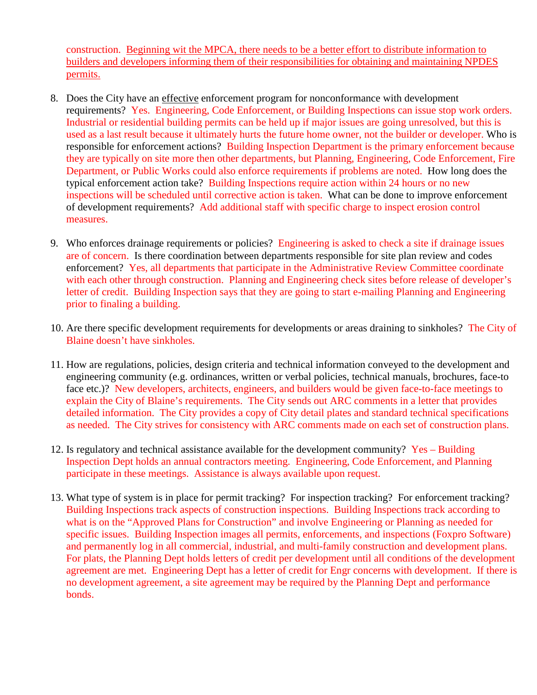construction. Beginning wit the MPCA, there needs to be a better effort to distribute information to builders and developers informing them of their responsibilities for obtaining and maintaining NPDES permits.

- 8. Does the City have an effective enforcement program for nonconformance with development requirements? Yes. Engineering, Code Enforcement, or Building Inspections can issue stop work orders. Industrial or residential building permits can be held up if major issues are going unresolved, but this is used as a last result because it ultimately hurts the future home owner, not the builder or developer. Who is responsible for enforcement actions? Building Inspection Department is the primary enforcement because they are typically on site more then other departments, but Planning, Engineering, Code Enforcement, Fire Department, or Public Works could also enforce requirements if problems are noted. How long does the typical enforcement action take? Building Inspections require action within 24 hours or no new inspections will be scheduled until corrective action is taken. What can be done to improve enforcement of development requirements? Add additional staff with specific charge to inspect erosion control measures.
- 9. Who enforces drainage requirements or policies? Engineering is asked to check a site if drainage issues are of concern. Is there coordination between departments responsible for site plan review and codes enforcement? Yes, all departments that participate in the Administrative Review Committee coordinate with each other through construction. Planning and Engineering check sites before release of developer's letter of credit. Building Inspection says that they are going to start e-mailing Planning and Engineering prior to finaling a building.
- 10. Are there specific development requirements for developments or areas draining to sinkholes? The City of Blaine doesn't have sinkholes.
- 11. How are regulations, policies, design criteria and technical information conveyed to the development and engineering community (e.g. ordinances, written or verbal policies, technical manuals, brochures, face-to face etc.)? New developers, architects, engineers, and builders would be given face-to-face meetings to explain the City of Blaine's requirements. The City sends out ARC comments in a letter that provides detailed information. The City provides a copy of City detail plates and standard technical specifications as needed. The City strives for consistency with ARC comments made on each set of construction plans.
- 12. Is regulatory and technical assistance available for the development community? Yes Building Inspection Dept holds an annual contractors meeting. Engineering, Code Enforcement, and Planning participate in these meetings. Assistance is always available upon request.
- 13. What type of system is in place for permit tracking? For inspection tracking? For enforcement tracking? Building Inspections track aspects of construction inspections. Building Inspections track according to what is on the "Approved Plans for Construction" and involve Engineering or Planning as needed for specific issues. Building Inspection images all permits, enforcements, and inspections (Foxpro Software) and permanently log in all commercial, industrial, and multi-family construction and development plans. For plats, the Planning Dept holds letters of credit per development until all conditions of the development agreement are met. Engineering Dept has a letter of credit for Engr concerns with development. If there is no development agreement, a site agreement may be required by the Planning Dept and performance bonds.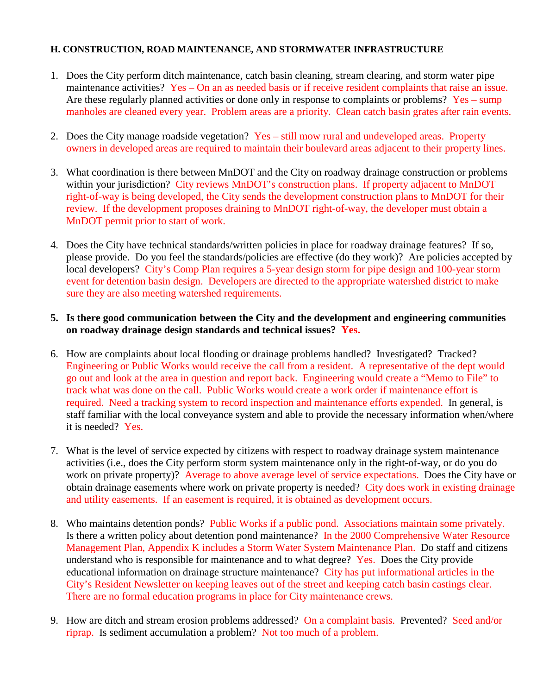#### **H. CONSTRUCTION, ROAD MAINTENANCE, AND STORMWATER INFRASTRUCTURE**

- 1. Does the City perform ditch maintenance, catch basin cleaning, stream clearing, and storm water pipe maintenance activities? Yes – On an as needed basis or if receive resident complaints that raise an issue. Are these regularly planned activities or done only in response to complaints or problems?  $Yes - sump$ manholes are cleaned every year. Problem areas are a priority. Clean catch basin grates after rain events.
- 2. Does the City manage roadside vegetation? Yes still mow rural and undeveloped areas. Property owners in developed areas are required to maintain their boulevard areas adjacent to their property lines.
- 3. What coordination is there between MnDOT and the City on roadway drainage construction or problems within your jurisdiction? City reviews MnDOT's construction plans. If property adjacent to MnDOT right-of-way is being developed, the City sends the development construction plans to MnDOT for their review. If the development proposes draining to MnDOT right-of-way, the developer must obtain a MnDOT permit prior to start of work.
- 4. Does the City have technical standards/written policies in place for roadway drainage features? If so, please provide. Do you feel the standards/policies are effective (do they work)? Are policies accepted by local developers? City's Comp Plan requires a 5-year design storm for pipe design and 100-year storm event for detention basin design. Developers are directed to the appropriate watershed district to make sure they are also meeting watershed requirements.
- **5. Is there good communication between the City and the development and engineering communities on roadway drainage design standards and technical issues? Yes.**
- 6. How are complaints about local flooding or drainage problems handled? Investigated? Tracked? Engineering or Public Works would receive the call from a resident. A representative of the dept would go out and look at the area in question and report back. Engineering would create a "Memo to File" to track what was done on the call. Public Works would create a work order if maintenance effort is required. Need a tracking system to record inspection and maintenance efforts expended. In general, is staff familiar with the local conveyance system and able to provide the necessary information when/where it is needed? Yes.
- 7. What is the level of service expected by citizens with respect to roadway drainage system maintenance activities (i.e., does the City perform storm system maintenance only in the right-of-way, or do you do work on private property)? Average to above average level of service expectations. Does the City have or obtain drainage easements where work on private property is needed? City does work in existing drainage and utility easements. If an easement is required, it is obtained as development occurs.
- 8. Who maintains detention ponds? Public Works if a public pond. Associations maintain some privately. Is there a written policy about detention pond maintenance? In the 2000 Comprehensive Water Resource Management Plan, Appendix K includes a Storm Water System Maintenance Plan. Do staff and citizens understand who is responsible for maintenance and to what degree? Yes. Does the City provide educational information on drainage structure maintenance? City has put informational articles in the City's Resident Newsletter on keeping leaves out of the street and keeping catch basin castings clear. There are no formal education programs in place for City maintenance crews.
- 9. How are ditch and stream erosion problems addressed? On a complaint basis. Prevented? Seed and/or riprap. Is sediment accumulation a problem? Not too much of a problem.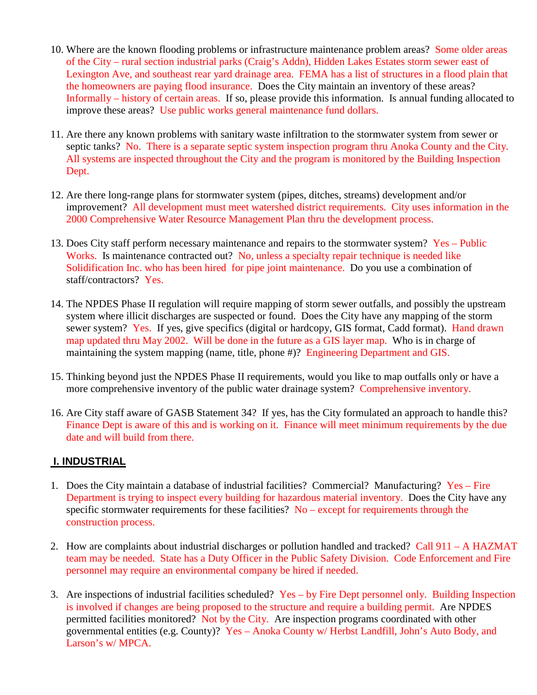- 10. Where are the known flooding problems or infrastructure maintenance problem areas? Some older areas of the City – rural section industrial parks (Craig's Addn), Hidden Lakes Estates storm sewer east of Lexington Ave, and southeast rear yard drainage area. FEMA has a list of structures in a flood plain that the homeowners are paying flood insurance. Does the City maintain an inventory of these areas? Informally – history of certain areas. If so, please provide this information. Is annual funding allocated to improve these areas? Use public works general maintenance fund dollars.
- 11. Are there any known problems with sanitary waste infiltration to the stormwater system from sewer or septic tanks? No. There is a separate septic system inspection program thru Anoka County and the City. All systems are inspected throughout the City and the program is monitored by the Building Inspection Dept.
- 12. Are there long-range plans for stormwater system (pipes, ditches, streams) development and/or improvement? All development must meet watershed district requirements. City uses information in the 2000 Comprehensive Water Resource Management Plan thru the development process.
- 13. Does City staff perform necessary maintenance and repairs to the stormwater system? Yes Public Works. Is maintenance contracted out? No, unless a specialty repair technique is needed like Solidification Inc. who has been hired for pipe joint maintenance. Do you use a combination of staff/contractors? Yes.
- 14. The NPDES Phase II regulation will require mapping of storm sewer outfalls, and possibly the upstream system where illicit discharges are suspected or found. Does the City have any mapping of the storm sewer system? Yes. If yes, give specifics (digital or hardcopy, GIS format, Cadd format). Hand drawn map updated thru May 2002. Will be done in the future as a GIS layer map. Who is in charge of maintaining the system mapping (name, title, phone #)? Engineering Department and GIS.
- 15. Thinking beyond just the NPDES Phase II requirements, would you like to map outfalls only or have a more comprehensive inventory of the public water drainage system? Comprehensive inventory.
- 16. Are City staff aware of GASB Statement 34? If yes, has the City formulated an approach to handle this? Finance Dept is aware of this and is working on it. Finance will meet minimum requirements by the due date and will build from there.

#### **I. INDUSTRIAL**

- 1. Does the City maintain a database of industrial facilities? Commercial? Manufacturing? Yes Fire Department is trying to inspect every building for hazardous material inventory. Does the City have any specific stormwater requirements for these facilities?  $No$  – except for requirements through the construction process.
- 2. How are complaints about industrial discharges or pollution handled and tracked? Call 911 A HAZMAT team may be needed. State has a Duty Officer in the Public Safety Division. Code Enforcement and Fire personnel may require an environmental company be hired if needed.
- 3. Are inspections of industrial facilities scheduled? Yes by Fire Dept personnel only. Building Inspection is involved if changes are being proposed to the structure and require a building permit. Are NPDES permitted facilities monitored? Not by the City. Are inspection programs coordinated with other governmental entities (e.g. County)? Yes – Anoka County w/ Herbst Landfill, John's Auto Body, and Larson's w/ MPCA.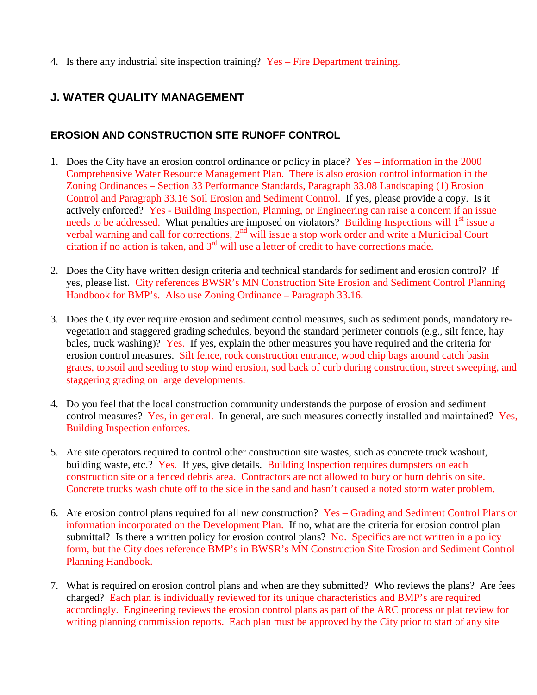4. Is there any industrial site inspection training? Yes – Fire Department training.

# **J. WATER QUALITY MANAGEMENT**

## **EROSION AND CONSTRUCTION SITE RUNOFF CONTROL**

- 1. Does the City have an erosion control ordinance or policy in place? Yes information in the 2000 Comprehensive Water Resource Management Plan. There is also erosion control information in the Zoning Ordinances – Section 33 Performance Standards, Paragraph 33.08 Landscaping (1) Erosion Control and Paragraph 33.16 Soil Erosion and Sediment Control. If yes, please provide a copy. Is it actively enforced? Yes - Building Inspection, Planning, or Engineering can raise a concern if an issue needs to be addressed. What penalties are imposed on violators? Building Inspections will 1<sup>st</sup> issue a verbal warning and call for corrections, 2<sup>nd</sup> will issue a stop work order and write a Municipal Court citation if no action is taken, and  $3<sup>rd</sup>$  will use a letter of credit to have corrections made.
- 2. Does the City have written design criteria and technical standards for sediment and erosion control? If yes, please list. City references BWSR's MN Construction Site Erosion and Sediment Control Planning Handbook for BMP's. Also use Zoning Ordinance – Paragraph 33.16.
- 3. Does the City ever require erosion and sediment control measures, such as sediment ponds, mandatory revegetation and staggered grading schedules, beyond the standard perimeter controls (e.g., silt fence, hay bales, truck washing)? Yes. If yes, explain the other measures you have required and the criteria for erosion control measures. Silt fence, rock construction entrance, wood chip bags around catch basin grates, topsoil and seeding to stop wind erosion, sod back of curb during construction, street sweeping, and staggering grading on large developments.
- 4. Do you feel that the local construction community understands the purpose of erosion and sediment control measures? Yes, in general. In general, are such measures correctly installed and maintained? Yes, Building Inspection enforces.
- 5. Are site operators required to control other construction site wastes, such as concrete truck washout, building waste, etc.? Yes. If yes, give details. Building Inspection requires dumpsters on each construction site or a fenced debris area. Contractors are not allowed to bury or burn debris on site. Concrete trucks wash chute off to the side in the sand and hasn't caused a noted storm water problem.
- 6. Are erosion control plans required for all new construction? Yes Grading and Sediment Control Plans or information incorporated on the Development Plan. If no, what are the criteria for erosion control plan submittal? Is there a written policy for erosion control plans? No. Specifics are not written in a policy form, but the City does reference BMP's in BWSR's MN Construction Site Erosion and Sediment Control Planning Handbook.
- 7. What is required on erosion control plans and when are they submitted? Who reviews the plans? Are fees charged? Each plan is individually reviewed for its unique characteristics and BMP's are required accordingly. Engineering reviews the erosion control plans as part of the ARC process or plat review for writing planning commission reports. Each plan must be approved by the City prior to start of any site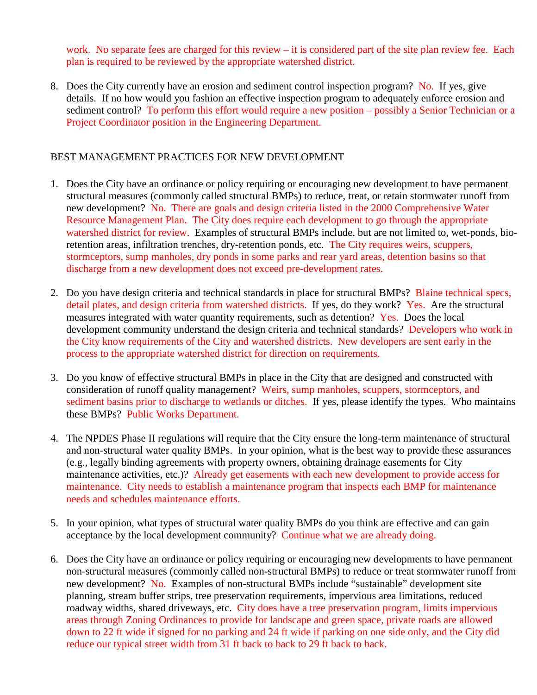work. No separate fees are charged for this review – it is considered part of the site plan review fee. Each plan is required to be reviewed by the appropriate watershed district.

8. Does the City currently have an erosion and sediment control inspection program? No. If yes, give details. If no how would you fashion an effective inspection program to adequately enforce erosion and sediment control? To perform this effort would require a new position – possibly a Senior Technician or a Project Coordinator position in the Engineering Department.

#### BEST MANAGEMENT PRACTICES FOR NEW DEVELOPMENT

- 1. Does the City have an ordinance or policy requiring or encouraging new development to have permanent structural measures (commonly called structural BMPs) to reduce, treat, or retain stormwater runoff from new development? No. There are goals and design criteria listed in the 2000 Comprehensive Water Resource Management Plan. The City does require each development to go through the appropriate watershed district for review. Examples of structural BMPs include, but are not limited to, wet-ponds, bioretention areas, infiltration trenches, dry-retention ponds, etc. The City requires weirs, scuppers, stormceptors, sump manholes, dry ponds in some parks and rear yard areas, detention basins so that discharge from a new development does not exceed pre-development rates.
- 2. Do you have design criteria and technical standards in place for structural BMPs? Blaine technical specs, detail plates, and design criteria from watershed districts. If yes, do they work? Yes. Are the structural measures integrated with water quantity requirements, such as detention? Yes. Does the local development community understand the design criteria and technical standards? Developers who work in the City know requirements of the City and watershed districts. New developers are sent early in the process to the appropriate watershed district for direction on requirements.
- 3. Do you know of effective structural BMPs in place in the City that are designed and constructed with consideration of runoff quality management? Weirs, sump manholes, scuppers, stormceptors, and sediment basins prior to discharge to wetlands or ditches. If yes, please identify the types. Who maintains these BMPs? Public Works Department.
- 4. The NPDES Phase II regulations will require that the City ensure the long-term maintenance of structural and non-structural water quality BMPs. In your opinion, what is the best way to provide these assurances (e.g., legally binding agreements with property owners, obtaining drainage easements for City maintenance activities, etc.)? Already get easements with each new development to provide access for maintenance. City needs to establish a maintenance program that inspects each BMP for maintenance needs and schedules maintenance efforts.
- 5. In your opinion, what types of structural water quality BMPs do you think are effective and can gain acceptance by the local development community? Continue what we are already doing.
- 6. Does the City have an ordinance or policy requiring or encouraging new developments to have permanent non-structural measures (commonly called non-structural BMPs) to reduce or treat stormwater runoff from new development? No. Examples of non-structural BMPs include "sustainable" development site planning, stream buffer strips, tree preservation requirements, impervious area limitations, reduced roadway widths, shared driveways, etc. City does have a tree preservation program, limits impervious areas through Zoning Ordinances to provide for landscape and green space, private roads are allowed down to 22 ft wide if signed for no parking and 24 ft wide if parking on one side only, and the City did reduce our typical street width from 31 ft back to back to 29 ft back to back.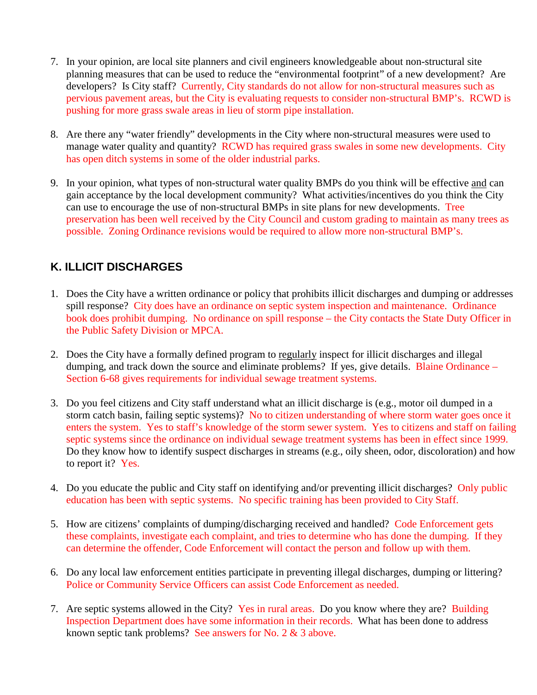- 7. In your opinion, are local site planners and civil engineers knowledgeable about non-structural site planning measures that can be used to reduce the "environmental footprint" of a new development? Are developers? Is City staff? Currently, City standards do not allow for non-structural measures such as pervious pavement areas, but the City is evaluating requests to consider non-structural BMP's. RCWD is pushing for more grass swale areas in lieu of storm pipe installation.
- 8. Are there any "water friendly" developments in the City where non-structural measures were used to manage water quality and quantity? RCWD has required grass swales in some new developments. City has open ditch systems in some of the older industrial parks.
- 9. In your opinion, what types of non-structural water quality BMPs do you think will be effective and can gain acceptance by the local development community? What activities/incentives do you think the City can use to encourage the use of non-structural BMPs in site plans for new developments. Tree preservation has been well received by the City Council and custom grading to maintain as many trees as possible. Zoning Ordinance revisions would be required to allow more non-structural BMP's.

# **K. ILLICIT DISCHARGES**

- 1. Does the City have a written ordinance or policy that prohibits illicit discharges and dumping or addresses spill response? City does have an ordinance on septic system inspection and maintenance. Ordinance book does prohibit dumping. No ordinance on spill response – the City contacts the State Duty Officer in the Public Safety Division or MPCA.
- 2. Does the City have a formally defined program to regularly inspect for illicit discharges and illegal dumping, and track down the source and eliminate problems? If yes, give details. Blaine Ordinance – Section 6-68 gives requirements for individual sewage treatment systems.
- 3. Do you feel citizens and City staff understand what an illicit discharge is (e.g., motor oil dumped in a storm catch basin, failing septic systems)? No to citizen understanding of where storm water goes once it enters the system. Yes to staff's knowledge of the storm sewer system. Yes to citizens and staff on failing septic systems since the ordinance on individual sewage treatment systems has been in effect since 1999. Do they know how to identify suspect discharges in streams (e.g., oily sheen, odor, discoloration) and how to report it? Yes.
- 4. Do you educate the public and City staff on identifying and/or preventing illicit discharges? Only public education has been with septic systems. No specific training has been provided to City Staff.
- 5. How are citizens' complaints of dumping/discharging received and handled? Code Enforcement gets these complaints, investigate each complaint, and tries to determine who has done the dumping. If they can determine the offender, Code Enforcement will contact the person and follow up with them.
- 6. Do any local law enforcement entities participate in preventing illegal discharges, dumping or littering? Police or Community Service Officers can assist Code Enforcement as needed.
- 7. Are septic systems allowed in the City? Yes in rural areas. Do you know where they are? Building Inspection Department does have some information in their records. What has been done to address known septic tank problems? See answers for No. 2 & 3 above.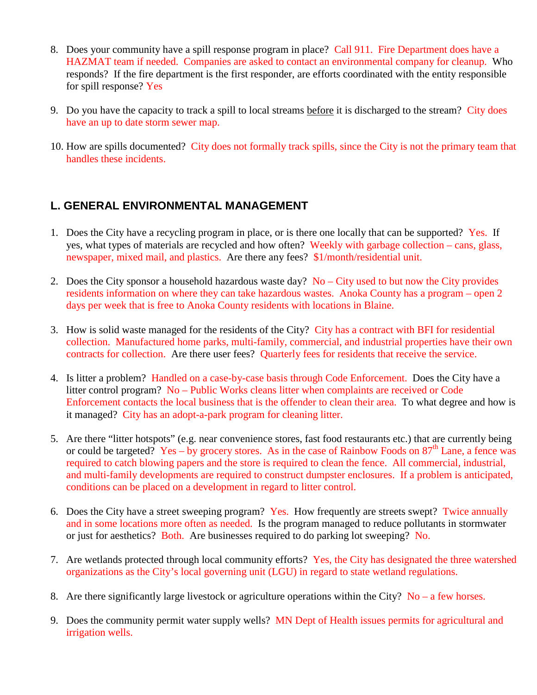- 8. Does your community have a spill response program in place? Call 911. Fire Department does have a HAZMAT team if needed. Companies are asked to contact an environmental company for cleanup. Who responds? If the fire department is the first responder, are efforts coordinated with the entity responsible for spill response? Yes
- 9. Do you have the capacity to track a spill to local streams before it is discharged to the stream? City does have an up to date storm sewer map.
- 10. How are spills documented? City does not formally track spills, since the City is not the primary team that handles these incidents.

### **L. GENERAL ENVIRONMENTAL MANAGEMENT**

- 1. Does the City have a recycling program in place, or is there one locally that can be supported? Yes. If yes, what types of materials are recycled and how often? Weekly with garbage collection – cans, glass, newspaper, mixed mail, and plastics. Are there any fees? \$1/month/residential unit.
- 2. Does the City sponsor a household hazardous waste day?  $No City$  used to but now the City provides residents information on where they can take hazardous wastes. Anoka County has a program – open 2 days per week that is free to Anoka County residents with locations in Blaine.
- 3. How is solid waste managed for the residents of the City? City has a contract with BFI for residential collection. Manufactured home parks, multi-family, commercial, and industrial properties have their own contracts for collection. Are there user fees? Quarterly fees for residents that receive the service.
- 4. Is litter a problem? Handled on a case-by-case basis through Code Enforcement. Does the City have a litter control program? No – Public Works cleans litter when complaints are received or Code Enforcement contacts the local business that is the offender to clean their area. To what degree and how is it managed? City has an adopt-a-park program for cleaning litter.
- 5. Are there "litter hotspots" (e.g. near convenience stores, fast food restaurants etc.) that are currently being or could be targeted? Yes – by grocery stores. As in the case of Rainbow Foods on  $87<sup>th</sup>$  Lane, a fence was required to catch blowing papers and the store is required to clean the fence. All commercial, industrial, and multi-family developments are required to construct dumpster enclosures. If a problem is anticipated, conditions can be placed on a development in regard to litter control.
- 6. Does the City have a street sweeping program? Yes. How frequently are streets swept? Twice annually and in some locations more often as needed. Is the program managed to reduce pollutants in stormwater or just for aesthetics? Both. Are businesses required to do parking lot sweeping? No.
- 7. Are wetlands protected through local community efforts? Yes, the City has designated the three watershed organizations as the City's local governing unit (LGU) in regard to state wetland regulations.
- 8. Are there significantly large livestock or agriculture operations within the City?  $No a$  few horses.
- 9. Does the community permit water supply wells? MN Dept of Health issues permits for agricultural and irrigation wells.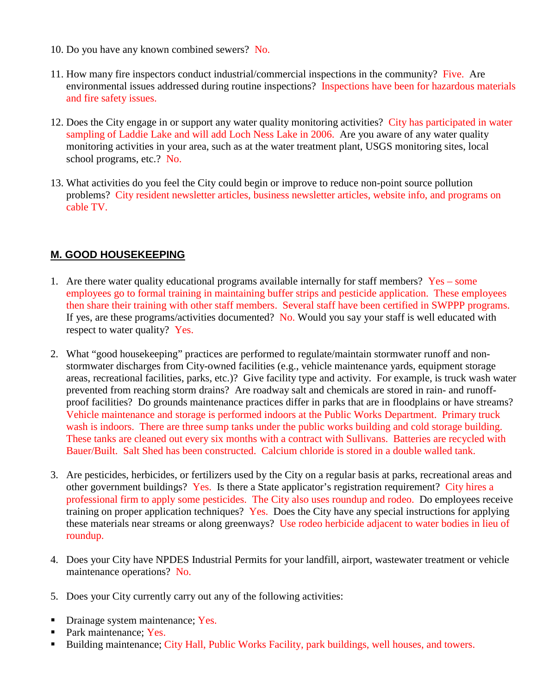- 10. Do you have any known combined sewers? No.
- 11. How many fire inspectors conduct industrial/commercial inspections in the community? Five. Are environmental issues addressed during routine inspections? Inspections have been for hazardous materials and fire safety issues.
- 12. Does the City engage in or support any water quality monitoring activities? City has participated in water sampling of Laddie Lake and will add Loch Ness Lake in 2006. Are you aware of any water quality monitoring activities in your area, such as at the water treatment plant, USGS monitoring sites, local school programs, etc.? No.
- 13. What activities do you feel the City could begin or improve to reduce non-point source pollution problems? City resident newsletter articles, business newsletter articles, website info, and programs on cable TV.

#### **M. GOOD HOUSEKEEPING**

- 1. Are there water quality educational programs available internally for staff members?  $Yes some$ employees go to formal training in maintaining buffer strips and pesticide application. These employees then share their training with other staff members. Several staff have been certified in SWPPP programs. If yes, are these programs/activities documented? No. Would you say your staff is well educated with respect to water quality? Yes.
- 2. What "good housekeeping" practices are performed to regulate/maintain stormwater runoff and nonstormwater discharges from City-owned facilities (e.g., vehicle maintenance yards, equipment storage areas, recreational facilities, parks, etc.)? Give facility type and activity. For example, is truck wash water prevented from reaching storm drains? Are roadway salt and chemicals are stored in rain- and runoffproof facilities? Do grounds maintenance practices differ in parks that are in floodplains or have streams? Vehicle maintenance and storage is performed indoors at the Public Works Department. Primary truck wash is indoors. There are three sump tanks under the public works building and cold storage building. These tanks are cleaned out every six months with a contract with Sullivans. Batteries are recycled with Bauer/Built. Salt Shed has been constructed. Calcium chloride is stored in a double walled tank.
- 3. Are pesticides, herbicides, or fertilizers used by the City on a regular basis at parks, recreational areas and other government buildings? Yes. Is there a State applicator's registration requirement? City hires a professional firm to apply some pesticides. The City also uses roundup and rodeo. Do employees receive training on proper application techniques? Yes. Does the City have any special instructions for applying these materials near streams or along greenways? Use rodeo herbicide adjacent to water bodies in lieu of roundup.
- 4. Does your City have NPDES Industrial Permits for your landfill, airport, wastewater treatment or vehicle maintenance operations? No.
- 5. Does your City currently carry out any of the following activities:
- Drainage system maintenance; Yes.
- Park maintenance: Yes.
- Building maintenance; City Hall, Public Works Facility, park buildings, well houses, and towers.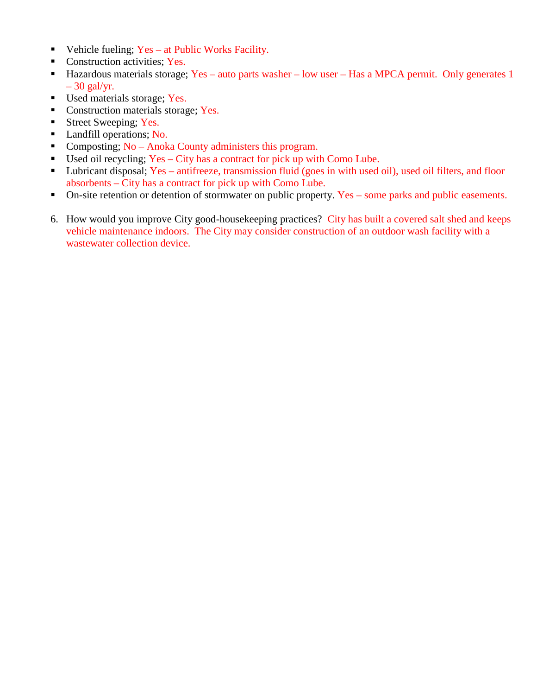- Vehicle fueling;  $Yes at Public Works Facility.$
- Construction activities; Yes.
- Hazardous materials storage; Yes auto parts washer low user Has a MPCA permit. Only generates 1  $-30$  gal/yr.
- Used materials storage; Yes.
- Construction materials storage; Yes.
- Street Sweeping; Yes.
- **Landfill operations; No.**
- Composting; No Anoka County administers this program.
- Used oil recycling; Yes City has a contract for pick up with Como Lube.
- Lubricant disposal; Yes antifreeze, transmission fluid (goes in with used oil), used oil filters, and floor absorbents – City has a contract for pick up with Como Lube.
- On-site retention or detention of stormwater on public property. Yes some parks and public easements.
- 6. How would you improve City good-housekeeping practices? City has built a covered salt shed and keeps vehicle maintenance indoors. The City may consider construction of an outdoor wash facility with a wastewater collection device.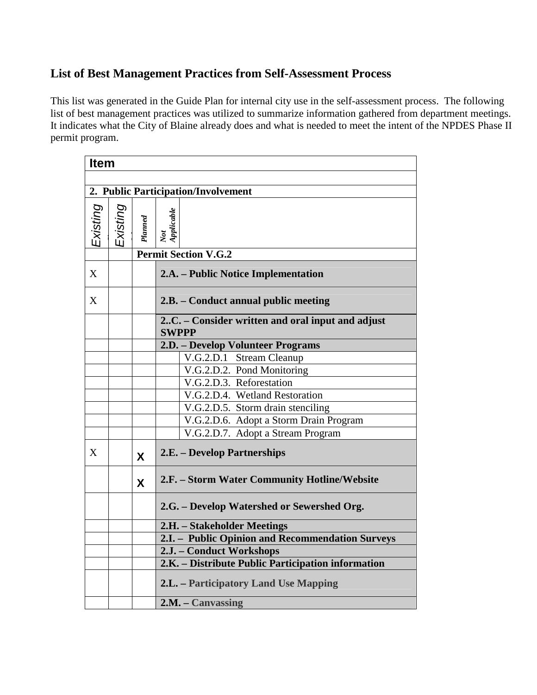# **List of Best Management Practices from Self-Assessment Process**

This list was generated in the Guide Plan for internal city use in the self-assessment process. The following list of best management practices was utilized to summarize information gathered from department meetings. It indicates what the City of Blaine already does and what is needed to meet the intent of the NPDES Phase II permit program.

| <b>Item</b> |          |         |                                                                  |  |  |
|-------------|----------|---------|------------------------------------------------------------------|--|--|
|             |          |         |                                                                  |  |  |
|             |          |         | 2. Public Participation/Involvement                              |  |  |
| Existing    | Existing | Planned | Not<br>Applicable                                                |  |  |
|             |          |         | <b>Permit Section V.G.2</b>                                      |  |  |
| X           |          |         | 2.A. – Public Notice Implementation                              |  |  |
| X           |          |         | 2.B. – Conduct annual public meeting                             |  |  |
|             |          |         | 2C. – Consider written and oral input and adjust<br><b>SWPPP</b> |  |  |
|             |          |         | 2.D. – Develop Volunteer Programs                                |  |  |
|             |          |         | V.G.2.D.1 Stream Cleanup                                         |  |  |
|             |          |         | V.G.2.D.2. Pond Monitoring                                       |  |  |
|             |          |         | V.G.2.D.3. Reforestation                                         |  |  |
|             |          |         | V.G.2.D.4. Wetland Restoration                                   |  |  |
|             |          |         | V.G.2.D.5. Storm drain stenciling                                |  |  |
|             |          |         | V.G.2.D.6. Adopt a Storm Drain Program                           |  |  |
|             |          |         | V.G.2.D.7. Adopt a Stream Program                                |  |  |
| X           |          | X       | 2.E. – Develop Partnerships                                      |  |  |
|             |          | X       | 2.F. – Storm Water Community Hotline/Website                     |  |  |
|             |          |         | 2.G. – Develop Watershed or Sewershed Org.                       |  |  |
|             |          |         | 2.H. - Stakeholder Meetings                                      |  |  |
|             |          |         | 2.I. - Public Opinion and Recommendation Surveys                 |  |  |
|             |          |         | 2.J. - Conduct Workshops                                         |  |  |
|             |          |         | 2.K. - Distribute Public Participation information               |  |  |
|             |          |         | <b>2.L.</b> – Participatory Land Use Mapping                     |  |  |
|             |          |         | 2.M. - Canvassing                                                |  |  |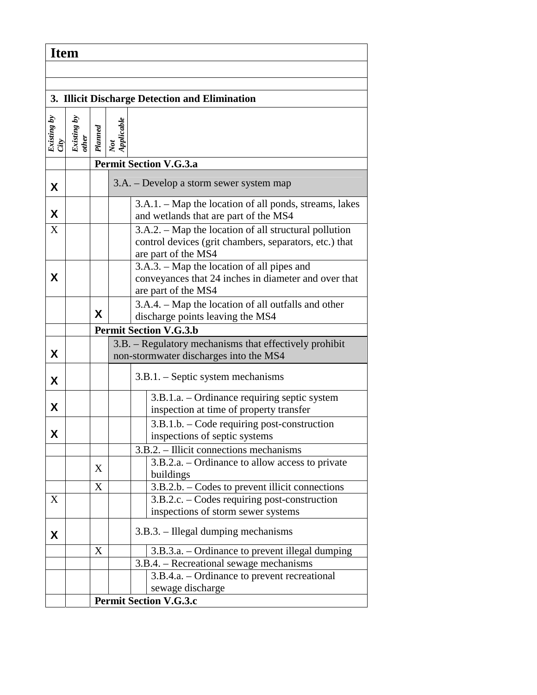| <b>Item</b>                                    |                      |         |                               |                                                                                                                                        |  |  |  |  |  |
|------------------------------------------------|----------------------|---------|-------------------------------|----------------------------------------------------------------------------------------------------------------------------------------|--|--|--|--|--|
|                                                |                      |         |                               |                                                                                                                                        |  |  |  |  |  |
|                                                |                      |         |                               |                                                                                                                                        |  |  |  |  |  |
| 3. Illicit Discharge Detection and Elimination |                      |         |                               |                                                                                                                                        |  |  |  |  |  |
| Existing by<br>City                            | Existing by<br>other | Planned | Not<br>Applicable             |                                                                                                                                        |  |  |  |  |  |
|                                                |                      |         |                               | <b>Permit Section V.G.3.a</b>                                                                                                          |  |  |  |  |  |
| X                                              |                      |         |                               | 3.A. – Develop a storm sewer system map                                                                                                |  |  |  |  |  |
| X                                              |                      |         |                               | 3.A.1. – Map the location of all ponds, streams, lakes<br>and wetlands that are part of the MS4                                        |  |  |  |  |  |
| X                                              |                      |         |                               | 3.A.2. – Map the location of all structural pollution<br>control devices (grit chambers, separators, etc.) that<br>are part of the MS4 |  |  |  |  |  |
| X                                              |                      |         |                               | 3.A.3. – Map the location of all pipes and<br>conveyances that 24 inches in diameter and over that<br>are part of the MS4              |  |  |  |  |  |
|                                                |                      | X       |                               | 3.A.4. – Map the location of all outfalls and other<br>discharge points leaving the MS4                                                |  |  |  |  |  |
|                                                |                      |         |                               | <b>Permit Section V.G.3.b</b>                                                                                                          |  |  |  |  |  |
| X                                              |                      |         |                               | 3.B. – Regulatory mechanisms that effectively prohibit<br>non-stormwater discharges into the MS4                                       |  |  |  |  |  |
| X                                              |                      |         |                               | $3.B.1. - Septic system mechanisms$                                                                                                    |  |  |  |  |  |
| X                                              |                      |         |                               | 3.B.1.a. – Ordinance requiring septic system<br>inspection at time of property transfer                                                |  |  |  |  |  |
| X                                              |                      |         |                               | 3.B.1.b. - Code requiring post-construction<br>inspections of septic systems                                                           |  |  |  |  |  |
|                                                |                      |         |                               | $3.B.2.$ – Illicit connections mechanisms                                                                                              |  |  |  |  |  |
|                                                |                      | X       |                               | 3.B.2.a. – Ordinance to allow access to private<br>buildings                                                                           |  |  |  |  |  |
|                                                |                      | X       |                               | $3.B.2.b. - Codes$ to prevent illicit connections                                                                                      |  |  |  |  |  |
| X                                              |                      |         |                               | 3.B.2.c. – Codes requiring post-construction<br>inspections of storm sewer systems                                                     |  |  |  |  |  |
| X                                              |                      |         |                               | 3.B.3. – Illegal dumping mechanisms                                                                                                    |  |  |  |  |  |
|                                                |                      | X       |                               | 3.B.3.a. – Ordinance to prevent illegal dumping                                                                                        |  |  |  |  |  |
|                                                |                      |         |                               | 3.B.4. – Recreational sewage mechanisms                                                                                                |  |  |  |  |  |
|                                                |                      |         |                               | 3.B.4.a. – Ordinance to prevent recreational                                                                                           |  |  |  |  |  |
|                                                |                      |         |                               | sewage discharge                                                                                                                       |  |  |  |  |  |
|                                                |                      |         | <b>Permit Section V.G.3.c</b> |                                                                                                                                        |  |  |  |  |  |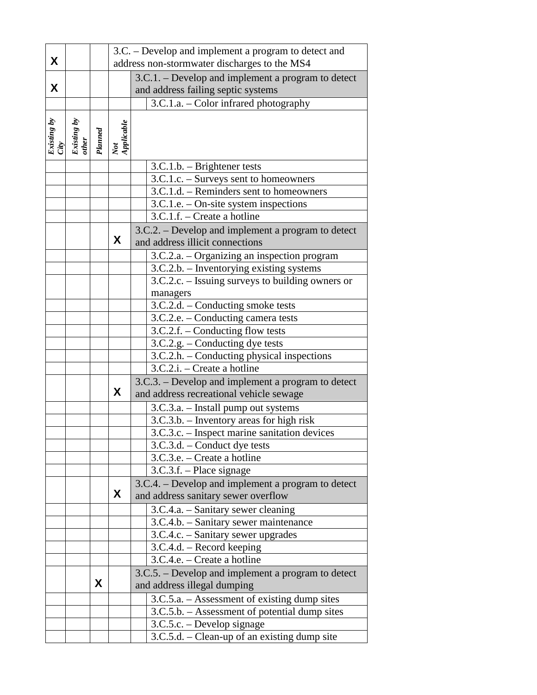| 3.C. – Develop and implement a program to detect and<br>address non-stormwater discharges to the MS4 |  |  |
|------------------------------------------------------------------------------------------------------|--|--|
|                                                                                                      |  |  |
| 3.C.1. - Develop and implement a program to detect                                                   |  |  |
|                                                                                                      |  |  |
|                                                                                                      |  |  |
|                                                                                                      |  |  |
|                                                                                                      |  |  |
|                                                                                                      |  |  |
|                                                                                                      |  |  |
|                                                                                                      |  |  |
|                                                                                                      |  |  |
| 3.C.1.d. - Reminders sent to homeowners                                                              |  |  |
|                                                                                                      |  |  |
|                                                                                                      |  |  |
| 3.C.2. – Develop and implement a program to detect                                                   |  |  |
|                                                                                                      |  |  |
| 3.C.2.a. - Organizing an inspection program                                                          |  |  |
|                                                                                                      |  |  |
| 3.C.2.c. – Issuing surveys to building owners or                                                     |  |  |
|                                                                                                      |  |  |
|                                                                                                      |  |  |
|                                                                                                      |  |  |
|                                                                                                      |  |  |
|                                                                                                      |  |  |
| 3.C.2.h. – Conducting physical inspections                                                           |  |  |
|                                                                                                      |  |  |
| 3.C.3. – Develop and implement a program to detect                                                   |  |  |
|                                                                                                      |  |  |
|                                                                                                      |  |  |
|                                                                                                      |  |  |
| 3.C.3.c. - Inspect marine sanitation devices                                                         |  |  |
|                                                                                                      |  |  |
|                                                                                                      |  |  |
|                                                                                                      |  |  |
| 3.C.4. – Develop and implement a program to detect                                                   |  |  |
|                                                                                                      |  |  |
|                                                                                                      |  |  |
|                                                                                                      |  |  |
|                                                                                                      |  |  |
|                                                                                                      |  |  |
|                                                                                                      |  |  |
|                                                                                                      |  |  |
| 3.C.5. – Develop and implement a program to detect                                                   |  |  |
|                                                                                                      |  |  |
|                                                                                                      |  |  |
| 3.C.5.a. – Assessment of existing dump sites                                                         |  |  |
| 3.C.5.b. - Assessment of potential dump sites                                                        |  |  |
| 3.C.2.b. - Inventorying existing systems                                                             |  |  |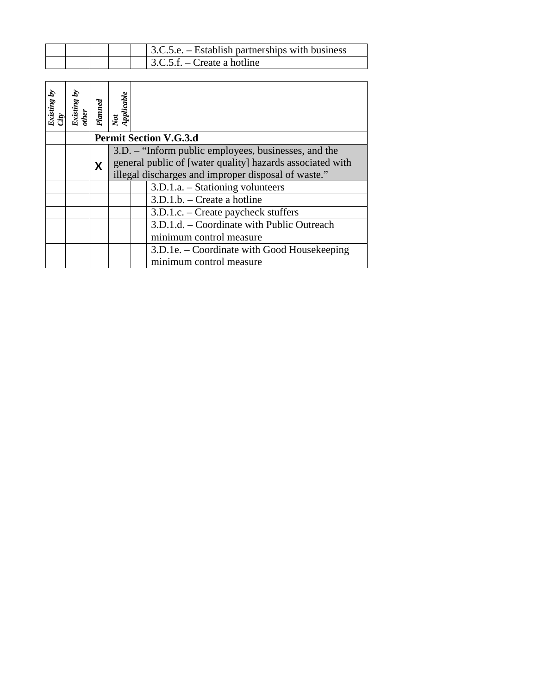|  |  | $\vert$ 3.C.5.e. – Establish partnerships with business |
|--|--|---------------------------------------------------------|
|  |  | $\vert$ 3.C.5.f. – Create a hotline                     |

| Existing by | Ś<br>Existing<br>other | Planned | Not<br>Applicable             |                                                                                                                                                                          |  |  |  |
|-------------|------------------------|---------|-------------------------------|--------------------------------------------------------------------------------------------------------------------------------------------------------------------------|--|--|--|
|             |                        |         | <b>Permit Section V.G.3.d</b> |                                                                                                                                                                          |  |  |  |
|             |                        | X       |                               | 3.D. – "Inform public employees, businesses, and the<br>general public of [water quality] hazards associated with<br>illegal discharges and improper disposal of waste." |  |  |  |
|             |                        |         |                               | $3.D.1.a. - Stationing volunteers$                                                                                                                                       |  |  |  |
|             |                        |         |                               | $3.D.1.b.$ – Create a hotline                                                                                                                                            |  |  |  |
|             |                        |         |                               | 3.D.1.c. – Create paycheck stuffers                                                                                                                                      |  |  |  |
|             |                        |         |                               | 3.D.1.d. – Coordinate with Public Outreach                                                                                                                               |  |  |  |
|             |                        |         |                               | minimum control measure                                                                                                                                                  |  |  |  |
|             |                        |         |                               | 3.D.1e. – Coordinate with Good Housekeeping<br>minimum control measure                                                                                                   |  |  |  |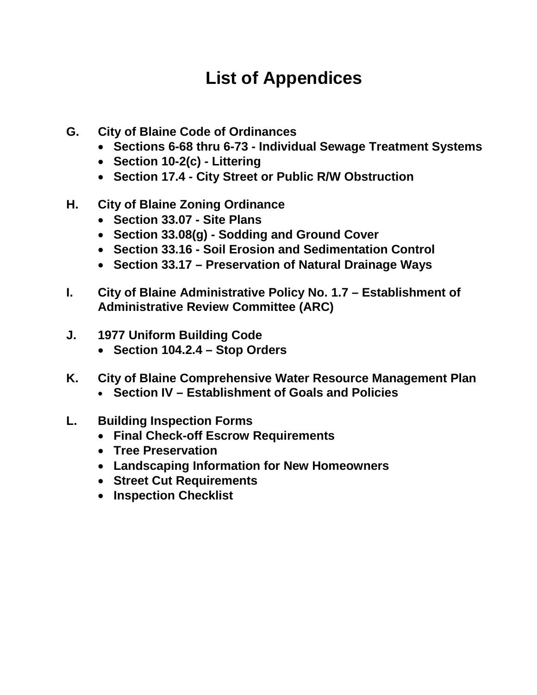## **List of Appendices**

- **G. City of Blaine Code of Ordinances** 
	- **Sections 6-68 thru 6-73 Individual Sewage Treatment Systems**
	- **Section 10-2(c) Littering**
	- **Section 17.4 City Street or Public R/W Obstruction**
- **H. City of Blaine Zoning Ordinance** 
	- **Section 33.07 Site Plans**
	- **Section 33.08(g) Sodding and Ground Cover**
	- **Section 33.16 Soil Erosion and Sedimentation Control**
	- **Section 33.17 Preservation of Natural Drainage Ways**
- **I. City of Blaine Administrative Policy No. 1.7 Establishment of Administrative Review Committee (ARC)**
- **J. 1977 Uniform Building Code** 
	- **Section 104.2.4 Stop Orders**
- **K. City of Blaine Comprehensive Water Resource Management Plan** 
	- **Section IV Establishment of Goals and Policies**
- **L. Building Inspection Forms** 
	- **Final Check-off Escrow Requirements**
	- **Tree Preservation**
	- **Landscaping Information for New Homeowners**
	- **Street Cut Requirements**
	- **Inspection Checklist**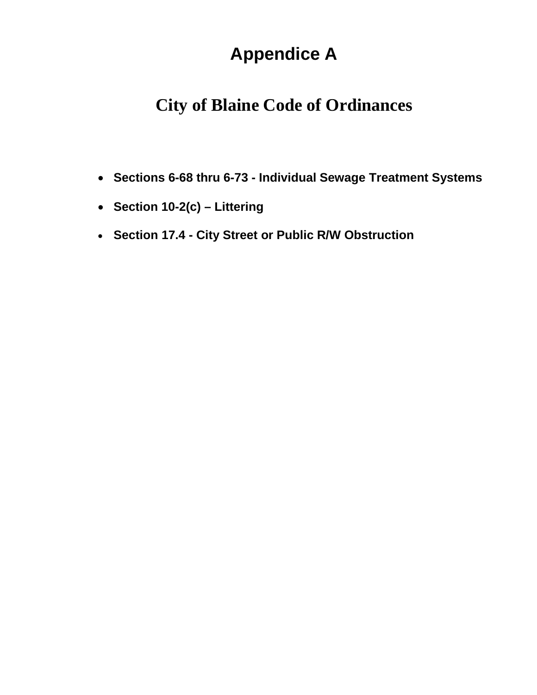## **Appendice A**

### **City of Blaine Code of Ordinances**

- **Sections 6-68 thru 6-73 Individual Sewage Treatment Systems**
- **Section 10-2(c) Littering**
- **Section 17.4 City Street or Public R/W Obstruction**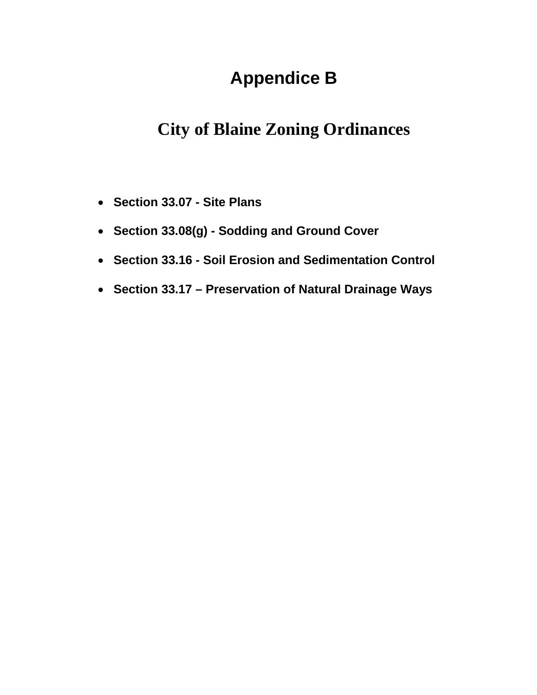### **Appendice B**

### **City of Blaine Zoning Ordinances**

- **Section 33.07 Site Plans**
- **Section 33.08(g) Sodding and Ground Cover**
- **Section 33.16 Soil Erosion and Sedimentation Control**
- **Section 33.17 Preservation of Natural Drainage Ways**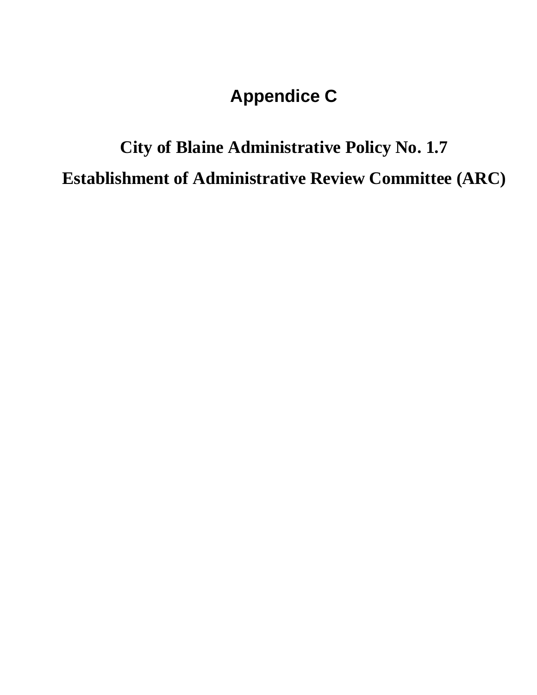### **Appendice C**

# **City of Blaine Administrative Policy No. 1.7 Establishment of Administrative Review Committee (ARC)**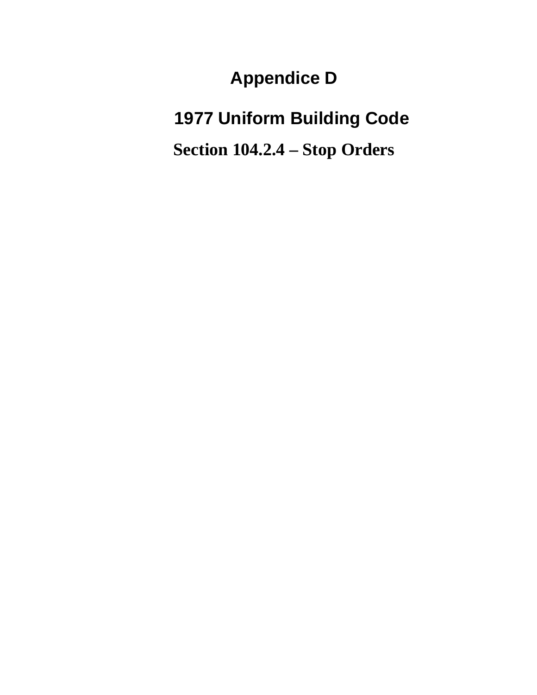**Appendice D** 

**1977 Uniform Building Code** 

**Section 104.2.4 – Stop Orders**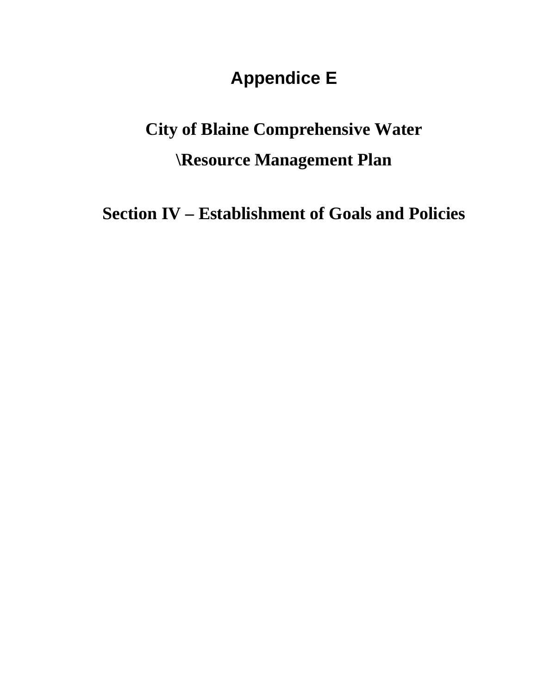#### **Appendice E**

## **City of Blaine Comprehensive Water \Resource Management Plan**

**Section IV – Establishment of Goals and Policies**